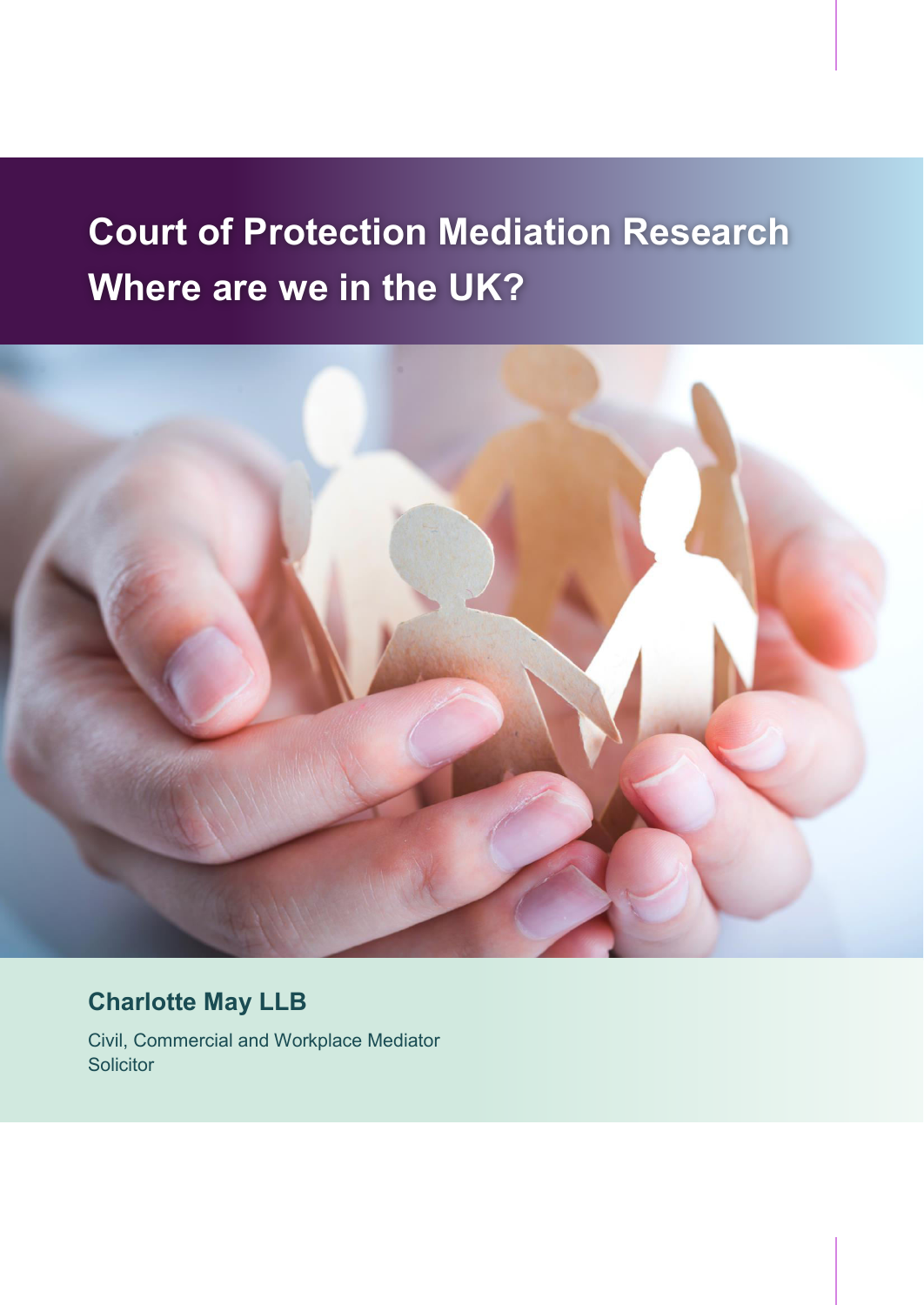# **Court of Protection Mediation Research Where are we in the UK?**



**Charlotte May LLB** 

Civil, Commercial and Workplace Mediator **Solicitor**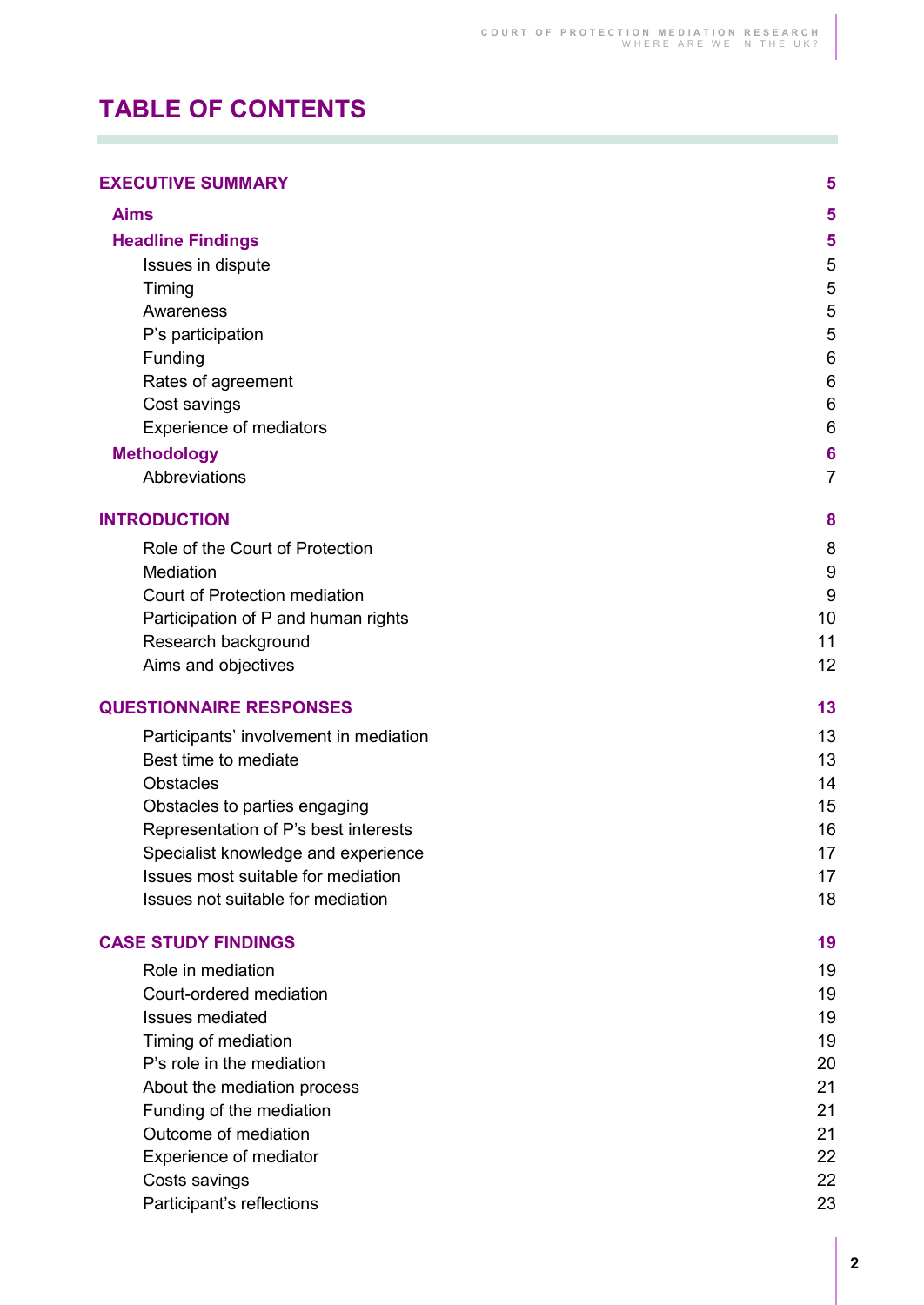# **TABLE OF CONTENTS**

| <b>EXECUTIVE SUMMARY</b> |  |  |
|--------------------------|--|--|
|--------------------------|--|--|

×

| <b>Aims</b>                                   | 5              |
|-----------------------------------------------|----------------|
|                                               | 5              |
| <b>Headline Findings</b><br>Issues in dispute | 5              |
|                                               | 5              |
| Timing<br>Awareness                           | 5              |
| P's participation                             | 5              |
| Funding                                       | 6              |
| Rates of agreement                            | 6              |
| Cost savings                                  | 6              |
| Experience of mediators                       | 6              |
|                                               | 6              |
| <b>Methodology</b><br>Abbreviations           | $\overline{7}$ |
|                                               |                |
| <b>INTRODUCTION</b>                           | 8              |
| Role of the Court of Protection               | 8              |
| Mediation                                     | 9              |
| Court of Protection mediation                 | 9              |
| Participation of P and human rights           | 10             |
| Research background                           | 11             |
| Aims and objectives                           | 12             |
| <b>QUESTIONNAIRE RESPONSES</b>                | 13             |
| Participants' involvement in mediation        | 13             |
| Best time to mediate                          | 13             |
| <b>Obstacles</b>                              | 14             |
| Obstacles to parties engaging                 | 15             |
| Representation of P's best interests          | 16             |
| Specialist knowledge and experience           | 17             |
| Issues most suitable for mediation            | 17             |
| Issues not suitable for mediation             | 18             |
| <b>CASE STUDY FINDINGS</b>                    | 19             |
| Role in mediation                             | 19             |
| Court-ordered mediation                       | 19             |
| <b>Issues mediated</b>                        | 19             |
| Timing of mediation                           | 19             |
| P's role in the mediation                     | 20             |
| About the mediation process                   | 21             |
| Funding of the mediation                      | 21             |
| Outcome of mediation                          | 21             |
| Experience of mediator                        | 22             |
| Costs savings                                 | 22             |
| Participant's reflections                     | 23             |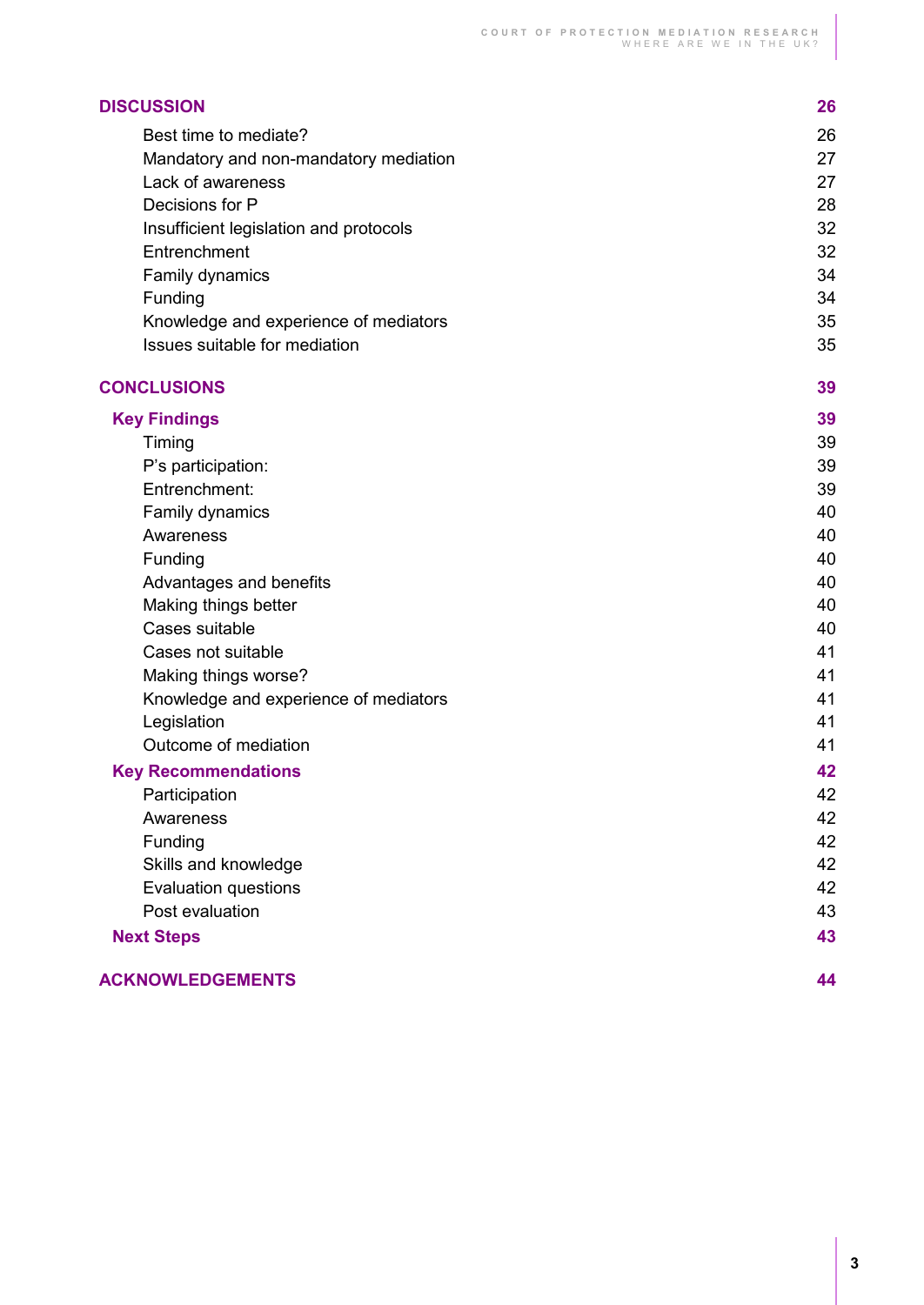| <b>DISCUSSION</b>                      | 26 |
|----------------------------------------|----|
| Best time to mediate?                  | 26 |
| Mandatory and non-mandatory mediation  | 27 |
| Lack of awareness                      | 27 |
| Decisions for P                        | 28 |
| Insufficient legislation and protocols | 32 |
| Entrenchment                           | 32 |
| Family dynamics                        | 34 |
| Funding                                | 34 |
| Knowledge and experience of mediators  | 35 |
| Issues suitable for mediation          | 35 |
| <b>CONCLUSIONS</b>                     | 39 |
| <b>Key Findings</b>                    | 39 |
| Timing                                 | 39 |
| P's participation:                     | 39 |
| Entrenchment:                          | 39 |
| Family dynamics                        | 40 |
| Awareness                              | 40 |
| Funding                                | 40 |
| Advantages and benefits                | 40 |
| Making things better                   | 40 |
| Cases suitable                         | 40 |
| Cases not suitable                     | 41 |
| Making things worse?                   | 41 |
| Knowledge and experience of mediators  | 41 |
| Legislation                            | 41 |
| Outcome of mediation                   | 41 |
| <b>Key Recommendations</b>             | 42 |
| Participation                          | 42 |
| Awareness                              | 42 |
| Funding                                | 42 |
| Skills and knowledge                   | 42 |
| <b>Evaluation questions</b>            | 42 |
| Post evaluation                        | 43 |
| <b>Next Steps</b>                      | 43 |
| <b>ACKNOWLEDGEMENTS</b>                | 44 |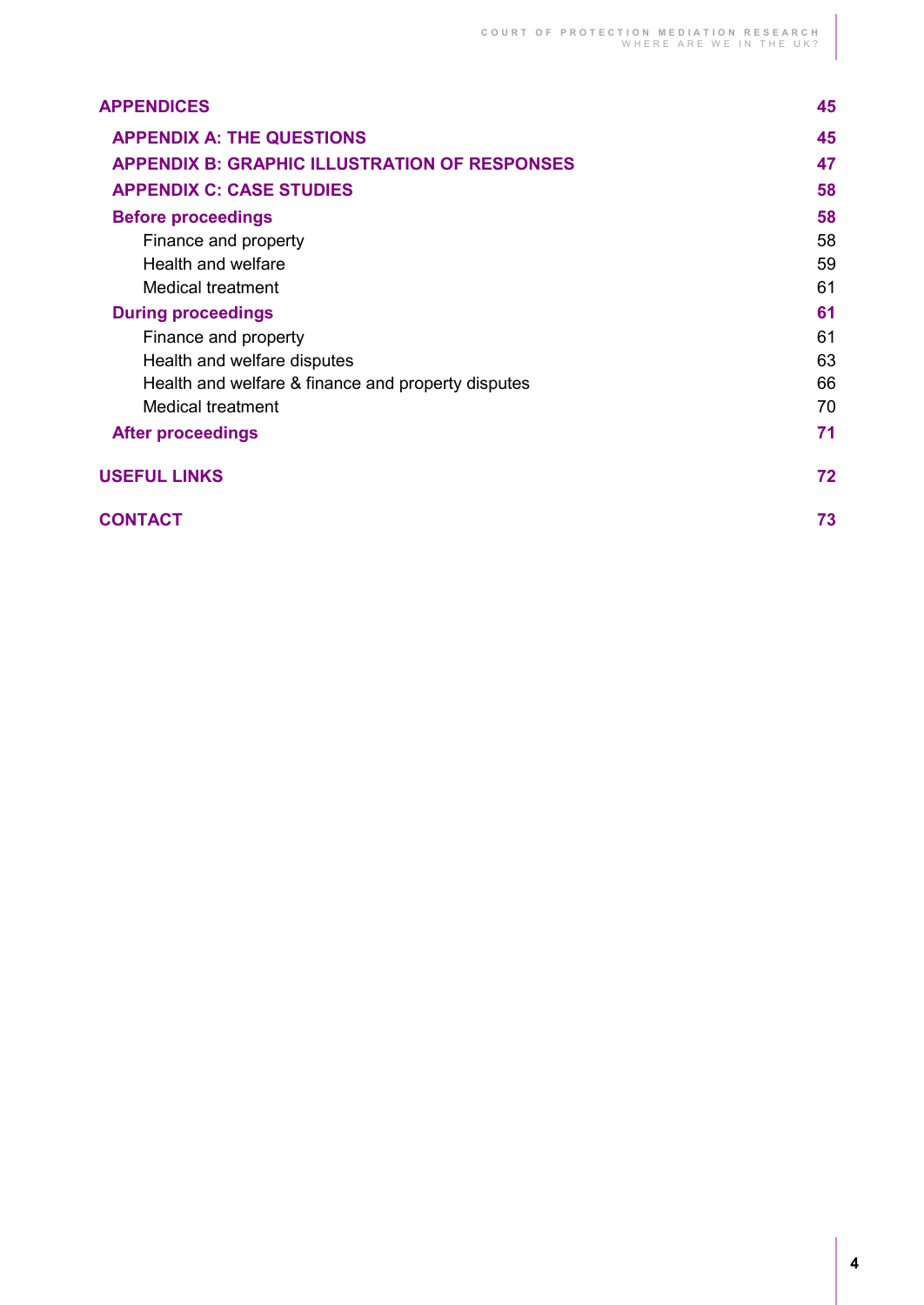| <b>APPENDICES</b>                                    | 45 |
|------------------------------------------------------|----|
| <b>APPENDIX A: THE QUESTIONS</b>                     | 45 |
| <b>APPENDIX B: GRAPHIC ILLUSTRATION OF RESPONSES</b> | 47 |
| <b>APPENDIX C: CASE STUDIES</b>                      | 58 |
| <b>Before proceedings</b>                            | 58 |
| Finance and property                                 | 58 |
| Health and welfare                                   | 59 |
| Medical treatment                                    | 61 |
| <b>During proceedings</b>                            | 61 |
| Finance and property                                 | 61 |
| Health and welfare disputes                          | 63 |
| Health and welfare & finance and property disputes   | 66 |
| <b>Medical treatment</b>                             | 70 |
| <b>After proceedings</b>                             | 71 |
| <b>USEFUL LINKS</b>                                  | 72 |
| <b>CONTACT</b>                                       | 73 |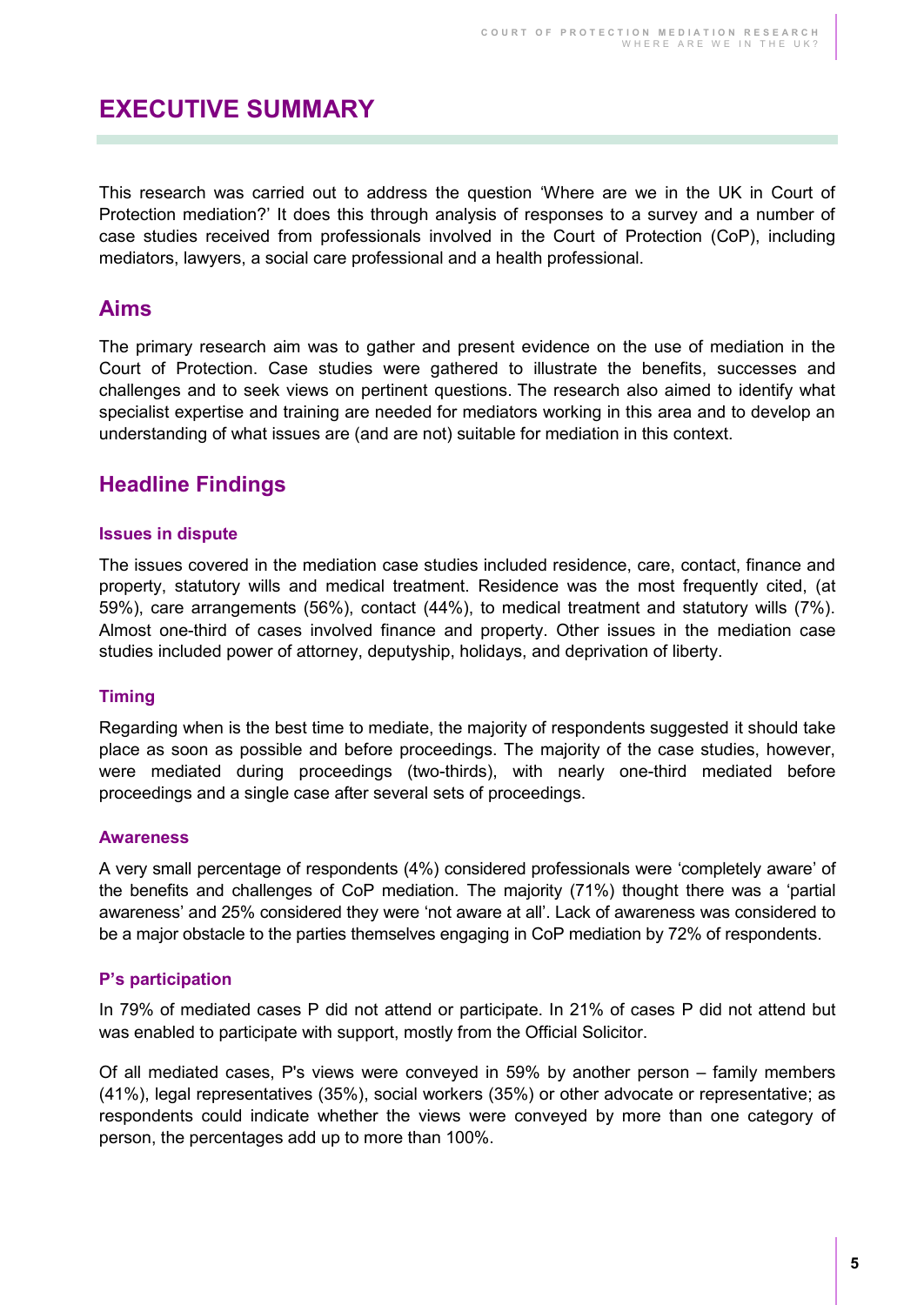# <span id="page-4-0"></span>**EXECUTIVE SUMMARY**

This research was carried out to address the question 'Where are we in the UK in Court of Protection mediation?' It does this through analysis of responses to a survey and a number of case studies received from professionals involved in the Court of Protection (CoP), including mediators, lawyers, a social care professional and a health professional.

### <span id="page-4-1"></span>**Aims**

The primary research aim was to gather and present evidence on the use of mediation in the Court of Protection. Case studies were gathered to illustrate the benefits, successes and challenges and to seek views on pertinent questions. The research also aimed to identify what specialist expertise and training are needed for mediators working in this area and to develop an understanding of what issues are (and are not) suitable for mediation in this context.

### <span id="page-4-2"></span>**Headline Findings**

#### <span id="page-4-3"></span>**Issues in dispute**

The issues covered in the mediation case studies included residence, care, contact, finance and property, statutory wills and medical treatment. Residence was the most frequently cited, (at 59%), care arrangements (56%), contact (44%), to medical treatment and statutory wills (7%). Almost one-third of cases involved finance and property. Other issues in the mediation case studies included power of attorney, deputyship, holidays, and deprivation of liberty.

#### <span id="page-4-4"></span>**Timing**

Regarding when is the best time to mediate, the majority of respondents suggested it should take place as soon as possible and before proceedings. The majority of the case studies, however, were mediated during proceedings (two-thirds), with nearly one-third mediated before proceedings and a single case after several sets of proceedings.

#### <span id="page-4-5"></span>**Awareness**

A very small percentage of respondents (4%) considered professionals were 'completely aware' of the benefits and challenges of CoP mediation. The majority (71%) thought there was a 'partial awareness' and 25% considered they were 'not aware at all'. Lack of awareness was considered to be a major obstacle to the parties themselves engaging in CoP mediation by 72% of respondents.

#### <span id="page-4-6"></span>**P's participation**

In 79% of mediated cases P did not attend or participate. In 21% of cases P did not attend but was enabled to participate with support, mostly from the Official Solicitor.

Of all mediated cases, P's views were conveyed in 59% by another person – family members (41%), legal representatives (35%), social workers (35%) or other advocate or representative; as respondents could indicate whether the views were conveyed by more than one category of person, the percentages add up to more than 100%.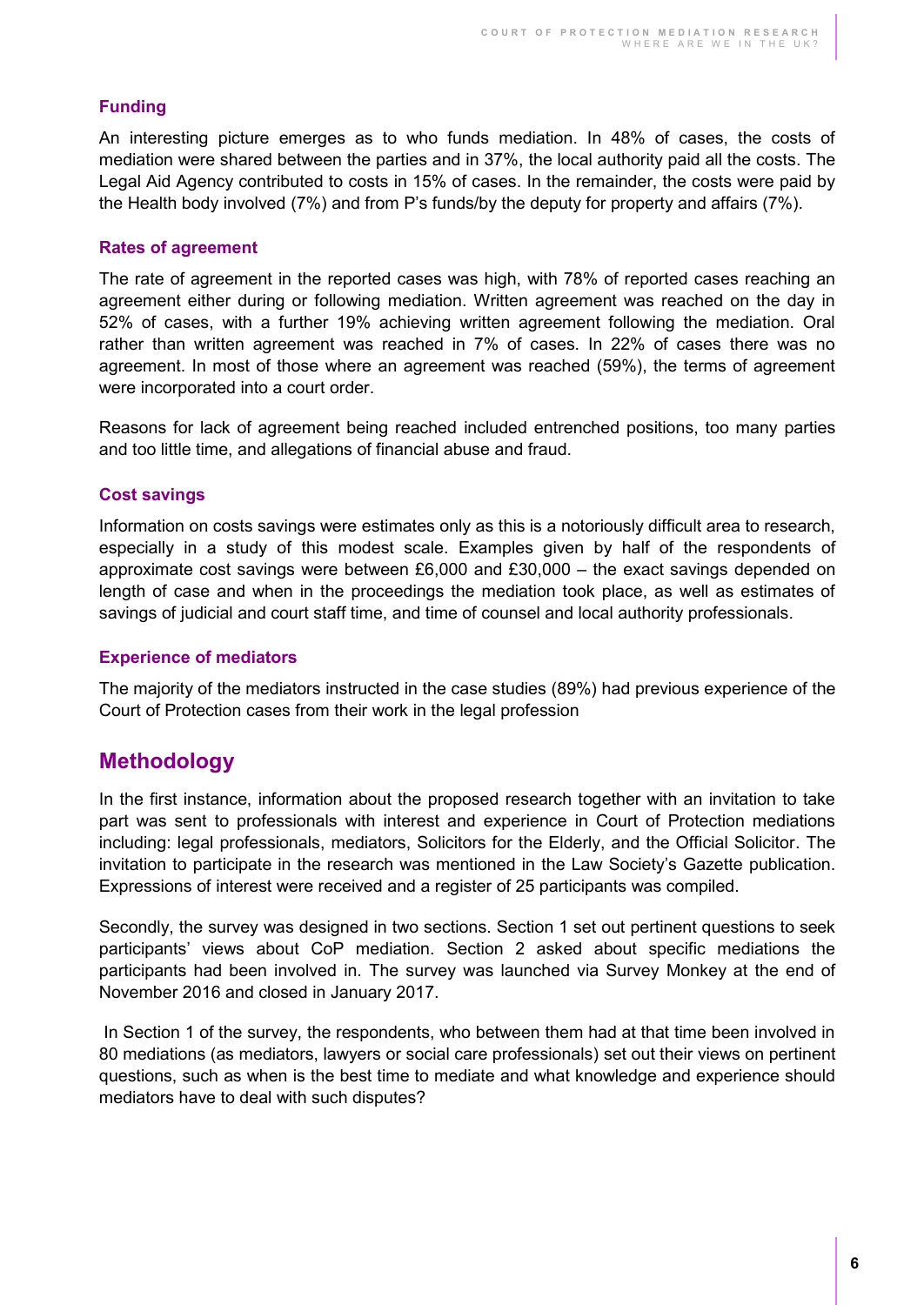#### <span id="page-5-0"></span>**Funding**

An interesting picture emerges as to who funds mediation. In 48% of cases, the costs of mediation were shared between the parties and in 37%, the local authority paid all the costs. The Legal Aid Agency contributed to costs in 15% of cases. In the remainder, the costs were paid by the Health body involved (7%) and from P's funds/by the deputy for property and affairs (7%).

#### <span id="page-5-1"></span>**Rates of agreement**

The rate of agreement in the reported cases was high, with 78% of reported cases reaching an agreement either during or following mediation. Written agreement was reached on the day in 52% of cases, with a further 19% achieving written agreement following the mediation. Oral rather than written agreement was reached in 7% of cases. In 22% of cases there was no agreement. In most of those where an agreement was reached (59%), the terms of agreement were incorporated into a court order.

Reasons for lack of agreement being reached included entrenched positions, too many parties and too little time, and allegations of financial abuse and fraud.

#### <span id="page-5-2"></span>**Cost savings**

Information on costs savings were estimates only as this is a notoriously difficult area to research, especially in a study of this modest scale. Examples given by half of the respondents of approximate cost savings were between £6,000 and £30,000 – the exact savings depended on length of case and when in the proceedings the mediation took place, as well as estimates of savings of judicial and court staff time, and time of counsel and local authority professionals.

#### <span id="page-5-3"></span>**Experience of mediators**

The majority of the mediators instructed in the case studies (89%) had previous experience of the Court of Protection cases from their work in the legal profession

### <span id="page-5-4"></span>**Methodology**

In the first instance, information about the proposed research together with an invitation to take part was sent to professionals with interest and experience in Court of Protection mediations including: legal professionals, mediators, Solicitors for the Elderly, and the Official Solicitor. The invitation to participate in the research was mentioned in the Law Society's Gazette publication. Expressions of interest were received and a register of 25 participants was compiled.

Secondly, the survey was designed in two sections. Section 1 set out pertinent questions to seek participants' views about CoP mediation. Section 2 asked about specific mediations the participants had been involved in. The survey was launched via Survey Monkey at the end of November 2016 and closed in January 2017.

 In Section 1 of the survey, the respondents, who between them had at that time been involved in 80 mediations (as mediators, lawyers or social care professionals) set out their views on pertinent questions, such as when is the best time to mediate and what knowledge and experience should mediators have to deal with such disputes?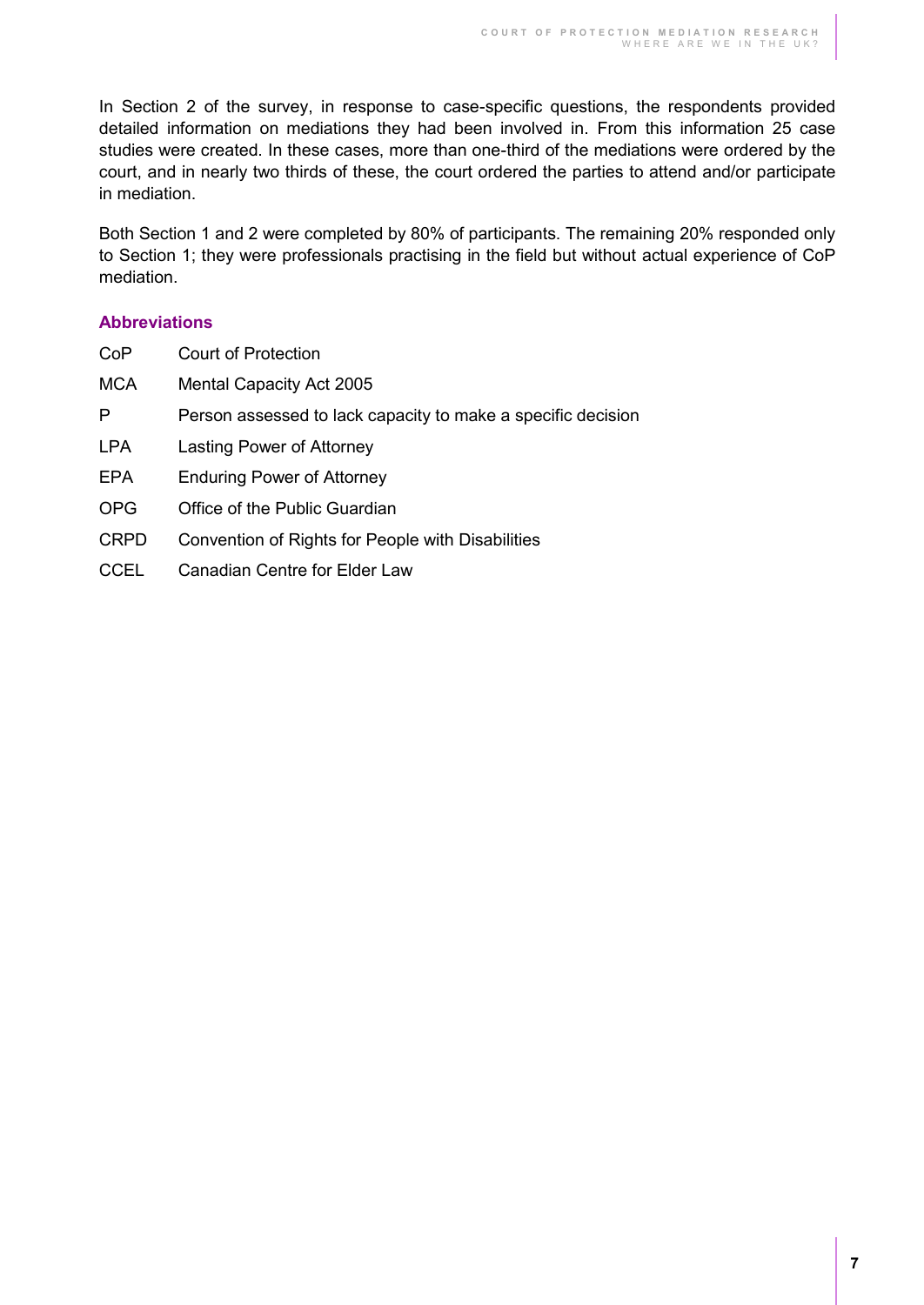In Section 2 of the survey, in response to case-specific questions, the respondents provided detailed information on mediations they had been involved in. From this information 25 case studies were created. In these cases, more than one-third of the mediations were ordered by the court, and in nearly two thirds of these, the court ordered the parties to attend and/or participate in mediation.

Both Section 1 and 2 were completed by 80% of participants. The remaining 20% responded only to Section 1; they were professionals practising in the field but without actual experience of CoP mediation.

#### <span id="page-6-0"></span>**Abbreviations**

| CoP         | Court of Protection                                          |
|-------------|--------------------------------------------------------------|
| <b>MCA</b>  | Mental Capacity Act 2005                                     |
| P           | Person assessed to lack capacity to make a specific decision |
| <b>LPA</b>  | Lasting Power of Attorney                                    |
| EPA         | <b>Enduring Power of Attorney</b>                            |
| <b>OPG</b>  | Office of the Public Guardian                                |
| <b>CRPD</b> | Convention of Rights for People with Disabilities            |
| <b>CCEL</b> | Canadian Centre for Elder Law                                |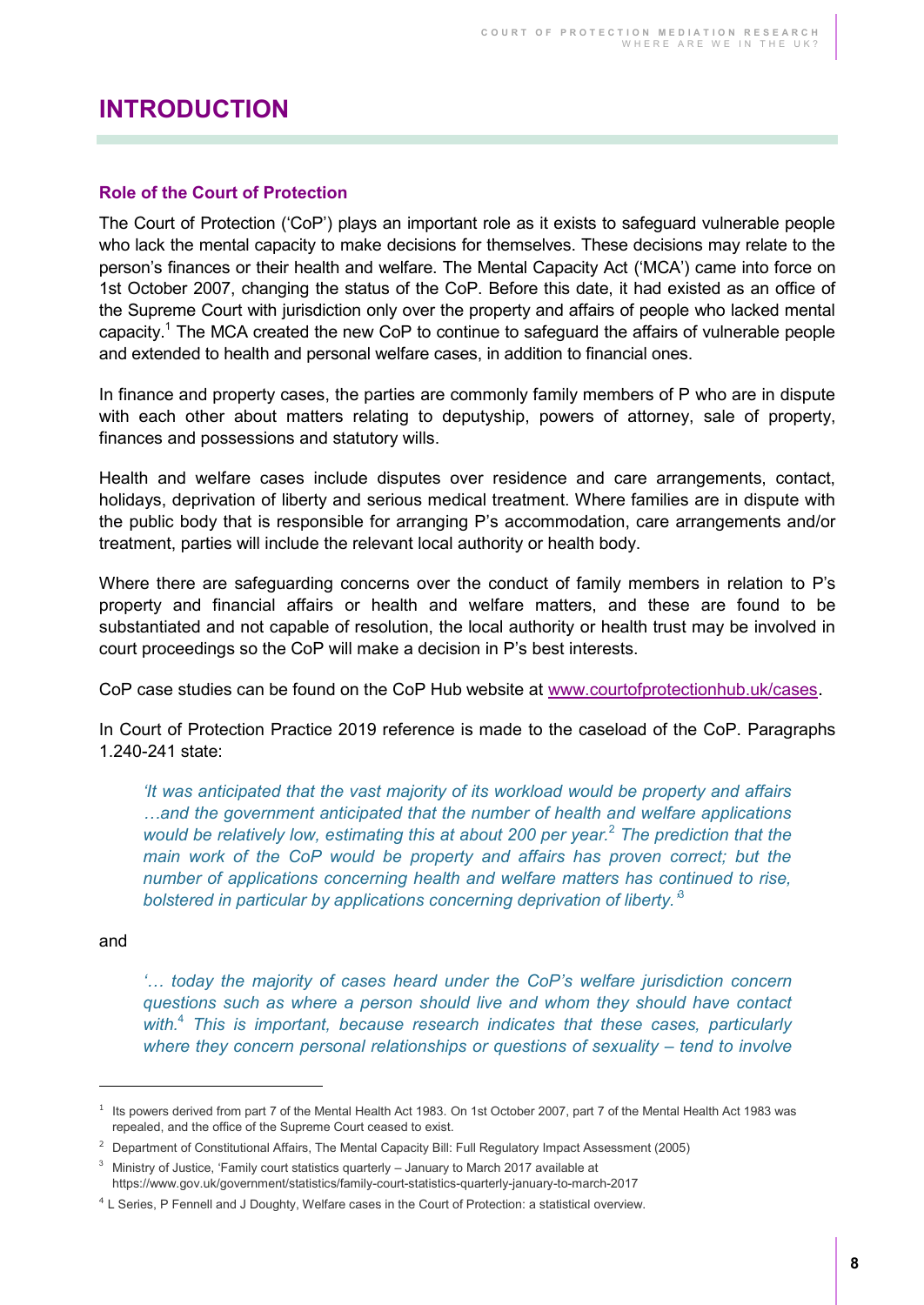### <span id="page-7-0"></span>**INTRODUCTION**

#### <span id="page-7-1"></span>**Role of the Court of Protection**

The Court of Protection ('CoP') plays an important role as it exists to safeguard vulnerable people who lack the mental capacity to make decisions for themselves. These decisions may relate to the person's finances or their health and welfare. The Mental Capacity Act ('MCA') came into force on 1st October 2007, changing the status of the CoP. Before this date, it had existed as an office of the Supreme Court with jurisdiction only over the property and affairs of people who lacked mental capacity.<sup>1</sup> The MCA created the new CoP to continue to safeguard the affairs of vulnerable people and extended to health and personal welfare cases, in addition to financial ones.

In finance and property cases, the parties are commonly family members of P who are in dispute with each other about matters relating to deputyship, powers of attorney, sale of property, finances and possessions and statutory wills.

Health and welfare cases include disputes over residence and care arrangements, contact, holidays, deprivation of liberty and serious medical treatment. Where families are in dispute with the public body that is responsible for arranging P's accommodation, care arrangements and/or treatment, parties will include the relevant local authority or health body.

Where there are safeguarding concerns over the conduct of family members in relation to P's property and financial affairs or health and welfare matters, and these are found to be substantiated and not capable of resolution, the local authority or health trust may be involved in court proceedings so the CoP will make a decision in P's best interests.

CoP case studies can be found on the CoP Hub website at [www.courtofprotectionhub.uk/cases](http://www.courtofprotectionhub.uk/cases).

In Court of Protection Practice 2019 reference is made to the caseload of the CoP. Paragraphs 1.240-241 state:

*'It was anticipated that the vast majority of its workload would be property and affairs …and the government anticipated that the number of health and welfare applications would be relatively low, estimating this at about 200 per year.*<sup>2</sup>  *The prediction that the main work of the CoP would be property and affairs has proven correct; but the number of applications concerning health and welfare matters has continued to rise, bolstered in particular by applications concerning deprivation of liberty.'* 3

#### and

 $\overline{a}$ 

*'… today the majority of cases heard under the CoP's welfare jurisdiction concern questions such as where a person should live and whom they should have contact with.*<sup>4</sup>  *This is important, because research indicates that these cases, particularly where they concern personal relationships or questions of sexuality – tend to involve* 

<sup>&</sup>lt;sup>1</sup> Its powers derived from part 7 of the Mental Health Act 1983. On 1st October 2007, part 7 of the Mental Health Act 1983 was repealed, and the office of the Supreme Court ceased to exist.

<sup>&</sup>lt;sup>2</sup> Department of Constitutional Affairs, The Mental Capacity Bill: Full Regulatory Impact Assessment (2005)

<sup>3</sup> Ministry of Justice, 'Family court statistics quarterly – January to March 2017 available at https://www.gov.uk/government/statistics/family-court-statistics-quarterly-january-to-march-2017

<sup>4</sup> L Series, P Fennell and J Doughty, Welfare cases in the Court of Protection: a statistical overview.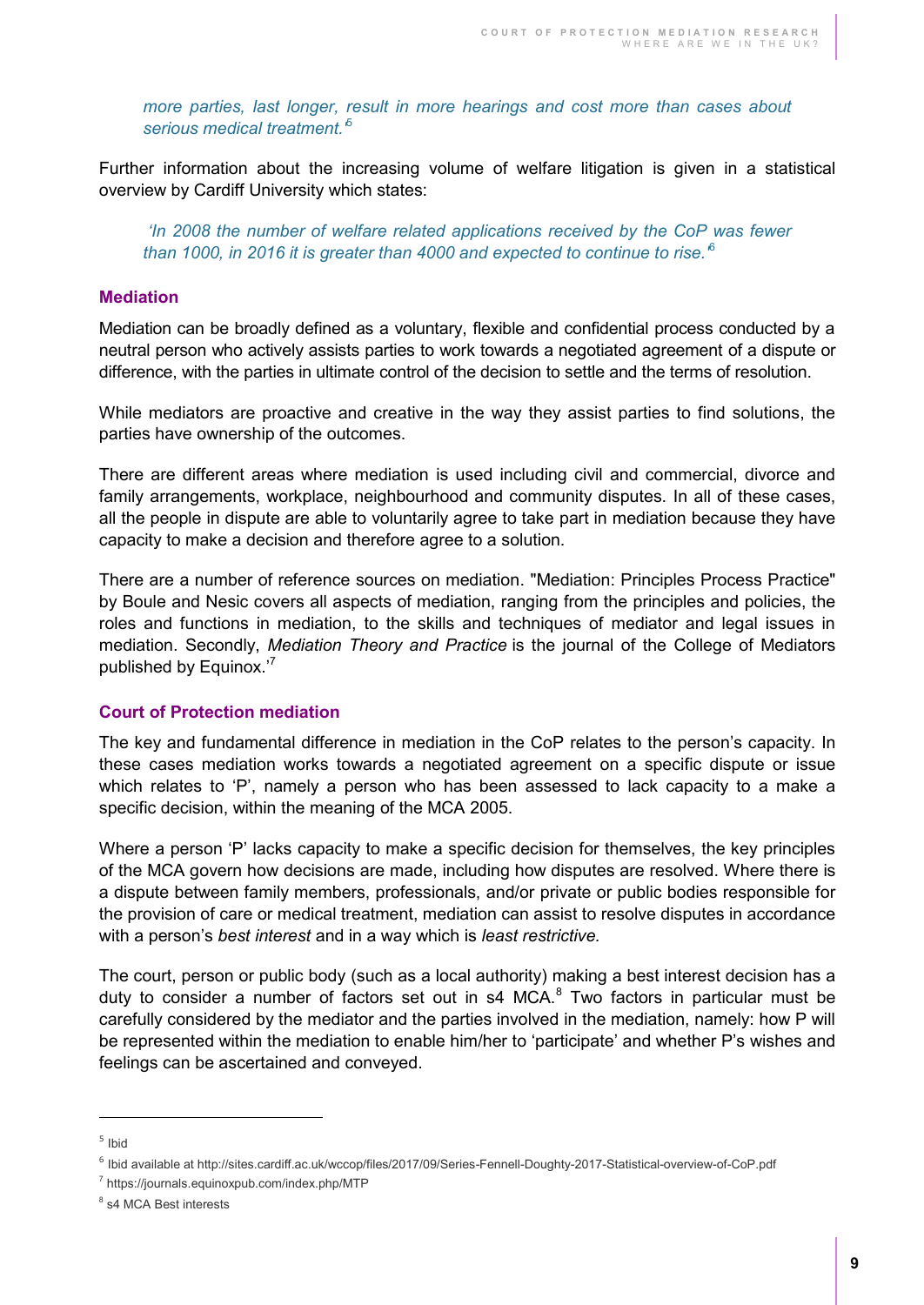*more parties, last longer, result in more hearings and cost more than cases about*  serious medical treatment.<sup>5</sup>

Further information about the increasing volume of welfare litigation is given in a statistical overview by Cardiff University which states:

*'In 2008 the number of welfare related applications received by the CoP was fewer than 1000, in 2016 it is greater than 4000 and expected to continue to rise.'*<sup>6</sup>

#### <span id="page-8-0"></span>**Mediation**

Mediation can be broadly defined as a voluntary, flexible and confidential process conducted by a neutral person who actively assists parties to work towards a negotiated agreement of a dispute or difference, with the parties in ultimate control of the decision to settle and the terms of resolution.

While mediators are proactive and creative in the way they assist parties to find solutions, the parties have ownership of the outcomes.

There are different areas where mediation is used including civil and commercial, divorce and family arrangements, workplace, neighbourhood and community disputes. In all of these cases, all the people in dispute are able to voluntarily agree to take part in mediation because they have capacity to make a decision and therefore agree to a solution.

There are a number of reference sources on mediation. "Mediation: Principles Process Practice" by Boule and Nesic covers all aspects of mediation, ranging from the principles and policies, the roles and functions in mediation, to the skills and techniques of mediator and legal issues in mediation. Secondly, *Mediation Theory and Practice* is the journal of the College of Mediators published by Equinox.'7

#### <span id="page-8-1"></span>**Court of Protection mediation**

The key and fundamental difference in mediation in the CoP relates to the person's capacity. In these cases mediation works towards a negotiated agreement on a specific dispute or issue which relates to 'P', namely a person who has been assessed to lack capacity to a make a specific decision, within the meaning of the MCA 2005.

Where a person 'P' lacks capacity to make a specific decision for themselves, the key principles of the MCA govern how decisions are made, including how disputes are resolved. Where there is a dispute between family members, professionals, and/or private or public bodies responsible for the provision of care or medical treatment, mediation can assist to resolve disputes in accordance with a person's *best interest* and in a way which is *least restrictive.* 

The court, person or public body (such as a local authority) making a best interest decision has a duty to consider a number of factors set out in s4 MCA.<sup>8</sup> Two factors in particular must be carefully considered by the mediator and the parties involved in the mediation, namely: how P will be represented within the mediation to enable him/her to 'participate' and whether P's wishes and feelings can be ascertained and conveyed.

 $\overline{a}$ 

<sup>5</sup> Ibid

<sup>6</sup> Ibid available at http://sites.cardiff.ac.uk/wccop/files/2017/09/Series-Fennell-Doughty-2017-Statistical-overview-of-CoP.pdf

<sup>7</sup> https://journals.equinoxpub.com/index.php/MTP

<sup>&</sup>lt;sup>8</sup> s4 MCA Best interests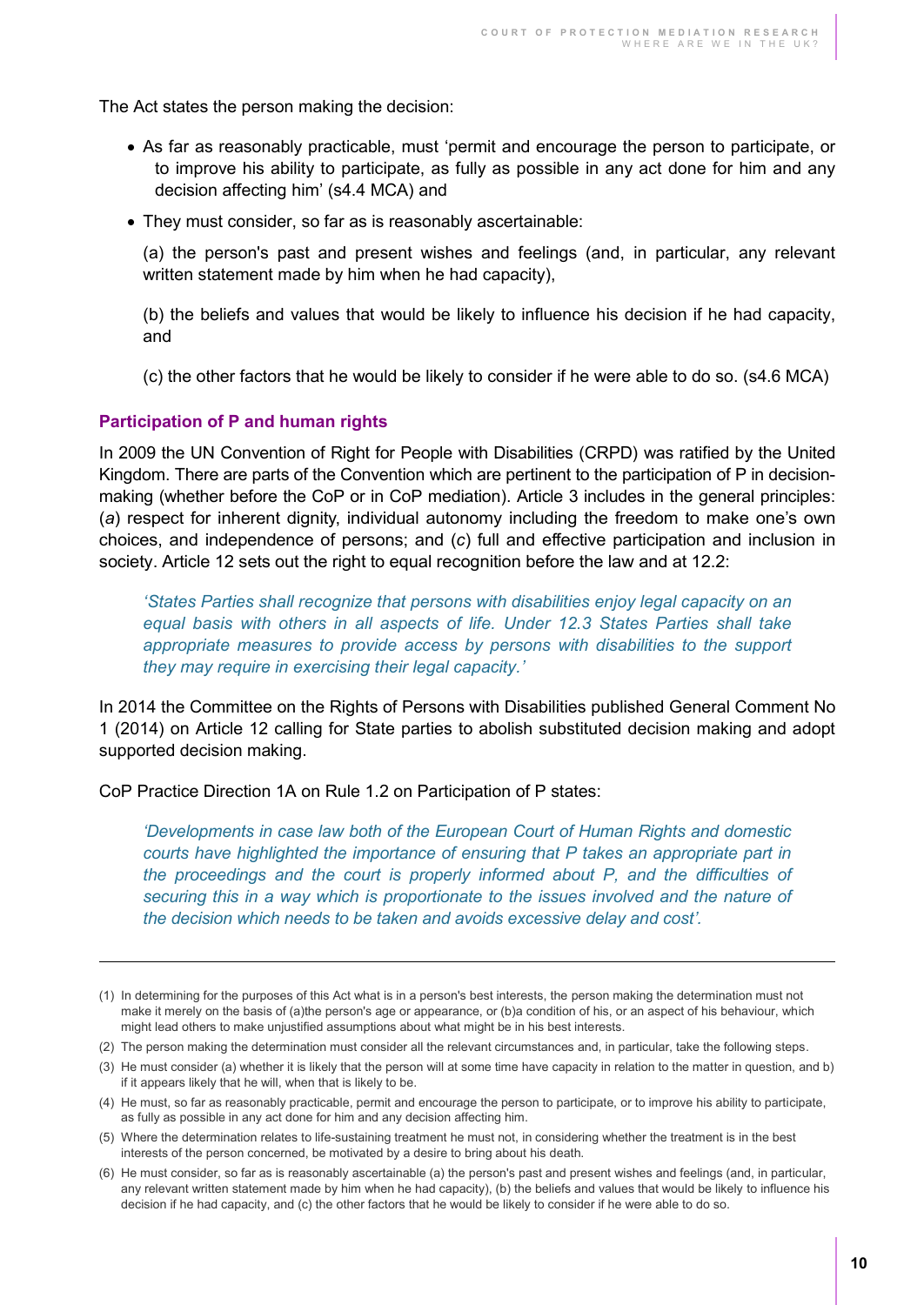The Act states the person making the decision:

- As far as reasonably practicable, must 'permit and encourage the person to participate, or to improve his ability to participate, as fully as possible in any act done for him and any decision affecting him' (s4.4 MCA) and
- They must consider, so far as is reasonably ascertainable:

(a) the person's past and present wishes and feelings (and, in particular, any relevant written statement made by him when he had capacity),

(b) the beliefs and values that would be likely to influence his decision if he had capacity, and

(c) the other factors that he would be likely to consider if he were able to do so. (s4.6 MCA)

#### <span id="page-9-0"></span>**Participation of P and human rights**

 $\overline{a}$ 

In 2009 the UN Convention of Right for People with Disabilities (CRPD) was ratified by the United Kingdom. There are parts of the Convention which are pertinent to the participation of P in decisionmaking (whether before the CoP or in CoP mediation). Article 3 includes in the general principles: (*a*) respect for inherent dignity, individual autonomy including the freedom to make one's own choices, and independence of persons; and (*c*) full and effective participation and inclusion in society. Article 12 sets out the right to equal recognition before the law and at 12.2:

*'States Parties shall recognize that persons with disabilities enjoy legal capacity on an equal basis with others in all aspects of life. Under 12.3 States Parties shall take*  appropriate measures to provide access by persons with disabilities to the support *they may require in exercising their legal capacity.'*

In 2014 the Committee on the Rights of Persons with Disabilities published General Comment No 1 (2014) on Article 12 calling for State parties to abolish substituted decision making and adopt supported decision making.

CoP Practice Direction 1A on Rule 1.2 on Participation of P states:

*'Developments in case law both of the European Court of Human Rights and domestic courts have highlighted the importance of ensuring that P takes an appropriate part in the proceedings and the court is properly informed about P, and the difficulties of securing this in a way which is proportionate to the issues involved and the nature of the decision which needs to be taken and avoids excessive delay and cost'.* 

<sup>(1)</sup> In determining for the purposes of this Act what is in a person's best interests, the person making the determination must not make it merely on the basis of (a)the person's age or appearance, or (b)a condition of his, or an aspect of his behaviour, which might lead others to make unjustified assumptions about what might be in his best interests.

<sup>(2)</sup> The person making the determination must consider all the relevant circumstances and, in particular, take the following steps.

<sup>(3)</sup> He must consider (a) whether it is likely that the person will at some time have capacity in relation to the matter in question, and b) if it appears likely that he will, when that is likely to be.

<sup>(4)</sup> He must, so far as reasonably practicable, permit and encourage the person to participate, or to improve his ability to participate, as fully as possible in any act done for him and any decision affecting him.

<sup>(5)</sup> Where the determination relates to life-sustaining treatment he must not, in considering whether the treatment is in the best interests of the person concerned, be motivated by a desire to bring about his death.

<sup>(6)</sup> He must consider, so far as is reasonably ascertainable (a) the person's past and present wishes and feelings (and, in particular, any relevant written statement made by him when he had capacity), (b) the beliefs and values that would be likely to influence his decision if he had capacity, and (c) the other factors that he would be likely to consider if he were able to do so.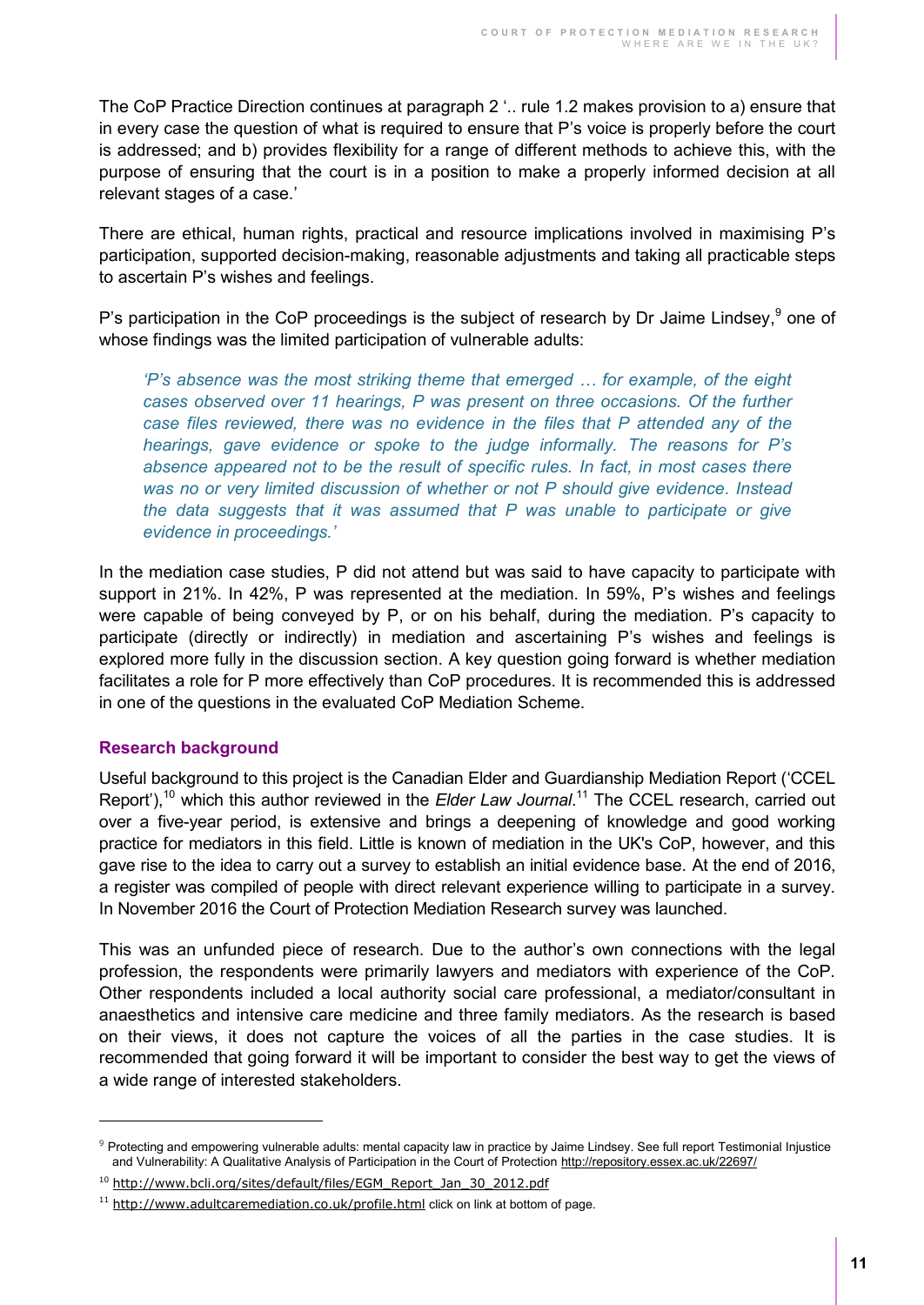The CoP Practice Direction continues at paragraph 2 '.. rule 1.2 makes provision to a) ensure that in every case the question of what is required to ensure that P's voice is properly before the court is addressed; and b) provides flexibility for a range of different methods to achieve this, with the purpose of ensuring that the court is in a position to make a properly informed decision at all relevant stages of a case.'

There are ethical, human rights, practical and resource implications involved in maximising P's participation, supported decision-making, reasonable adjustments and taking all practicable steps to ascertain P's wishes and feelings.

P's participation in the CoP proceedings is the subject of research by Dr Jaime Lindsey,<sup>9</sup> one of whose findings was the limited participation of vulnerable adults:

*'P's absence was the most striking theme that emerged … for example, of the eight cases observed over 11 hearings, P was present on three occasions. Of the further case files reviewed, there was no evidence in the files that P attended any of the hearings, gave evidence or spoke to the judge informally. The reasons for P's absence appeared not to be the result of specific rules. In fact, in most cases there was no or very limited discussion of whether or not P should give evidence. Instead the data suggests that it was assumed that P was unable to participate or give evidence in proceedings.'* 

In the mediation case studies, P did not attend but was said to have capacity to participate with support in 21%. In 42%, P was represented at the mediation. In 59%, P's wishes and feelings were capable of being conveyed by P, or on his behalf, during the mediation. P's capacity to participate (directly or indirectly) in mediation and ascertaining P's wishes and feelings is explored more fully in the discussion section. A key question going forward is whether mediation facilitates a role for P more effectively than CoP procedures. It is recommended this is addressed in one of the questions in the evaluated CoP Mediation Scheme.

#### <span id="page-10-0"></span>**Research background**

 $\overline{a}$ 

Useful background to this project is the Canadian Elder and Guardianship Mediation Report ('CCEL Report'),<sup>10</sup> which this author reviewed in the *Elder Law Journal*.<sup>11</sup> The CCEL research, carried out over a five-year period, is extensive and brings a deepening of knowledge and good working practice for mediators in this field. Little is known of mediation in the UK's CoP, however, and this gave rise to the idea to carry out a survey to establish an initial evidence base. At the end of 2016, a register was compiled of people with direct relevant experience willing to participate in a survey. In November 2016 the Court of Protection Mediation Research survey was launched.

This was an unfunded piece of research. Due to the author's own connections with the legal profession, the respondents were primarily lawyers and mediators with experience of the CoP. Other respondents included a local authority social care professional, a mediator/consultant in anaesthetics and intensive care medicine and three family mediators. As the research is based on their views, it does not capture the voices of all the parties in the case studies. It is recommended that going forward it will be important to consider the best way to get the views of a wide range of interested stakeholders.

<sup>9</sup> Protecting and empowering vulnerable adults: mental capacity law in practice by Jaime Lindsey. See full report Testimonial Injustice and Vulnerability: A Qualitative Analysis of Participation in the Court of Protectio[n http://repository.essex.ac.uk/22697/](http://repository.essex.ac.uk/22697/) 

<sup>&</sup>lt;sup>10</sup> [http://www.bcli.org/sites/default/files/EGM\\_Report\\_Jan\\_30\\_2012.pdf](http://www.bcli.org/sites/default/files/EGM_Report_Jan_30_2012.pdf)

<sup>&</sup>lt;sup>11</sup> <http://www.adultcaremediation.co.uk/profile.html> click on link at bottom of page.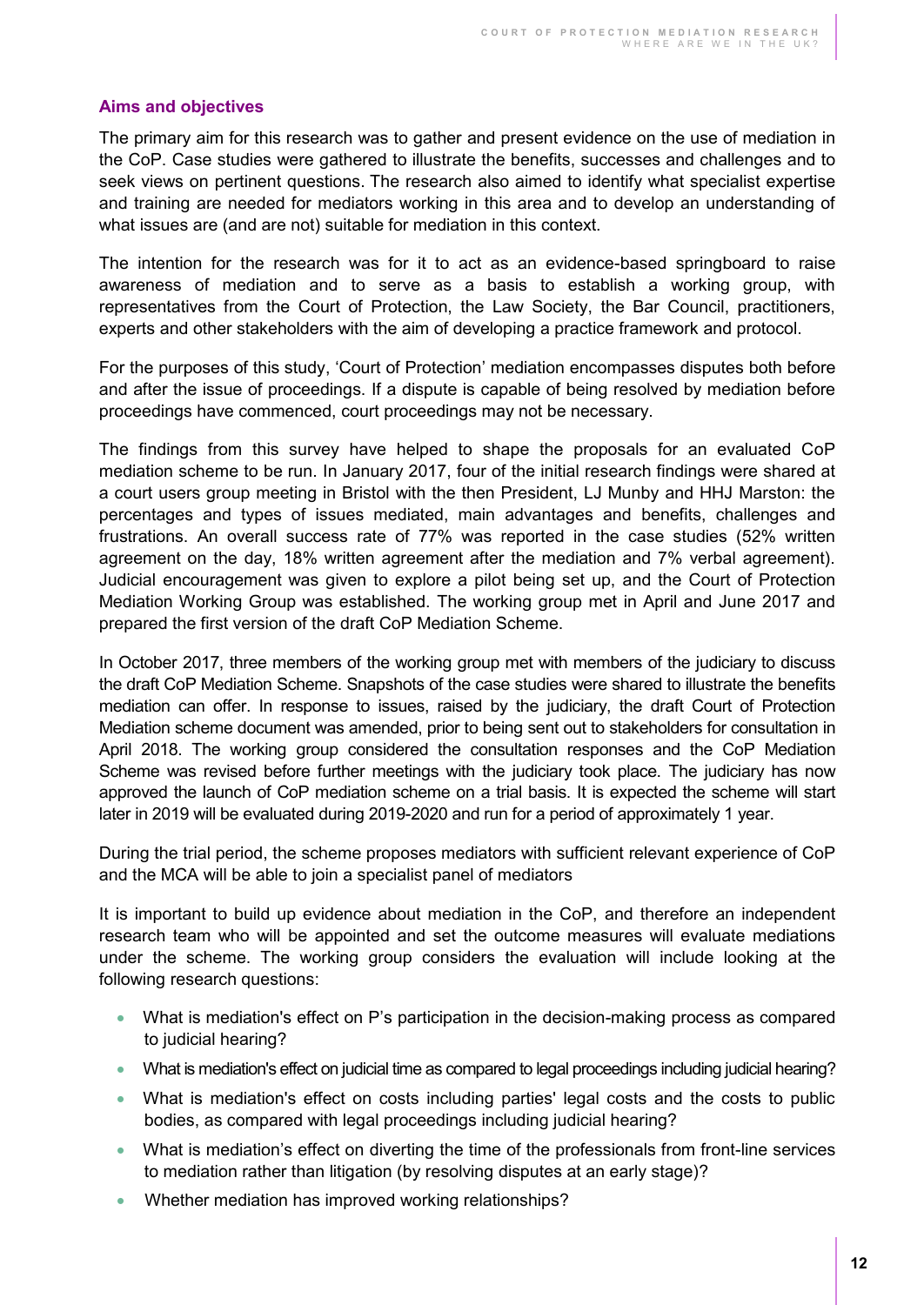#### <span id="page-11-0"></span>**Aims and objectives**

The primary aim for this research was to gather and present evidence on the use of mediation in the CoP. Case studies were gathered to illustrate the benefits, successes and challenges and to seek views on pertinent questions. The research also aimed to identify what specialist expertise and training are needed for mediators working in this area and to develop an understanding of what issues are (and are not) suitable for mediation in this context.

The intention for the research was for it to act as an evidence-based springboard to raise awareness of mediation and to serve as a basis to establish a working group, with representatives from the Court of Protection, the Law Society, the Bar Council, practitioners, experts and other stakeholders with the aim of developing a practice framework and protocol.

For the purposes of this study, 'Court of Protection' mediation encompasses disputes both before and after the issue of proceedings. If a dispute is capable of being resolved by mediation before proceedings have commenced, court proceedings may not be necessary.

The findings from this survey have helped to shape the proposals for an evaluated CoP mediation scheme to be run. In January 2017, four of the initial research findings were shared at a court users group meeting in Bristol with the then President, LJ Munby and HHJ Marston: the percentages and types of issues mediated, main advantages and benefits, challenges and frustrations. An overall success rate of 77% was reported in the case studies (52% written agreement on the day, 18% written agreement after the mediation and 7% verbal agreement). Judicial encouragement was given to explore a pilot being set up, and the Court of Protection Mediation Working Group was established. The working group met in April and June 2017 and prepared the first version of the draft CoP Mediation Scheme.

In October 2017, three members of the working group met with members of the judiciary to discuss the draft CoP Mediation Scheme. Snapshots of the case studies were shared to illustrate the benefits mediation can offer. In response to issues, raised by the judiciary, the draft Court of Protection Mediation scheme document was amended, prior to being sent out to stakeholders for consultation in April 2018. The working group considered the consultation responses and the CoP Mediation Scheme was revised before further meetings with the judiciary took place. The judiciary has now approved the launch of CoP mediation scheme on a trial basis. It is expected the scheme will start later in 2019 will be evaluated during 2019-2020 and run for a period of approximately 1 year.

During the trial period, the scheme proposes mediators with sufficient relevant experience of CoP and the MCA will be able to join a specialist panel of mediators

It is important to build up evidence about mediation in the CoP, and therefore an independent research team who will be appointed and set the outcome measures will evaluate mediations under the scheme. The working group considers the evaluation will include looking at the following research questions:

- What is mediation's effect on P's participation in the decision-making process as compared to judicial hearing?
- What is mediation's effect on judicial time as compared to legal proceedings including judicial hearing?
- What is mediation's effect on costs including parties' legal costs and the costs to public bodies, as compared with legal proceedings including judicial hearing?
- What is mediation's effect on diverting the time of the professionals from front-line services to mediation rather than litigation (by resolving disputes at an early stage)?
- Whether mediation has improved working relationships?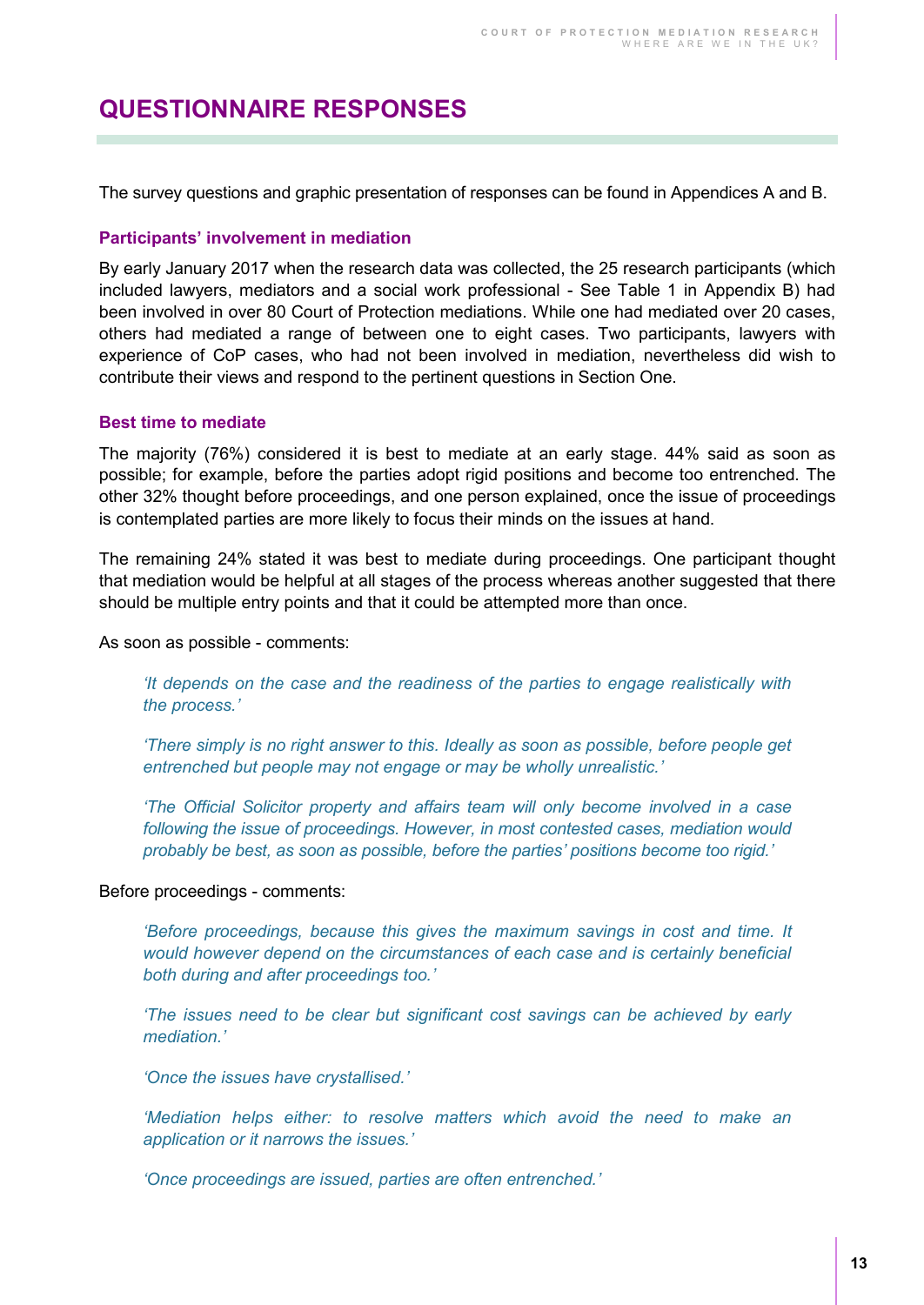### <span id="page-12-0"></span>**QUESTIONNAIRE RESPONSES**

The survey questions and graphic presentation of responses can be found in Appendices A and B.

#### <span id="page-12-1"></span>**Participants' involvement in mediation**

By early January 2017 when the research data was collected, the 25 research participants (which included lawyers, mediators and a social work professional - See Table 1 in Appendix B) had been involved in over 80 Court of Protection mediations. While one had mediated over 20 cases, others had mediated a range of between one to eight cases. Two participants, lawyers with experience of CoP cases, who had not been involved in mediation, nevertheless did wish to contribute their views and respond to the pertinent questions in Section One.

#### <span id="page-12-2"></span>**Best time to mediate**

The majority (76%) considered it is best to mediate at an early stage. 44% said as soon as possible; for example, before the parties adopt rigid positions and become too entrenched. The other 32% thought before proceedings, and one person explained, once the issue of proceedings is contemplated parties are more likely to focus their minds on the issues at hand.

The remaining 24% stated it was best to mediate during proceedings. One participant thought that mediation would be helpful at all stages of the process whereas another suggested that there should be multiple entry points and that it could be attempted more than once.

As soon as possible - comments:

*'It depends on the case and the readiness of the parties to engage realistically with the process.'*

*'There simply is no right answer to this. Ideally as soon as possible, before people get entrenched but people may not engage or may be wholly unrealistic.'* 

*'The Official Solicitor property and affairs team will only become involved in a case following the issue of proceedings. However, in most contested cases, mediation would probably be best, as soon as possible, before the parties' positions become too rigid.'* 

Before proceedings - comments:

*'Before proceedings, because this gives the maximum savings in cost and time. It would however depend on the circumstances of each case and is certainly beneficial both during and after proceedings too.'*

*'The issues need to be clear but significant cost savings can be achieved by early mediation.'* 

*'Once the issues have crystallised.'*

*'Mediation helps either: to resolve matters which avoid the need to make an application or it narrows the issues.'* 

*'Once proceedings are issued, parties are often entrenched.'*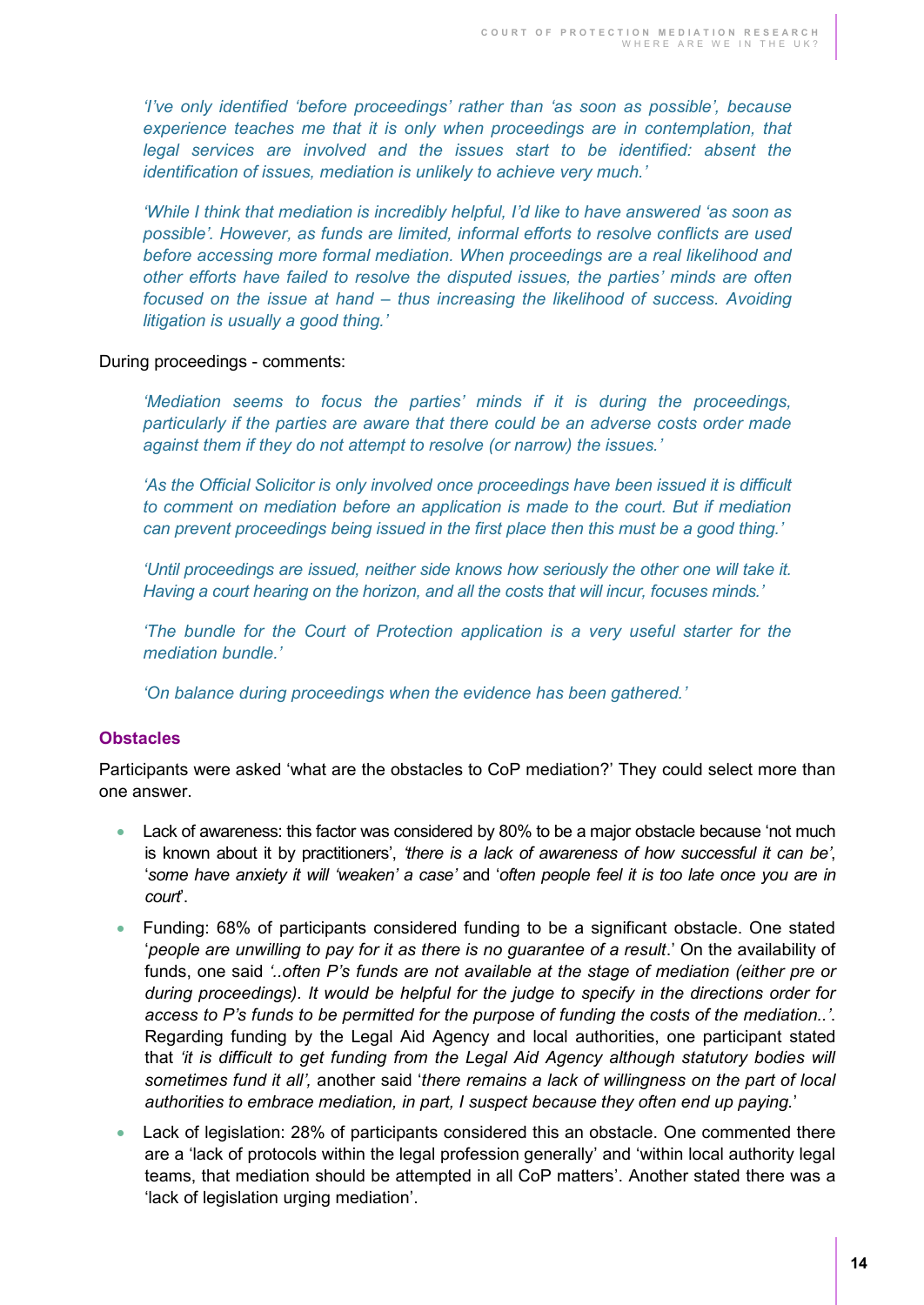*'I've only identified 'before proceedings' rather than 'as soon as possible', because*  experience teaches me that it is only when proceedings are in contemplation, that *legal services are involved and the issues start to be identified: absent the identification of issues, mediation is unlikely to achieve very much.'*

*'While I think that mediation is incredibly helpful, I'd like to have answered 'as soon as possible'. However, as funds are limited, informal efforts to resolve conflicts are used before accessing more formal mediation. When proceedings are a real likelihood and other efforts have failed to resolve the disputed issues, the parties' minds are often focused on the issue at hand – thus increasing the likelihood of success. Avoiding litigation is usually a good thing.'* 

#### During proceedings - comments:

*'Mediation seems to focus the parties' minds if it is during the proceedings, particularly if the parties are aware that there could be an adverse costs order made against them if they do not attempt to resolve (or narrow) the issues.'*

*'As the Official Solicitor is only involved once proceedings have been issued it is difficult to comment on mediation before an application is made to the court. But if mediation can prevent proceedings being issued in the first place then this must be a good thing.'* 

*'Until proceedings are issued, neither side knows how seriously the other one will take it. Having a court hearing on the horizon, and all the costs that will incur, focuses minds.'* 

*'The bundle for the Court of Protection application is a very useful starter for the mediation bundle.'* 

*'On balance during proceedings when the evidence has been gathered.'* 

#### <span id="page-13-0"></span>**Obstacles**

Participants were asked 'what are the obstacles to CoP mediation?' They could select more than one answer.

- Lack of awareness: this factor was considered by 80% to be a major obstacle because 'not much is known about it by practitioners', *'there is a lack of awareness of how successful it can be'*, '*some have anxiety it will 'weaken' a case'* and '*often people feel it is too late once you are in court*'.
- Funding: 68% of participants considered funding to be a significant obstacle. One stated '*people are unwilling to pay for it as there is no guarantee of a result*.' On the availability of funds, one said *'..often P's funds are not available at the stage of mediation (either pre or during proceedings). It would be helpful for the judge to specify in the directions order for access to P's funds to be permitted for the purpose of funding the costs of the mediation..'*. Regarding funding by the Legal Aid Agency and local authorities, one participant stated that *'it is difficult to get funding from the Legal Aid Agency although statutory bodies will sometimes fund it all',* another said '*there remains a lack of willingness on the part of local authorities to embrace mediation, in part, I suspect because they often end up paying.*'
- Lack of legislation: 28% of participants considered this an obstacle. One commented there are a 'lack of protocols within the legal profession generally' and 'within local authority legal teams, that mediation should be attempted in all CoP matters'. Another stated there was a 'lack of legislation urging mediation'.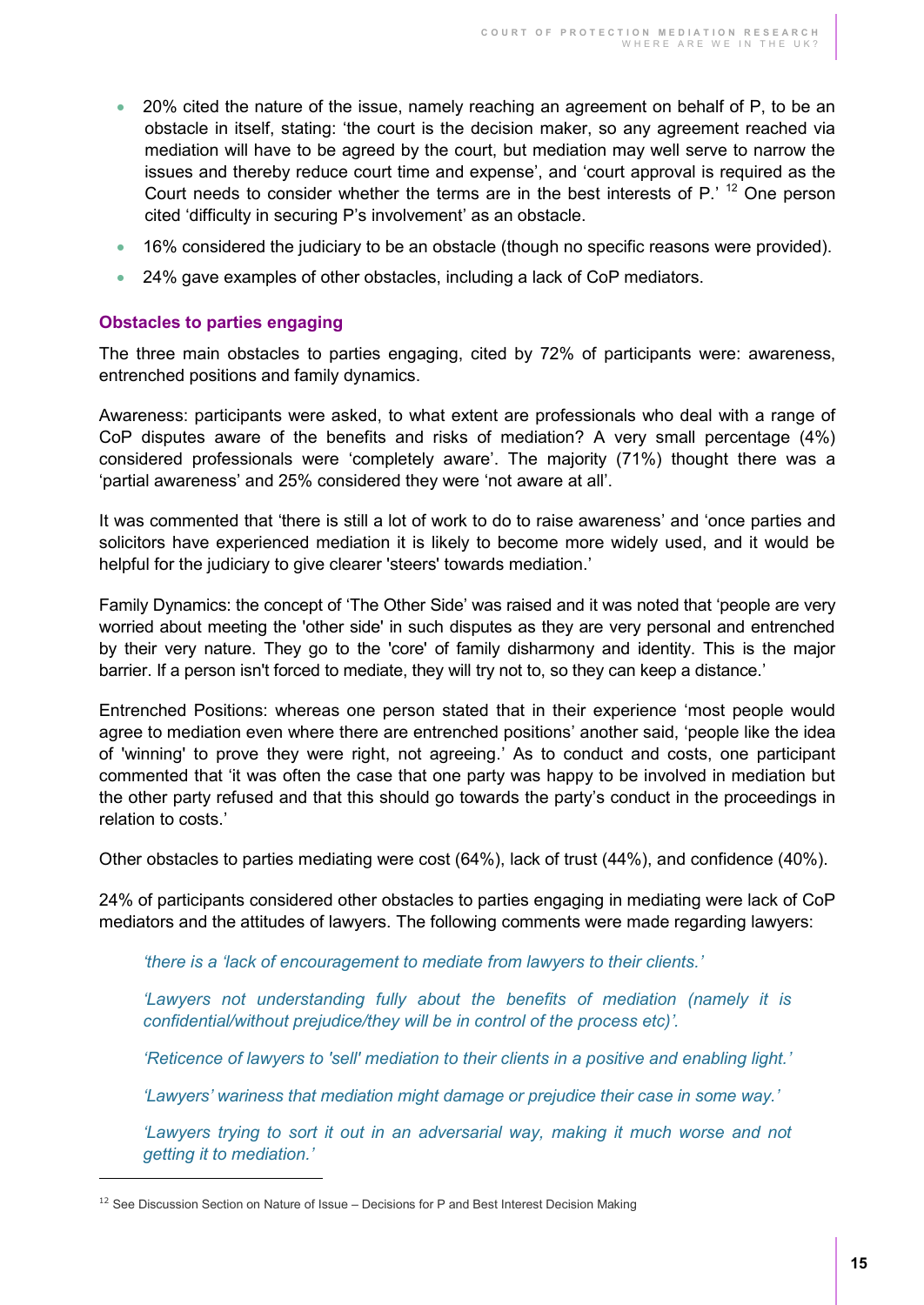- 20% cited the nature of the issue, namely reaching an agreement on behalf of P, to be an obstacle in itself, stating: 'the court is the decision maker, so any agreement reached via mediation will have to be agreed by the court, but mediation may well serve to narrow the issues and thereby reduce court time and expense', and 'court approval is required as the Court needs to consider whether the terms are in the best interests of  $P$ .<sup>'12</sup> One person cited 'difficulty in securing P's involvement' as an obstacle.
- 16% considered the judiciary to be an obstacle (though no specific reasons were provided).
- 24% gave examples of other obstacles, including a lack of CoP mediators.

#### <span id="page-14-0"></span>**Obstacles to parties engaging**

The three main obstacles to parties engaging, cited by 72% of participants were: awareness, entrenched positions and family dynamics.

Awareness: participants were asked, to what extent are professionals who deal with a range of CoP disputes aware of the benefits and risks of mediation? A very small percentage (4%) considered professionals were 'completely aware'. The majority (71%) thought there was a 'partial awareness' and 25% considered they were 'not aware at all'.

It was commented that 'there is still a lot of work to do to raise awareness' and 'once parties and solicitors have experienced mediation it is likely to become more widely used, and it would be helpful for the judiciary to give clearer 'steers' towards mediation.'

Family Dynamics: the concept of 'The Other Side' was raised and it was noted that 'people are very worried about meeting the 'other side' in such disputes as they are very personal and entrenched by their very nature. They go to the 'core' of family disharmony and identity. This is the major barrier. If a person isn't forced to mediate, they will try not to, so they can keep a distance.'

Entrenched Positions: whereas one person stated that in their experience 'most people would agree to mediation even where there are entrenched positions' another said, 'people like the idea of 'winning' to prove they were right, not agreeing.' As to conduct and costs, one participant commented that 'it was often the case that one party was happy to be involved in mediation but the other party refused and that this should go towards the party's conduct in the proceedings in relation to costs.'

Other obstacles to parties mediating were cost (64%), lack of trust (44%), and confidence (40%).

24% of participants considered other obstacles to parties engaging in mediating were lack of CoP mediators and the attitudes of lawyers. The following comments were made regarding lawyers:

*'there is a 'lack of encouragement to mediate from lawyers to their clients.'* 

*'Lawyers not understanding fully about the benefits of mediation (namely it is confidential/without prejudice/they will be in control of the process etc)'.* 

*'Reticence of lawyers to 'sell' mediation to their clients in a positive and enabling light.'* 

*'Lawyers' wariness that mediation might damage or prejudice their case in some way.'*

*'Lawyers trying to sort it out in an adversarial way, making it much worse and not getting it to mediation.'* 

 $\overline{a}$ 

 $12$  See Discussion Section on Nature of Issue – Decisions for P and Best Interest Decision Making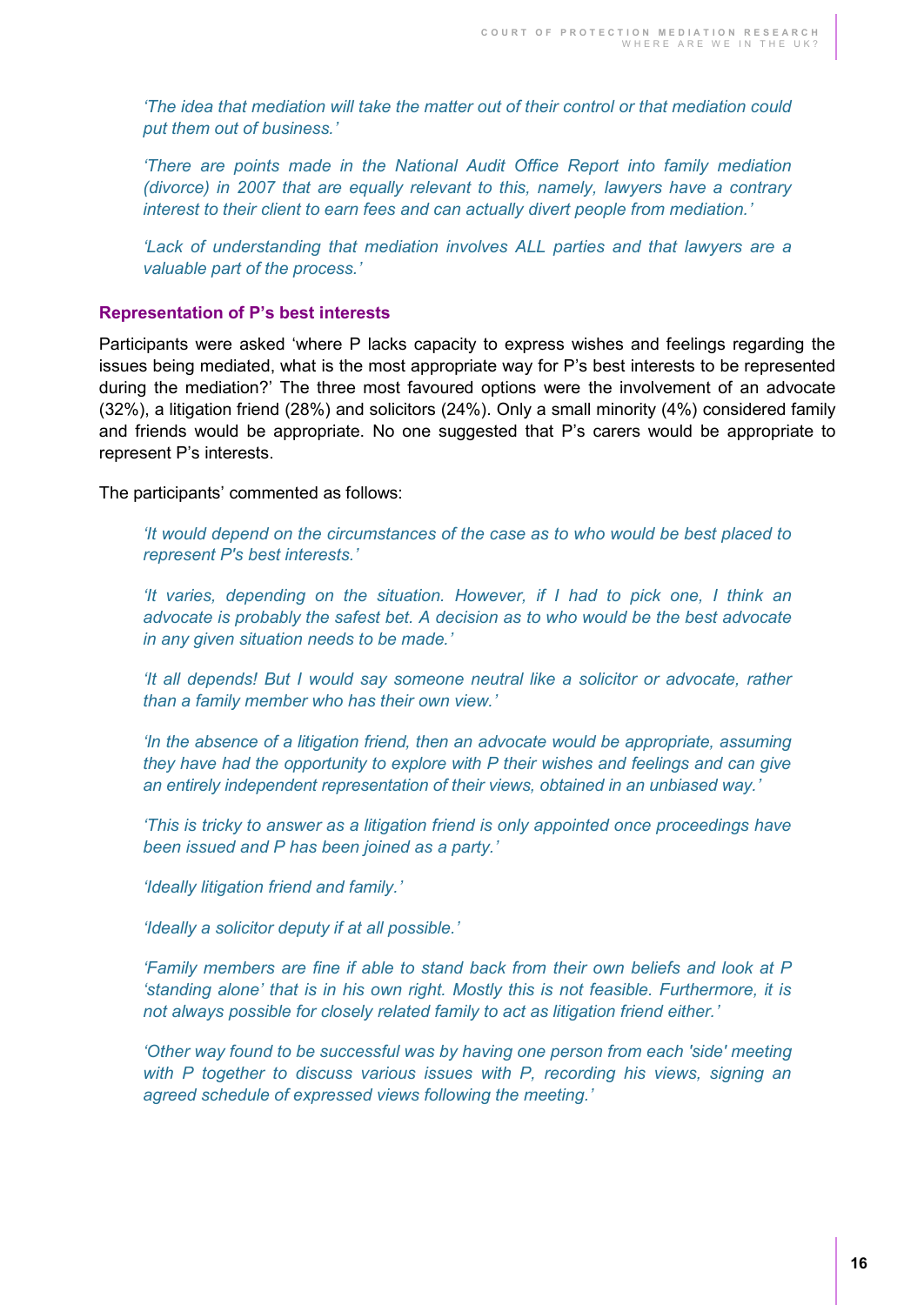*'The idea that mediation will take the matter out of their control or that mediation could put them out of business.'* 

*'There are points made in the National Audit Office Report into family mediation (divorce) in 2007 that are equally relevant to this, namely, lawyers have a contrary interest to their client to earn fees and can actually divert people from mediation.'*

*'Lack of understanding that mediation involves ALL parties and that lawyers are a valuable part of the process.'*

#### <span id="page-15-0"></span>**Representation of P's best interests**

Participants were asked 'where P lacks capacity to express wishes and feelings regarding the issues being mediated, what is the most appropriate way for P's best interests to be represented during the mediation?' The three most favoured options were the involvement of an advocate (32%), a litigation friend (28%) and solicitors (24%). Only a small minority (4%) considered family and friends would be appropriate. No one suggested that P's carers would be appropriate to represent P's interests.

The participants' commented as follows:

*'It would depend on the circumstances of the case as to who would be best placed to represent P's best interests.'*

*'It varies, depending on the situation. However, if I had to pick one, I think an advocate is probably the safest bet. A decision as to who would be the best advocate in any given situation needs to be made.'*

*'It all depends! But I would say someone neutral like a solicitor or advocate, rather than a family member who has their own view.'*

*'In the absence of a litigation friend, then an advocate would be appropriate, assuming they have had the opportunity to explore with P their wishes and feelings and can give an entirely independent representation of their views, obtained in an unbiased way.'*

*'This is tricky to answer as a litigation friend is only appointed once proceedings have been issued and P has been joined as a party.'* 

*'Ideally litigation friend and family.'*

*'Ideally a solicitor deputy if at all possible.'*

*'Family members are fine if able to stand back from their own beliefs and look at P 'standing alone' that is in his own right. Mostly this is not feasible. Furthermore, it is not always possible for closely related family to act as litigation friend either.'*

*'Other way found to be successful was by having one person from each 'side' meeting with P together to discuss various issues with P, recording his views, signing an agreed schedule of expressed views following the meeting.'*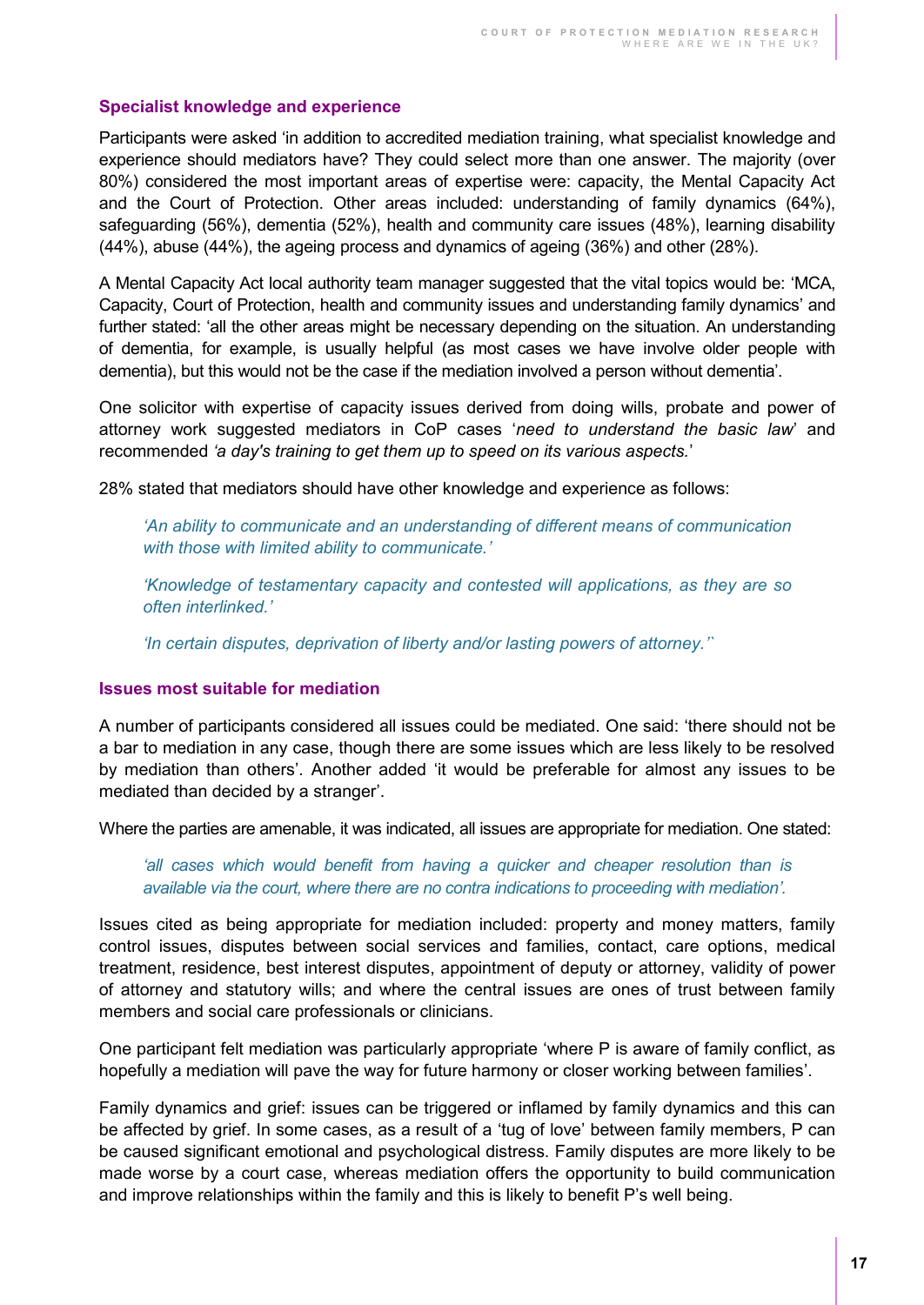#### <span id="page-16-0"></span>**Specialist knowledge and experience**

Participants were asked 'in addition to accredited mediation training, what specialist knowledge and experience should mediators have? They could select more than one answer. The majority (over 80%) considered the most important areas of expertise were: capacity, the Mental Capacity Act and the Court of Protection. Other areas included: understanding of family dynamics (64%), safeguarding (56%), dementia (52%), health and community care issues (48%), learning disability (44%), abuse (44%), the ageing process and dynamics of ageing (36%) and other (28%).

A Mental Capacity Act local authority team manager suggested that the vital topics would be: 'MCA, Capacity, Court of Protection, health and community issues and understanding family dynamics' and further stated: 'all the other areas might be necessary depending on the situation. An understanding of dementia, for example, is usually helpful (as most cases we have involve older people with dementia), but this would not be the case if the mediation involved a person without dementia'.

One solicitor with expertise of capacity issues derived from doing wills, probate and power of attorney work suggested mediators in CoP cases '*need to understand the basic law*' and recommended *'a day's training to get them up to speed on its various aspects.*'

28% stated that mediators should have other knowledge and experience as follows:

*'An ability to communicate and an understanding of different means of communication with those with limited ability to communicate.'*

*'Knowledge of testamentary capacity and contested will applications, as they are so often interlinked.'*

*'In certain disputes, deprivation of liberty and/or lasting powers of attorney.'`* 

#### <span id="page-16-1"></span>**Issues most suitable for mediation**

A number of participants considered all issues could be mediated. One said: 'there should not be a bar to mediation in any case, though there are some issues which are less likely to be resolved by mediation than others'. Another added 'it would be preferable for almost any issues to be mediated than decided by a stranger'.

Where the parties are amenable, it was indicated, all issues are appropriate for mediation. One stated:

*'all cases which would benefit from having a quicker and cheaper resolution than is available via the court, where there are no contra indications to proceeding with mediation'.* 

Issues cited as being appropriate for mediation included: property and money matters, family control issues, disputes between social services and families, contact, care options, medical treatment, residence, best interest disputes, appointment of deputy or attorney, validity of power of attorney and statutory wills; and where the central issues are ones of trust between family members and social care professionals or clinicians.

One participant felt mediation was particularly appropriate 'where P is aware of family conflict, as hopefully a mediation will pave the way for future harmony or closer working between families'.

Family dynamics and grief: issues can be triggered or inflamed by family dynamics and this can be affected by grief. In some cases, as a result of a 'tug of love' between family members, P can be caused significant emotional and psychological distress. Family disputes are more likely to be made worse by a court case, whereas mediation offers the opportunity to build communication and improve relationships within the family and this is likely to benefit P's well being.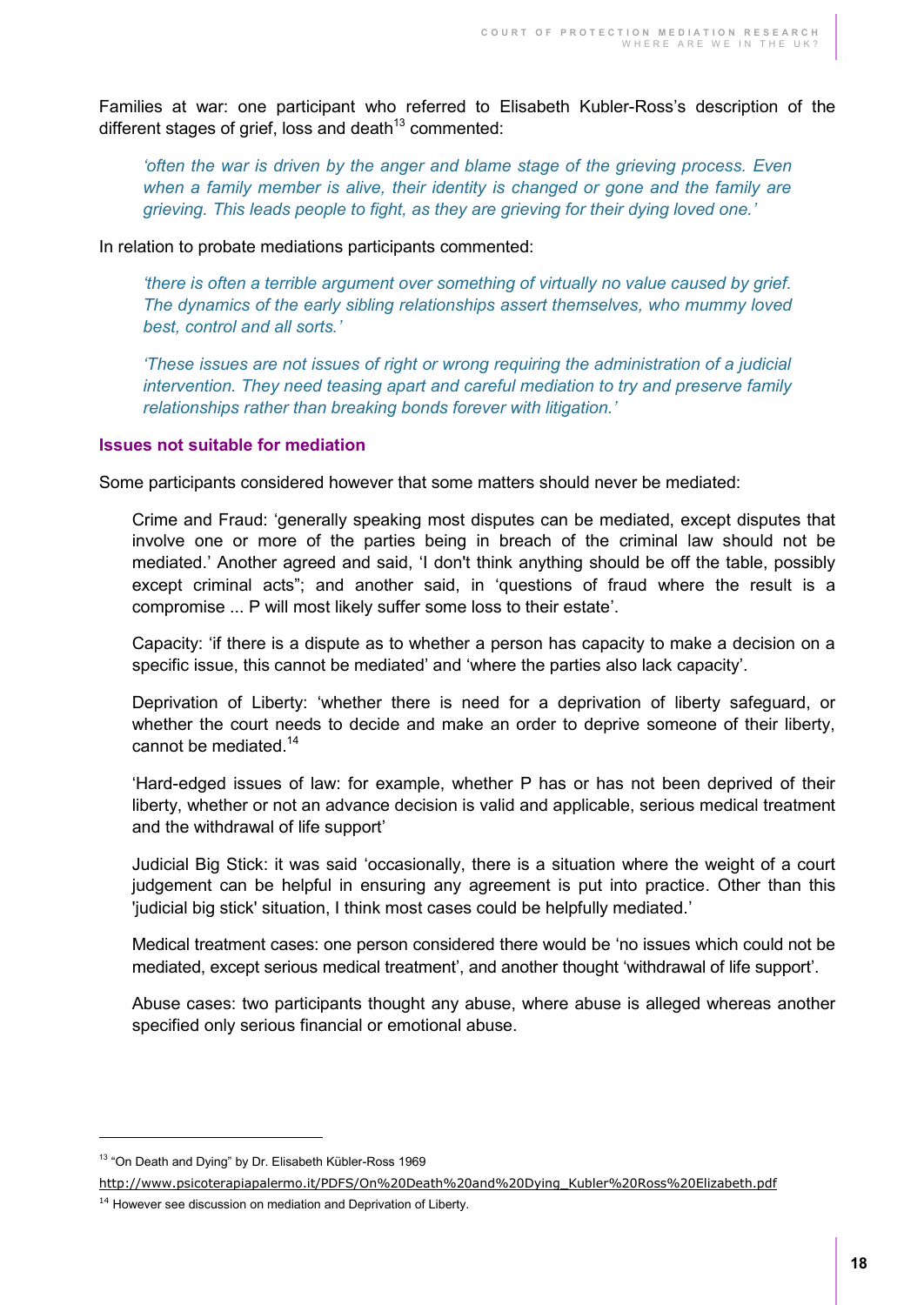Families at war: one participant who referred to Elisabeth Kubler-Ross's description of the different stages of grief, loss and death $13$  commented:

*'often the war is driven by the anger and blame stage of the grieving process. Even*  when a family member is alive, their identity is changed or gone and the family are *grieving. This leads people to fight, as they are grieving for their dying loved one.'*

In relation to probate mediations participants commented:

*'there is often a terrible argument over something of virtually no value caused by grief. The dynamics of the early sibling relationships assert themselves, who mummy loved best, control and all sorts.'*

*'These issues are not issues of right or wrong requiring the administration of a judicial intervention. They need teasing apart and careful mediation to try and preserve family relationships rather than breaking bonds forever with litigation.'*

#### <span id="page-17-0"></span>**Issues not suitable for mediation**

Some participants considered however that some matters should never be mediated:

Crime and Fraud: 'generally speaking most disputes can be mediated, except disputes that involve one or more of the parties being in breach of the criminal law should not be mediated.' Another agreed and said, 'I don't think anything should be off the table, possibly except criminal acts"; and another said, in 'questions of fraud where the result is a compromise ... P will most likely suffer some loss to their estate'.

Capacity: 'if there is a dispute as to whether a person has capacity to make a decision on a specific issue, this cannot be mediated' and 'where the parties also lack capacity'.

Deprivation of Liberty: 'whether there is need for a deprivation of liberty safeguard, or whether the court needs to decide and make an order to deprive someone of their liberty, cannot be mediated. $14$ 

'Hard-edged issues of law: for example, whether P has or has not been deprived of their liberty, whether or not an advance decision is valid and applicable, serious medical treatment and the withdrawal of life support'

Judicial Big Stick: it was said 'occasionally, there is a situation where the weight of a court judgement can be helpful in ensuring any agreement is put into practice. Other than this 'judicial big stick' situation, I think most cases could be helpfully mediated.'

Medical treatment cases: one person considered there would be 'no issues which could not be mediated, except serious medical treatment', and another thought 'withdrawal of life support'.

Abuse cases: two participants thought any abuse, where abuse is alleged whereas another specified only serious financial or emotional abuse.

 $\overline{a}$ 

<sup>&</sup>lt;sup>13</sup> "On Death and Dying" by Dr. Elisabeth Kübler-Ross 1969

[http://www.psicoterapiapalermo.it/PDFS/On%20Death%20and%20Dying\\_Kubler%20Ross%20Elizabeth.pdf](http://www.psicoterapiapalermo.it/PDFS/On%20Death%20and%20Dying_Kubler%20Ross%20Elizabeth.pdf)

 $14$  However see discussion on mediation and Deprivation of Liberty.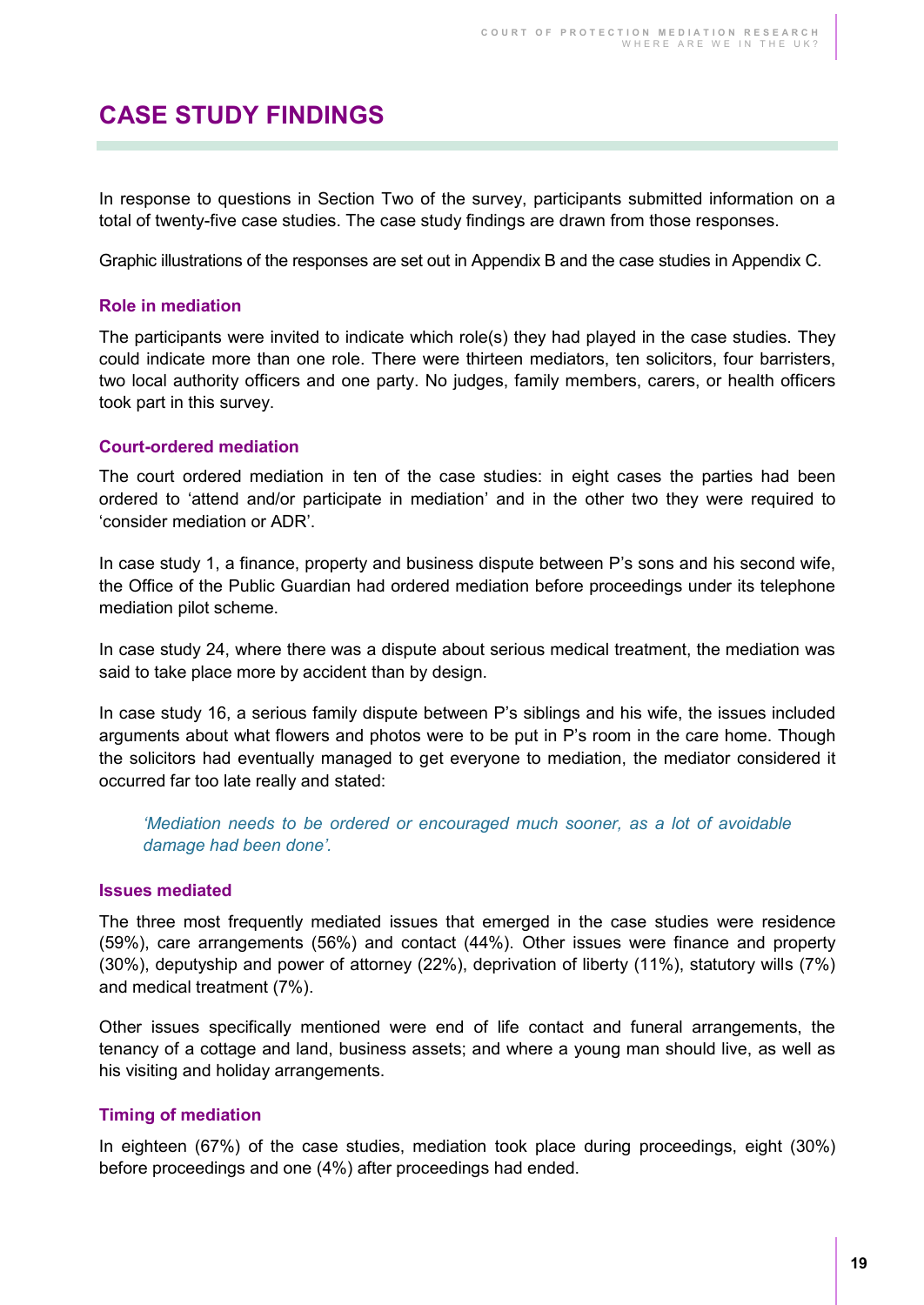# <span id="page-18-0"></span>**CASE STUDY FINDINGS**

In response to questions in Section Two of the survey, participants submitted information on a total of twenty-five case studies. The case study findings are drawn from those responses.

Graphic illustrations of the responses are set out in Appendix B and the case studies in Appendix C.

#### <span id="page-18-1"></span>**Role in mediation**

The participants were invited to indicate which role(s) they had played in the case studies. They could indicate more than one role. There were thirteen mediators, ten solicitors, four barristers, two local authority officers and one party. No judges, family members, carers, or health officers took part in this survey.

#### <span id="page-18-2"></span>**Court-ordered mediation**

The court ordered mediation in ten of the case studies: in eight cases the parties had been ordered to 'attend and/or participate in mediation' and in the other two they were required to 'consider mediation or ADR'.

In case study 1, a finance, property and business dispute between P's sons and his second wife, the Office of the Public Guardian had ordered mediation before proceedings under its telephone mediation pilot scheme.

In case study 24, where there was a dispute about serious medical treatment, the mediation was said to take place more by accident than by design.

In case study 16, a serious family dispute between P's siblings and his wife, the issues included arguments about what flowers and photos were to be put in P's room in the care home. Though the solicitors had eventually managed to get everyone to mediation, the mediator considered it occurred far too late really and stated:

*'Mediation needs to be ordered or encouraged much sooner, as a lot of avoidable damage had been done'.* 

#### <span id="page-18-3"></span>**Issues mediated**

The three most frequently mediated issues that emerged in the case studies were residence (59%), care arrangements (56%) and contact (44%). Other issues were finance and property (30%), deputyship and power of attorney (22%), deprivation of liberty (11%), statutory wills (7%) and medical treatment (7%).

Other issues specifically mentioned were end of life contact and funeral arrangements, the tenancy of a cottage and land, business assets; and where a young man should live, as well as his visiting and holiday arrangements.

#### <span id="page-18-4"></span>**Timing of mediation**

In eighteen (67%) of the case studies, mediation took place during proceedings, eight (30%) before proceedings and one (4%) after proceedings had ended.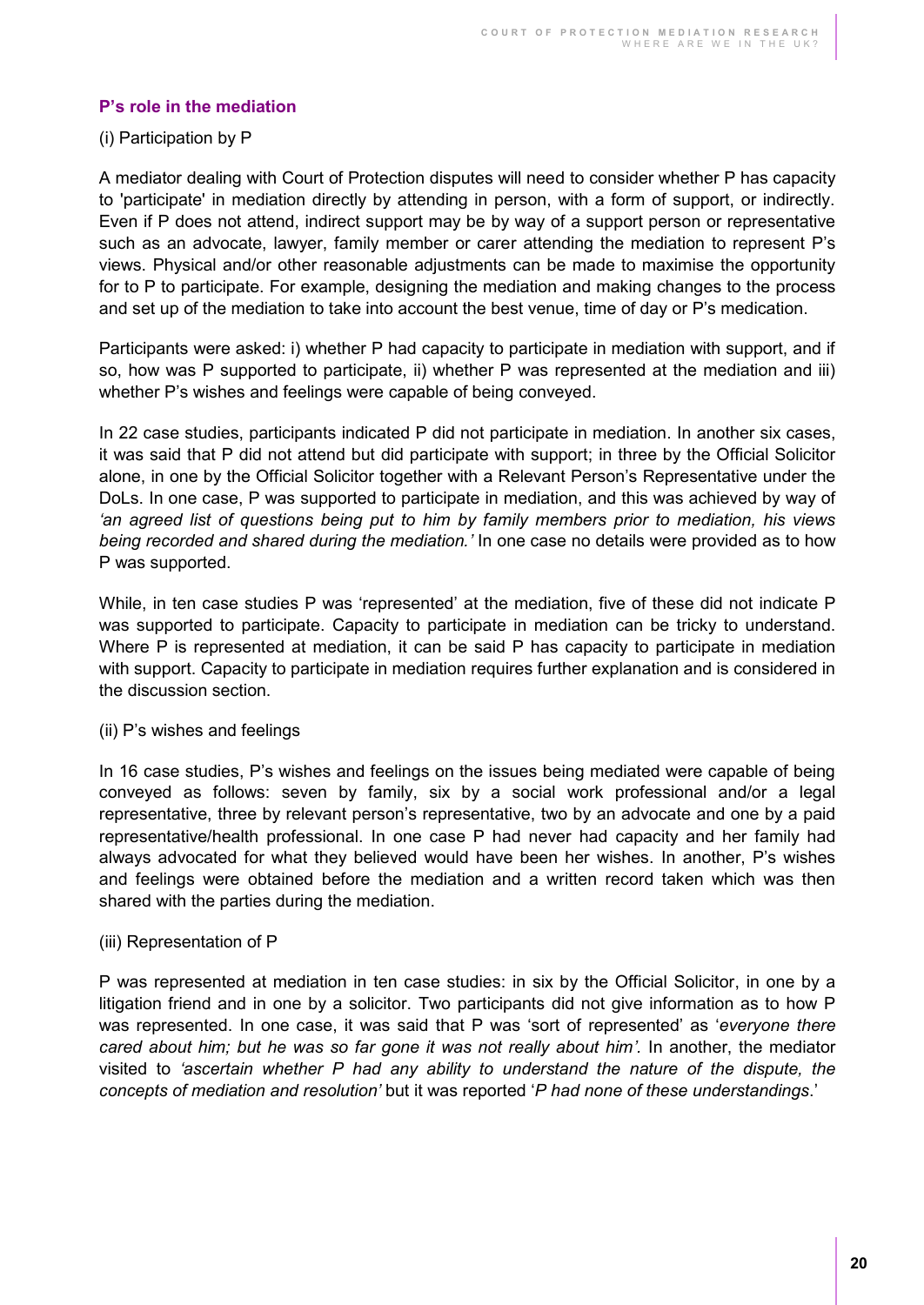#### <span id="page-19-0"></span>**P's role in the mediation**

#### (i) Participation by P

A mediator dealing with Court of Protection disputes will need to consider whether P has capacity to 'participate' in mediation directly by attending in person, with a form of support, or indirectly. Even if P does not attend, indirect support may be by way of a support person or representative such as an advocate, lawyer, family member or carer attending the mediation to represent P's views. Physical and/or other reasonable adjustments can be made to maximise the opportunity for to P to participate. For example, designing the mediation and making changes to the process and set up of the mediation to take into account the best venue, time of day or P's medication.

Participants were asked: i) whether P had capacity to participate in mediation with support, and if so, how was P supported to participate, ii) whether P was represented at the mediation and iii) whether P's wishes and feelings were capable of being conveyed.

In 22 case studies, participants indicated P did not participate in mediation. In another six cases, it was said that P did not attend but did participate with support; in three by the Official Solicitor alone, in one by the Official Solicitor together with a Relevant Person's Representative under the DoLs. In one case, P was supported to participate in mediation, and this was achieved by way of *'an agreed list of questions being put to him by family members prior to mediation, his views being recorded and shared during the mediation.'* In one case no details were provided as to how P was supported.

While, in ten case studies P was 'represented' at the mediation, five of these did not indicate P was supported to participate. Capacity to participate in mediation can be tricky to understand. Where P is represented at mediation, it can be said P has capacity to participate in mediation with support. Capacity to participate in mediation requires further explanation and is considered in the discussion section.

#### (ii) P's wishes and feelings

In 16 case studies, P's wishes and feelings on the issues being mediated were capable of being conveyed as follows: seven by family, six by a social work professional and/or a legal representative, three by relevant person's representative, two by an advocate and one by a paid representative/health professional. In one case P had never had capacity and her family had always advocated for what they believed would have been her wishes. In another, P's wishes and feelings were obtained before the mediation and a written record taken which was then shared with the parties during the mediation.

#### (iii) Representation of P

P was represented at mediation in ten case studies: in six by the Official Solicitor, in one by a litigation friend and in one by a solicitor. Two participants did not give information as to how P was represented. In one case, it was said that P was 'sort of represented' as '*everyone there cared about him; but he was so far gone it was not really about him'.* In another, the mediator visited to *'ascertain whether P had any ability to understand the nature of the dispute, the concepts of mediation and resolution'* but it was reported '*P had none of these understandings*.'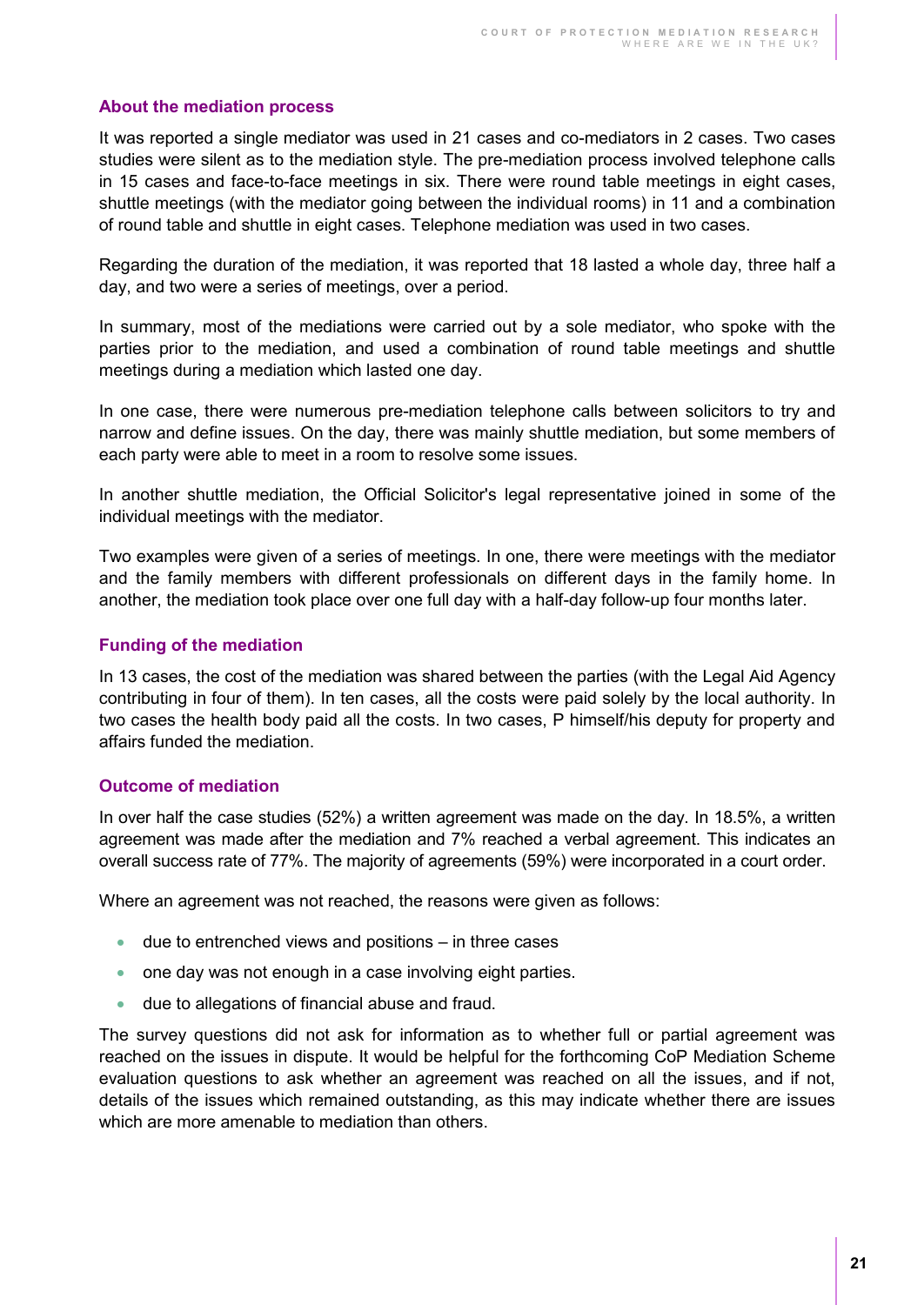#### <span id="page-20-0"></span>**About the mediation process**

It was reported a single mediator was used in 21 cases and co-mediators in 2 cases. Two cases studies were silent as to the mediation style. The pre-mediation process involved telephone calls in 15 cases and face-to-face meetings in six. There were round table meetings in eight cases, shuttle meetings (with the mediator going between the individual rooms) in 11 and a combination of round table and shuttle in eight cases. Telephone mediation was used in two cases.

Regarding the duration of the mediation, it was reported that 18 lasted a whole day, three half a day, and two were a series of meetings, over a period.

In summary, most of the mediations were carried out by a sole mediator, who spoke with the parties prior to the mediation, and used a combination of round table meetings and shuttle meetings during a mediation which lasted one day.

In one case, there were numerous pre-mediation telephone calls between solicitors to try and narrow and define issues. On the day, there was mainly shuttle mediation, but some members of each party were able to meet in a room to resolve some issues.

In another shuttle mediation, the Official Solicitor's legal representative joined in some of the individual meetings with the mediator.

Two examples were given of a series of meetings. In one, there were meetings with the mediator and the family members with different professionals on different days in the family home. In another, the mediation took place over one full day with a half-day follow-up four months later.

#### <span id="page-20-1"></span>**Funding of the mediation**

In 13 cases, the cost of the mediation was shared between the parties (with the Legal Aid Agency contributing in four of them). In ten cases, all the costs were paid solely by the local authority. In two cases the health body paid all the costs. In two cases, P himself/his deputy for property and affairs funded the mediation.

#### <span id="page-20-2"></span>**Outcome of mediation**

In over half the case studies (52%) a written agreement was made on the day. In 18.5%, a written agreement was made after the mediation and 7% reached a verbal agreement. This indicates an overall success rate of 77%. The majority of agreements (59%) were incorporated in a court order.

Where an agreement was not reached, the reasons were given as follows:

- $\bullet$  due to entrenched views and positions in three cases
- one day was not enough in a case involving eight parties.
- due to allegations of financial abuse and fraud.

The survey questions did not ask for information as to whether full or partial agreement was reached on the issues in dispute. It would be helpful for the forthcoming CoP Mediation Scheme evaluation questions to ask whether an agreement was reached on all the issues, and if not, details of the issues which remained outstanding, as this may indicate whether there are issues which are more amenable to mediation than others.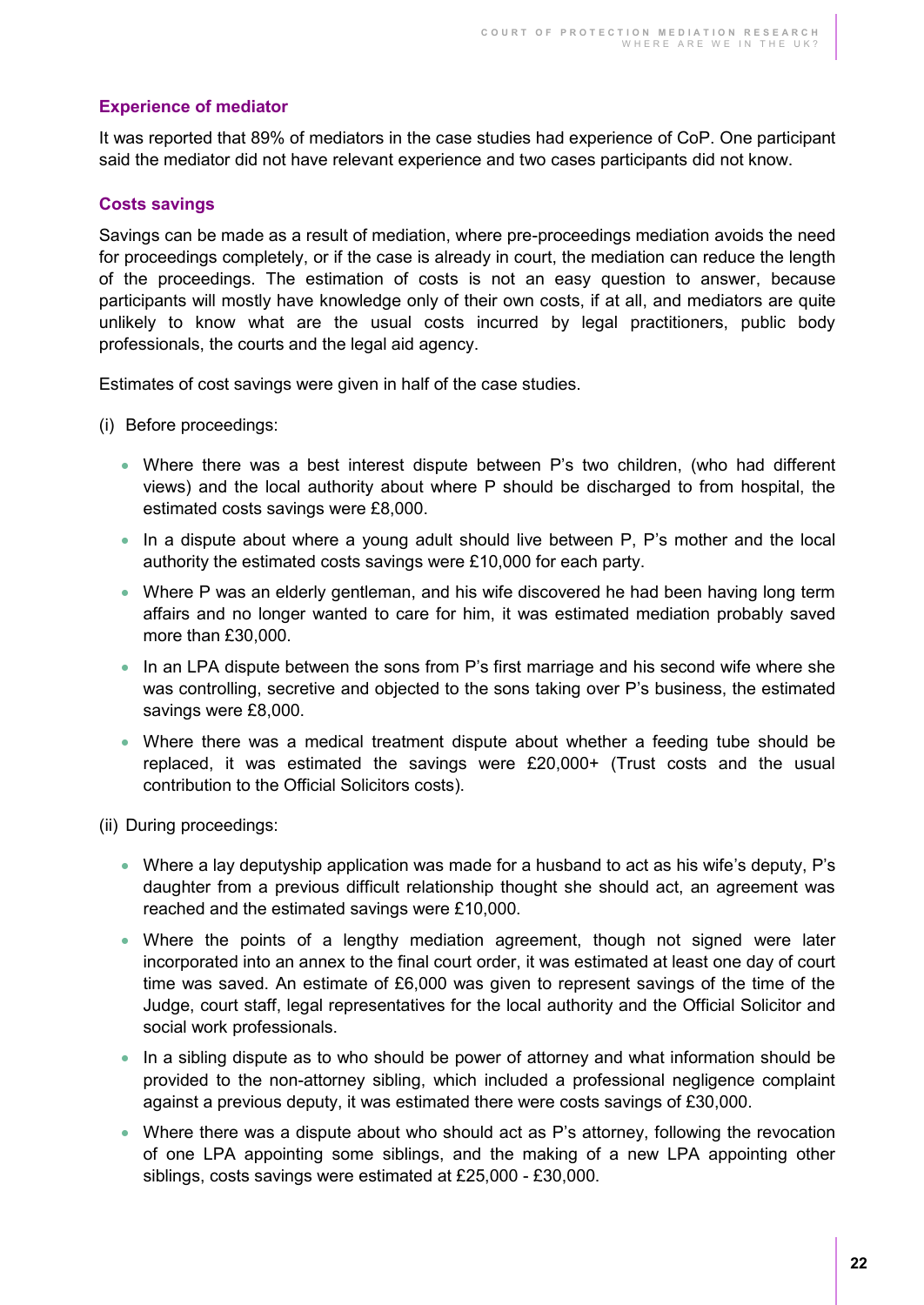#### <span id="page-21-0"></span>**Experience of mediator**

It was reported that 89% of mediators in the case studies had experience of CoP. One participant said the mediator did not have relevant experience and two cases participants did not know.

#### <span id="page-21-1"></span>**Costs savings**

Savings can be made as a result of mediation, where pre-proceedings mediation avoids the need for proceedings completely, or if the case is already in court, the mediation can reduce the length of the proceedings. The estimation of costs is not an easy question to answer, because participants will mostly have knowledge only of their own costs, if at all, and mediators are quite unlikely to know what are the usual costs incurred by legal practitioners, public body professionals, the courts and the legal aid agency.

Estimates of cost savings were given in half of the case studies.

- (i) Before proceedings:
	- Where there was a best interest dispute between P's two children, (who had different views) and the local authority about where P should be discharged to from hospital, the estimated costs savings were £8,000.
	- In a dispute about where a young adult should live between P, P's mother and the local authority the estimated costs savings were £10,000 for each party.
	- Where P was an elderly gentleman, and his wife discovered he had been having long term affairs and no longer wanted to care for him, it was estimated mediation probably saved more than £30,000.
	- In an LPA dispute between the sons from P's first marriage and his second wife where she was controlling, secretive and objected to the sons taking over P's business, the estimated savings were £8,000.
	- Where there was a medical treatment dispute about whether a feeding tube should be replaced, it was estimated the savings were £20,000+ (Trust costs and the usual contribution to the Official Solicitors costs).

(ii) During proceedings:

- Where a lay deputyship application was made for a husband to act as his wife's deputy, P's daughter from a previous difficult relationship thought she should act, an agreement was reached and the estimated savings were £10,000.
- Where the points of a lengthy mediation agreement, though not signed were later incorporated into an annex to the final court order, it was estimated at least one day of court time was saved. An estimate of £6,000 was given to represent savings of the time of the Judge, court staff, legal representatives for the local authority and the Official Solicitor and social work professionals.
- In a sibling dispute as to who should be power of attorney and what information should be provided to the non-attorney sibling, which included a professional negligence complaint against a previous deputy, it was estimated there were costs savings of £30,000.
- Where there was a dispute about who should act as P's attorney, following the revocation of one LPA appointing some siblings, and the making of a new LPA appointing other siblings, costs savings were estimated at £25,000 - £30,000.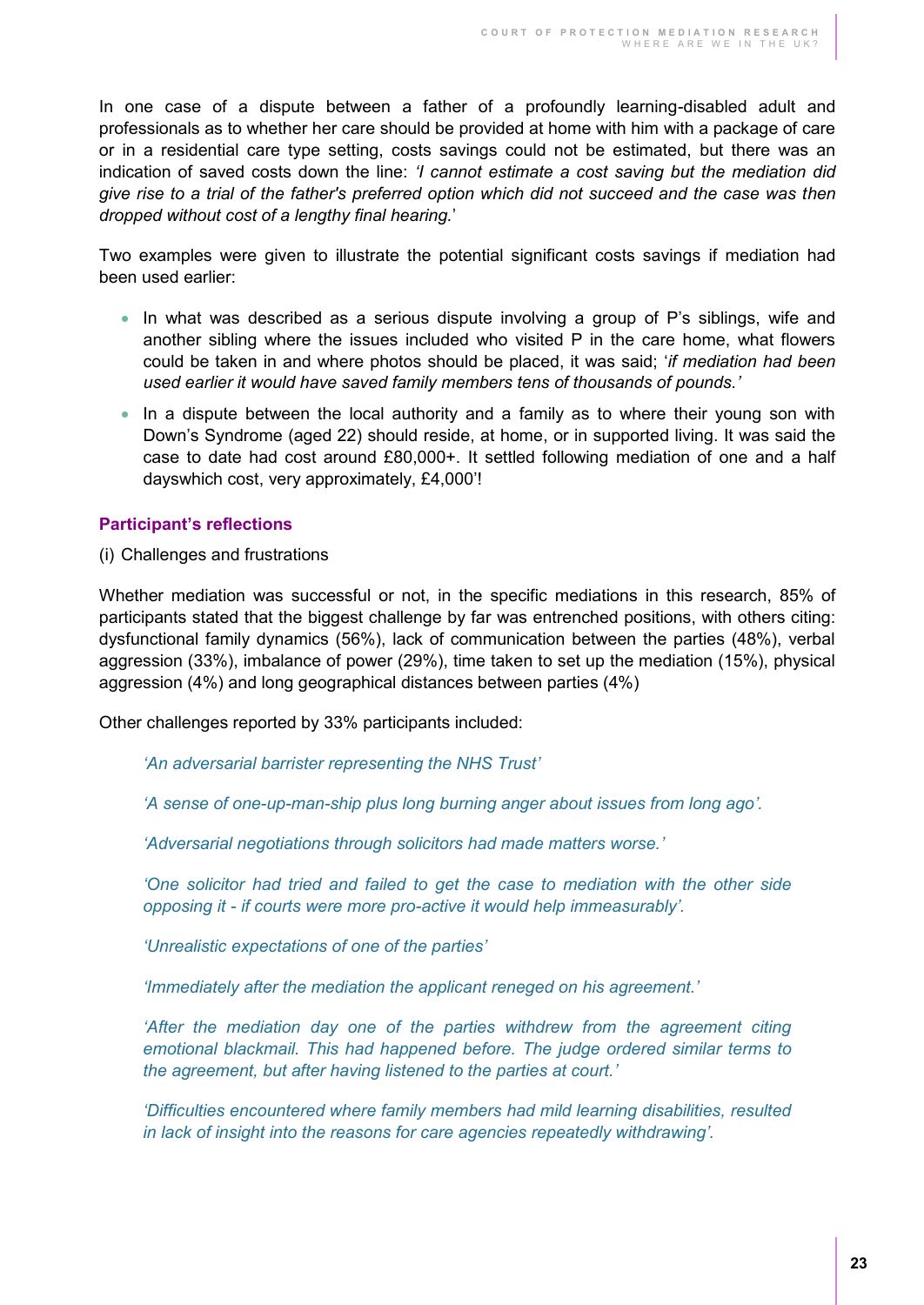In one case of a dispute between a father of a profoundly learning-disabled adult and professionals as to whether her care should be provided at home with him with a package of care or in a residential care type setting, costs savings could not be estimated, but there was an indication of saved costs down the line: *'I cannot estimate a cost saving but the mediation did give rise to a trial of the father's preferred option which did not succeed and the case was then dropped without cost of a lengthy final hearing.*'

Two examples were given to illustrate the potential significant costs savings if mediation had been used earlier:

- In what was described as a serious dispute involving a group of P's siblings, wife and another sibling where the issues included who visited P in the care home, what flowers could be taken in and where photos should be placed, it was said; '*if mediation had been used earlier it would have saved family members tens of thousands of pounds.'*
- In a dispute between the local authority and a family as to where their young son with Down's Syndrome (aged 22) should reside, at home, or in supported living. It was said the case to date had cost around £80,000+. It settled following mediation of one and a half dayswhich cost, very approximately, £4,000'!

#### <span id="page-22-0"></span>**Participant's reflections**

(i) Challenges and frustrations

Whether mediation was successful or not, in the specific mediations in this research, 85% of participants stated that the biggest challenge by far was entrenched positions, with others citing: dysfunctional family dynamics (56%), lack of communication between the parties (48%), verbal aggression (33%), imbalance of power (29%), time taken to set up the mediation (15%), physical aggression (4%) and long geographical distances between parties (4%)

Other challenges reported by 33% participants included:

*'An adversarial barrister representing the NHS Trust'*

*'A sense of one-up-man-ship plus long burning anger about issues from long ago'.* 

*'Adversarial negotiations through solicitors had made matters worse.'* 

*'One solicitor had tried and failed to get the case to mediation with the other side opposing it - if courts were more pro-active it would help immeasurably'.* 

*'Unrealistic expectations of one of the parties'*

*'Immediately after the mediation the applicant reneged on his agreement.'*

*'After the mediation day one of the parties withdrew from the agreement citing emotional blackmail. This had happened before. The judge ordered similar terms to the agreement, but after having listened to the parties at court.'*

*'Difficulties encountered where family members had mild learning disabilities, resulted in lack of insight into the reasons for care agencies repeatedly withdrawing'.*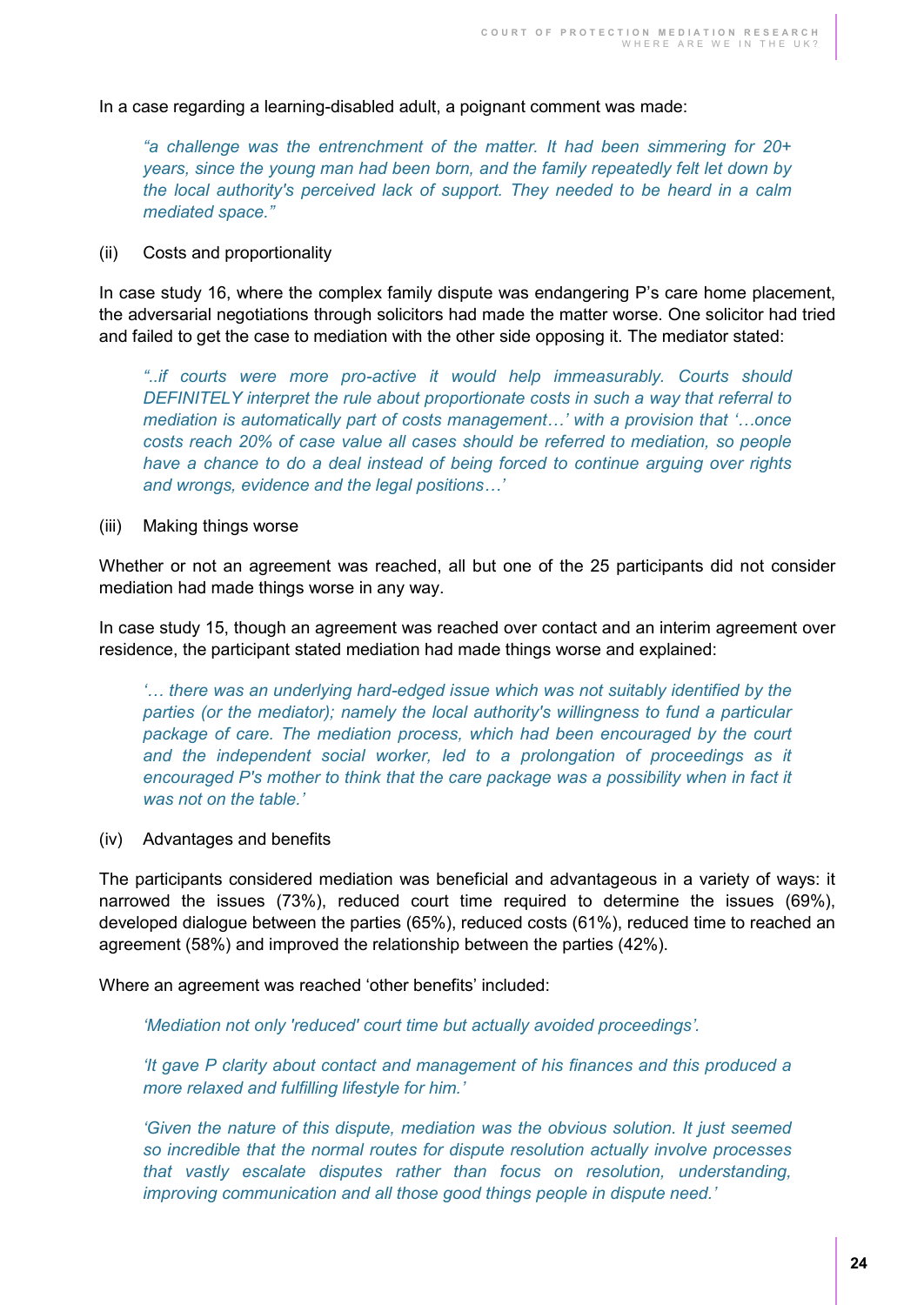In a case regarding a learning-disabled adult, a poignant comment was made:

*"a challenge was the entrenchment of the matter. It had been simmering for 20+ years, since the young man had been born, and the family repeatedly felt let down by the local authority's perceived lack of support. They needed to be heard in a calm mediated space."*

#### (ii) Costs and proportionality

In case study 16, where the complex family dispute was endangering P's care home placement, the adversarial negotiations through solicitors had made the matter worse. One solicitor had tried and failed to get the case to mediation with the other side opposing it. The mediator stated:

*"..if courts were more pro-active it would help immeasurably. Courts should DEFINITELY interpret the rule about proportionate costs in such a way that referral to mediation is automatically part of costs management…' with a provision that '…once costs reach 20% of case value all cases should be referred to mediation, so people have a chance to do a deal instead of being forced to continue arguing over rights and wrongs, evidence and the legal positions…'*

#### (iii) Making things worse

Whether or not an agreement was reached, all but one of the 25 participants did not consider mediation had made things worse in any way.

In case study 15, though an agreement was reached over contact and an interim agreement over residence, the participant stated mediation had made things worse and explained:

*'… there was an underlying hard-edged issue which was not suitably identified by the parties (or the mediator); namely the local authority's willingness to fund a particular*  package of care. The mediation process, which had been encouraged by the court *and the independent social worker, led to a prolongation of proceedings as it encouraged P's mother to think that the care package was a possibility when in fact it was not on the table.'*

#### (iv) Advantages and benefits

The participants considered mediation was beneficial and advantageous in a variety of ways: it narrowed the issues (73%), reduced court time required to determine the issues (69%), developed dialogue between the parties (65%), reduced costs (61%), reduced time to reached an agreement (58%) and improved the relationship between the parties (42%).

Where an agreement was reached 'other benefits' included:

*'Mediation not only 'reduced' court time but actually avoided proceedings'.* 

*'It gave P clarity about contact and management of his finances and this produced a more relaxed and fulfilling lifestyle for him.'*

*'Given the nature of this dispute, mediation was the obvious solution. It just seemed so incredible that the normal routes for dispute resolution actually involve processes that vastly escalate disputes rather than focus on resolution, understanding, improving communication and all those good things people in dispute need.'*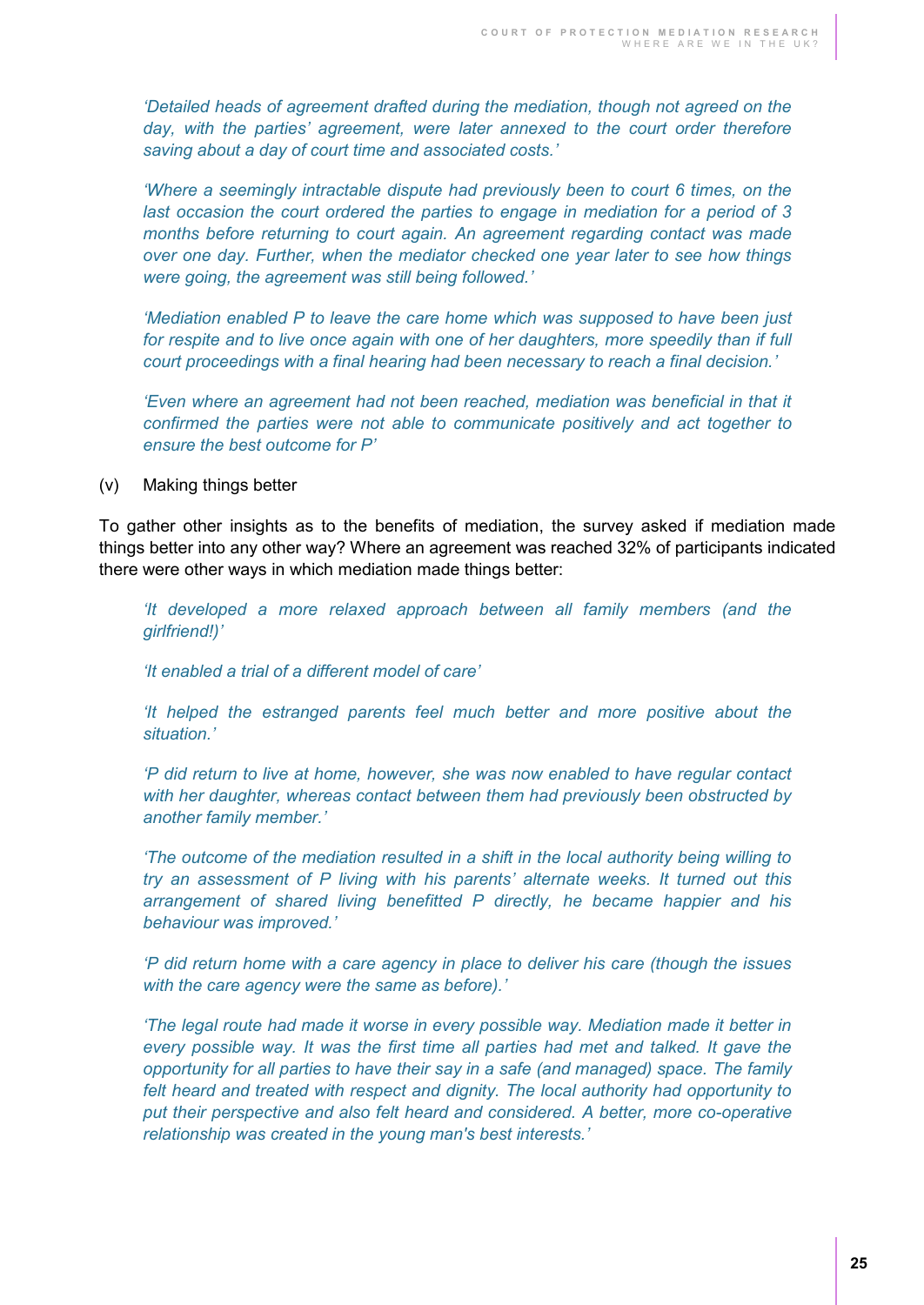*'Detailed heads of agreement drafted during the mediation, though not agreed on the day, with the parties' agreement, were later annexed to the court order therefore saving about a day of court time and associated costs.'*

*'Where a seemingly intractable dispute had previously been to court 6 times, on the last occasion the court ordered the parties to engage in mediation for a period of 3 months before returning to court again. An agreement regarding contact was made over one day. Further, when the mediator checked one year later to see how things were going, the agreement was still being followed.'* 

*'Mediation enabled P to leave the care home which was supposed to have been just*  for respite and to live once again with one of her daughters, more speedily than if full *court proceedings with a final hearing had been necessary to reach a final decision.'*

*'Even where an agreement had not been reached, mediation was beneficial in that it confirmed the parties were not able to communicate positively and act together to ensure the best outcome for P'*

(v) Making things better

To gather other insights as to the benefits of mediation, the survey asked if mediation made things better into any other way? Where an agreement was reached 32% of participants indicated there were other ways in which mediation made things better:

*'It developed a more relaxed approach between all family members (and the girlfriend!)'*

*'It enabled a trial of a different model of care'*

*'It helped the estranged parents feel much better and more positive about the situation.'*

*'P did return to live at home, however, she was now enabled to have regular contact with her daughter, whereas contact between them had previously been obstructed by another family member.'* 

*'The outcome of the mediation resulted in a shift in the local authority being willing to try an assessment of P living with his parents' alternate weeks. It turned out this arrangement of shared living benefitted P directly, he became happier and his behaviour was improved.'*

*'P did return home with a care agency in place to deliver his care (though the issues with the care agency were the same as before).'* 

*'The legal route had made it worse in every possible way. Mediation made it better in every possible way. It was the first time all parties had met and talked. It gave the opportunity for all parties to have their say in a safe (and managed) space. The family felt heard and treated with respect and dignity. The local authority had opportunity to put their perspective and also felt heard and considered. A better, more co-operative relationship was created in the young man's best interests.'*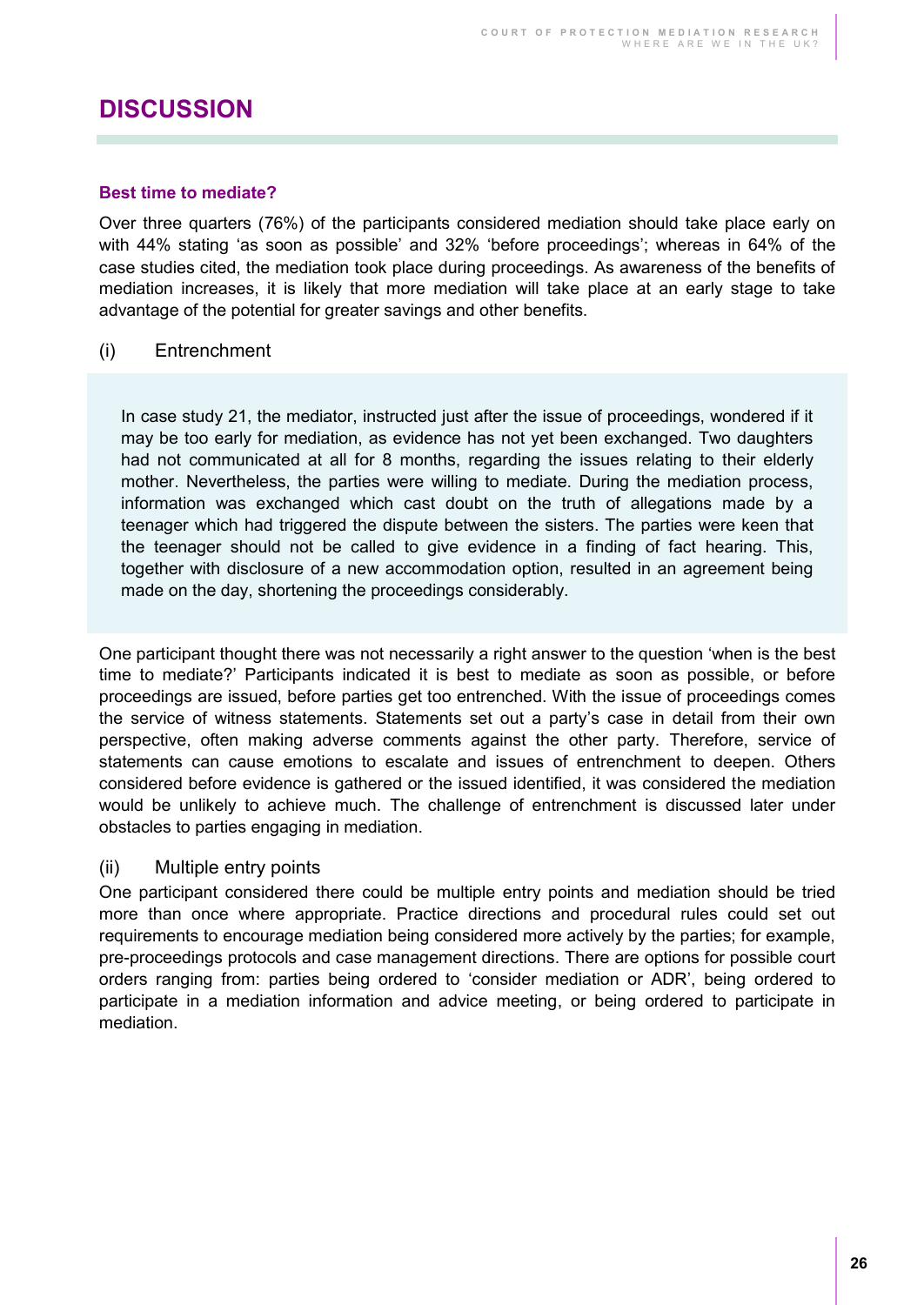## <span id="page-25-0"></span>**DISCUSSION**

#### <span id="page-25-1"></span>**Best time to mediate?**

Over three quarters (76%) of the participants considered mediation should take place early on with 44% stating 'as soon as possible' and 32% 'before proceedings'; whereas in 64% of the case studies cited, the mediation took place during proceedings. As awareness of the benefits of mediation increases, it is likely that more mediation will take place at an early stage to take advantage of the potential for greater savings and other benefits.

#### (i) Entrenchment

In case study 21, the mediator, instructed just after the issue of proceedings, wondered if it may be too early for mediation, as evidence has not yet been exchanged. Two daughters had not communicated at all for 8 months, regarding the issues relating to their elderly mother. Nevertheless, the parties were willing to mediate. During the mediation process, information was exchanged which cast doubt on the truth of allegations made by a teenager which had triggered the dispute between the sisters. The parties were keen that the teenager should not be called to give evidence in a finding of fact hearing. This, together with disclosure of a new accommodation option, resulted in an agreement being made on the day, shortening the proceedings considerably.

One participant thought there was not necessarily a right answer to the question 'when is the best time to mediate?' Participants indicated it is best to mediate as soon as possible, or before proceedings are issued, before parties get too entrenched. With the issue of proceedings comes the service of witness statements. Statements set out a party's case in detail from their own perspective, often making adverse comments against the other party. Therefore, service of statements can cause emotions to escalate and issues of entrenchment to deepen. Others considered before evidence is gathered or the issued identified, it was considered the mediation would be unlikely to achieve much. The challenge of entrenchment is discussed later under obstacles to parties engaging in mediation.

#### (ii) Multiple entry points

One participant considered there could be multiple entry points and mediation should be tried more than once where appropriate. Practice directions and procedural rules could set out requirements to encourage mediation being considered more actively by the parties; for example, pre-proceedings protocols and case management directions. There are options for possible court orders ranging from: parties being ordered to 'consider mediation or ADR', being ordered to participate in a mediation information and advice meeting, or being ordered to participate in mediation.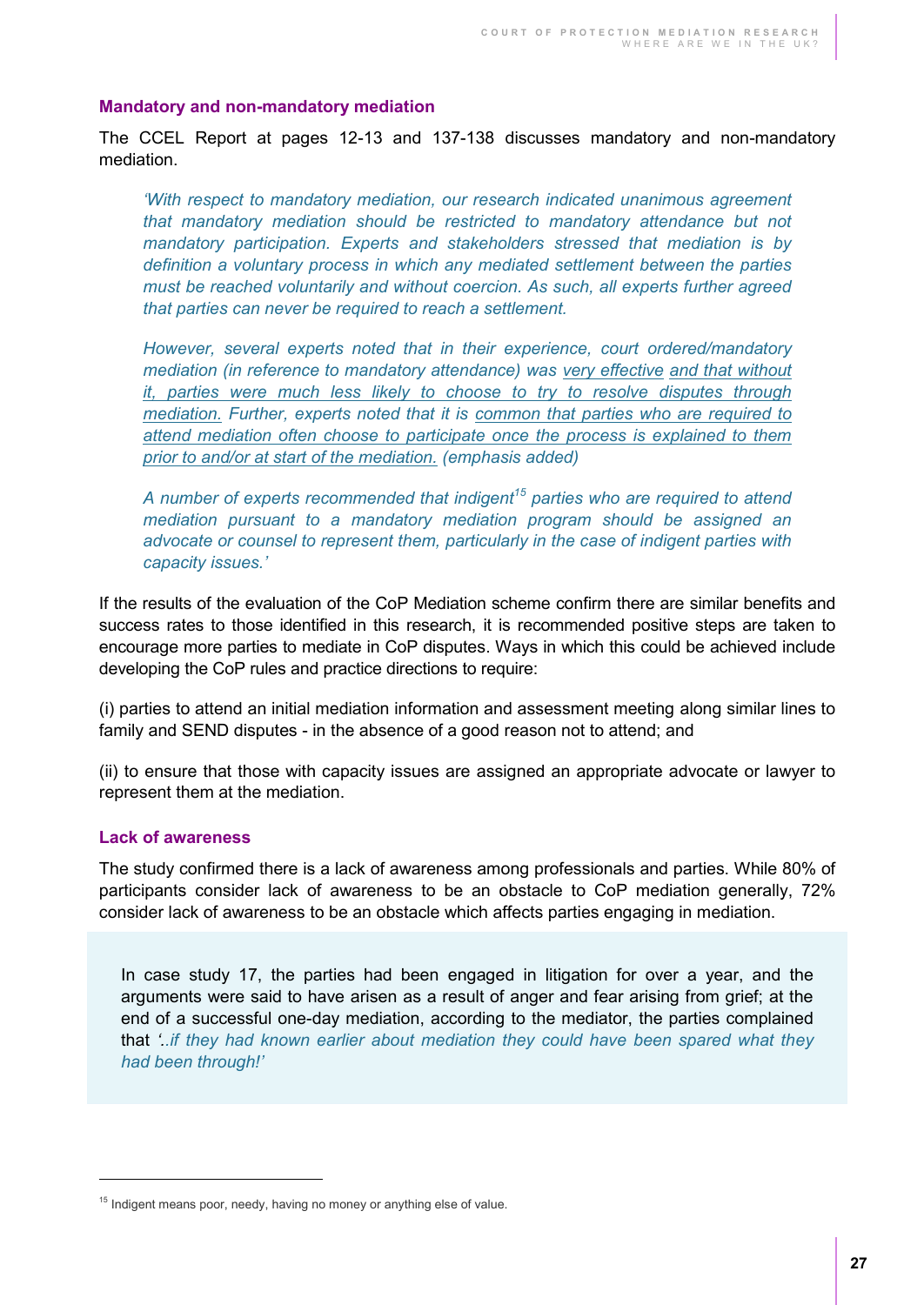#### <span id="page-26-0"></span>**Mandatory and non-mandatory mediation**

The CCEL Report at pages 12-13 and 137-138 discusses mandatory and non-mandatory mediation.

*'With respect to mandatory mediation, our research indicated unanimous agreement that mandatory mediation should be restricted to mandatory attendance but not mandatory participation. Experts and stakeholders stressed that mediation is by definition a voluntary process in which any mediated settlement between the parties must be reached voluntarily and without coercion. As such, all experts further agreed that parties can never be required to reach a settlement.* 

*However, several experts noted that in their experience, court ordered/mandatory mediation (in reference to mandatory attendance) was very effective and that without it, parties were much less likely to choose to try to resolve disputes through mediation. Further, experts noted that it is common that parties who are required to attend mediation often choose to participate once the process is explained to them prior to and/or at start of the mediation. (emphasis added)* 

*A number of experts recommended that indigent<sup>15</sup> parties who are required to attend mediation pursuant to a mandatory mediation program should be assigned an advocate or counsel to represent them, particularly in the case of indigent parties with capacity issues.'*

If the results of the evaluation of the CoP Mediation scheme confirm there are similar benefits and success rates to those identified in this research, it is recommended positive steps are taken to encourage more parties to mediate in CoP disputes. Ways in which this could be achieved include developing the CoP rules and practice directions to require:

(i) parties to attend an initial mediation information and assessment meeting along similar lines to family and SEND disputes - in the absence of a good reason not to attend; and

(ii) to ensure that those with capacity issues are assigned an appropriate advocate or lawyer to represent them at the mediation.

#### <span id="page-26-1"></span>**Lack of awareness**

 $\overline{a}$ 

The study confirmed there is a lack of awareness among professionals and parties. While 80% of participants consider lack of awareness to be an obstacle to CoP mediation generally, 72% consider lack of awareness to be an obstacle which affects parties engaging in mediation.

In case study 17, the parties had been engaged in litigation for over a year, and the arguments were said to have arisen as a result of anger and fear arising from grief; at the end of a successful one-day mediation, according to the mediator, the parties complained that *'..if they had known earlier about mediation they could have been spared what they had been through!'*

<sup>&</sup>lt;sup>15</sup> Indigent means poor, needy, having no money or anything else of value.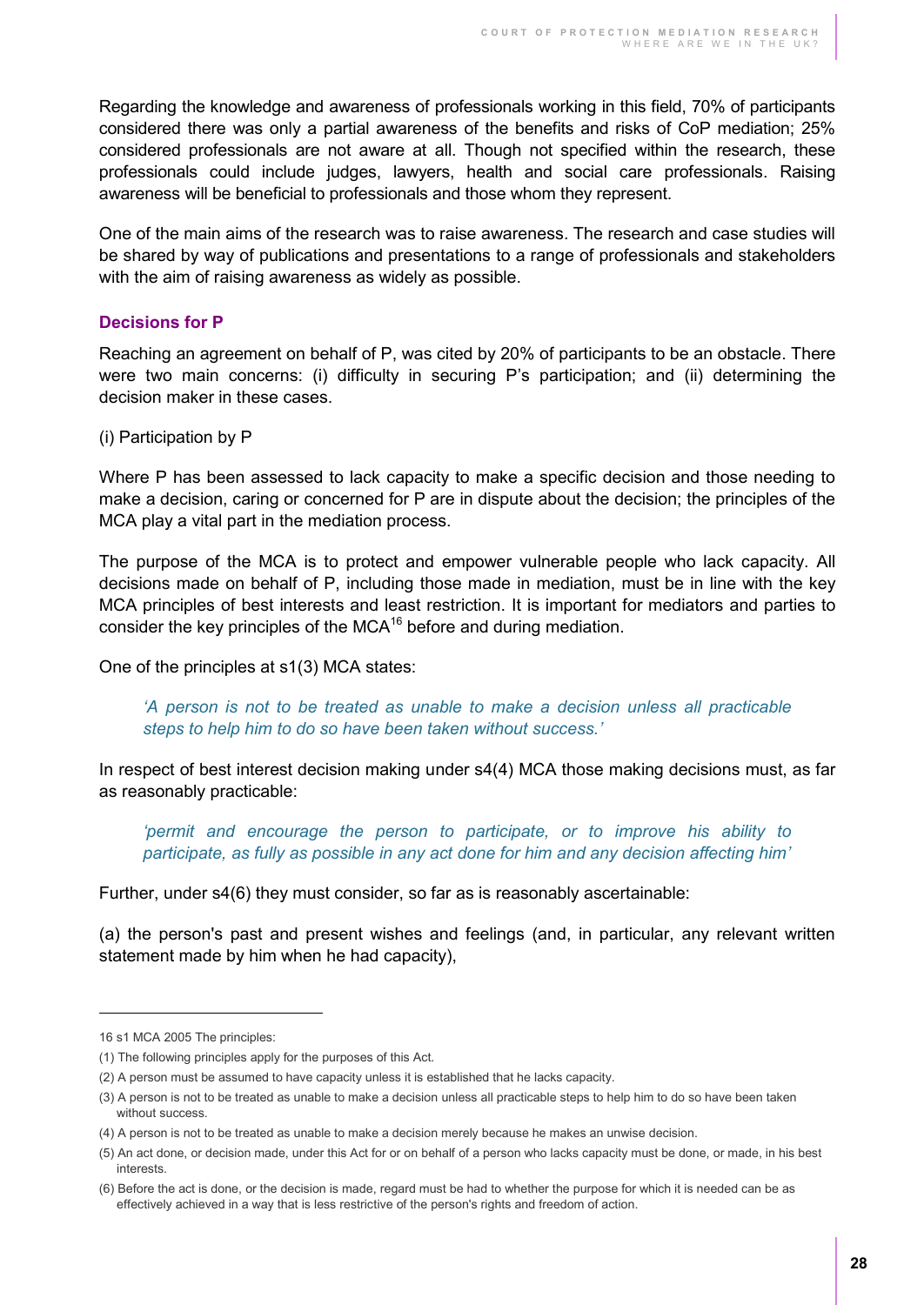Regarding the knowledge and awareness of professionals working in this field, 70% of participants considered there was only a partial awareness of the benefits and risks of CoP mediation; 25% considered professionals are not aware at all. Though not specified within the research, these professionals could include judges, lawyers, health and social care professionals. Raising awareness will be beneficial to professionals and those whom they represent.

One of the main aims of the research was to raise awareness. The research and case studies will be shared by way of publications and presentations to a range of professionals and stakeholders with the aim of raising awareness as widely as possible.

#### <span id="page-27-0"></span>**Decisions for P**

Reaching an agreement on behalf of P, was cited by 20% of participants to be an obstacle. There were two main concerns: (i) difficulty in securing P's participation; and (ii) determining the decision maker in these cases.

(i) Participation by P

Where P has been assessed to lack capacity to make a specific decision and those needing to make a decision, caring or concerned for P are in dispute about the decision; the principles of the MCA play a vital part in the mediation process.

The purpose of the MCA is to protect and empower vulnerable people who lack capacity. All decisions made on behalf of P, including those made in mediation, must be in line with the key MCA principles of best interests and least restriction. It is important for mediators and parties to consider the key principles of the MCA $16$  before and during mediation.

One of the principles at s1(3) MCA states:

*'A person is not to be treated as unable to make a decision unless all practicable steps to help him to do so have been taken without success.'* 

In respect of best interest decision making under s4(4) MCA those making decisions must, as far as reasonably practicable:

*'permit and encourage the person to participate, or to improve his ability to participate, as fully as possible in any act done for him and any decision affecting him'* 

Further, under s4(6) they must consider, so far as is reasonably ascertainable:

(a) the person's past and present wishes and feelings (and, in particular, any relevant written statement made by him when he had capacity),

 $\overline{a}$ 

<sup>16</sup> s1 MCA 2005 The principles:

<sup>(1)</sup> The following principles apply for the purposes of this Act.

<sup>(2)</sup> A person must be assumed to have capacity unless it is established that he lacks capacity.

<sup>(3)</sup> A person is not to be treated as unable to make a decision unless all practicable steps to help him to do so have been taken without success

<sup>(4)</sup> A person is not to be treated as unable to make a decision merely because he makes an unwise decision.

<sup>(5)</sup> An act done, or decision made, under this Act for or on behalf of a person who lacks capacity must be done, or made, in his best interests.

<sup>(6)</sup> Before the act is done, or the decision is made, regard must be had to whether the purpose for which it is needed can be as effectively achieved in a way that is less restrictive of the person's rights and freedom of action.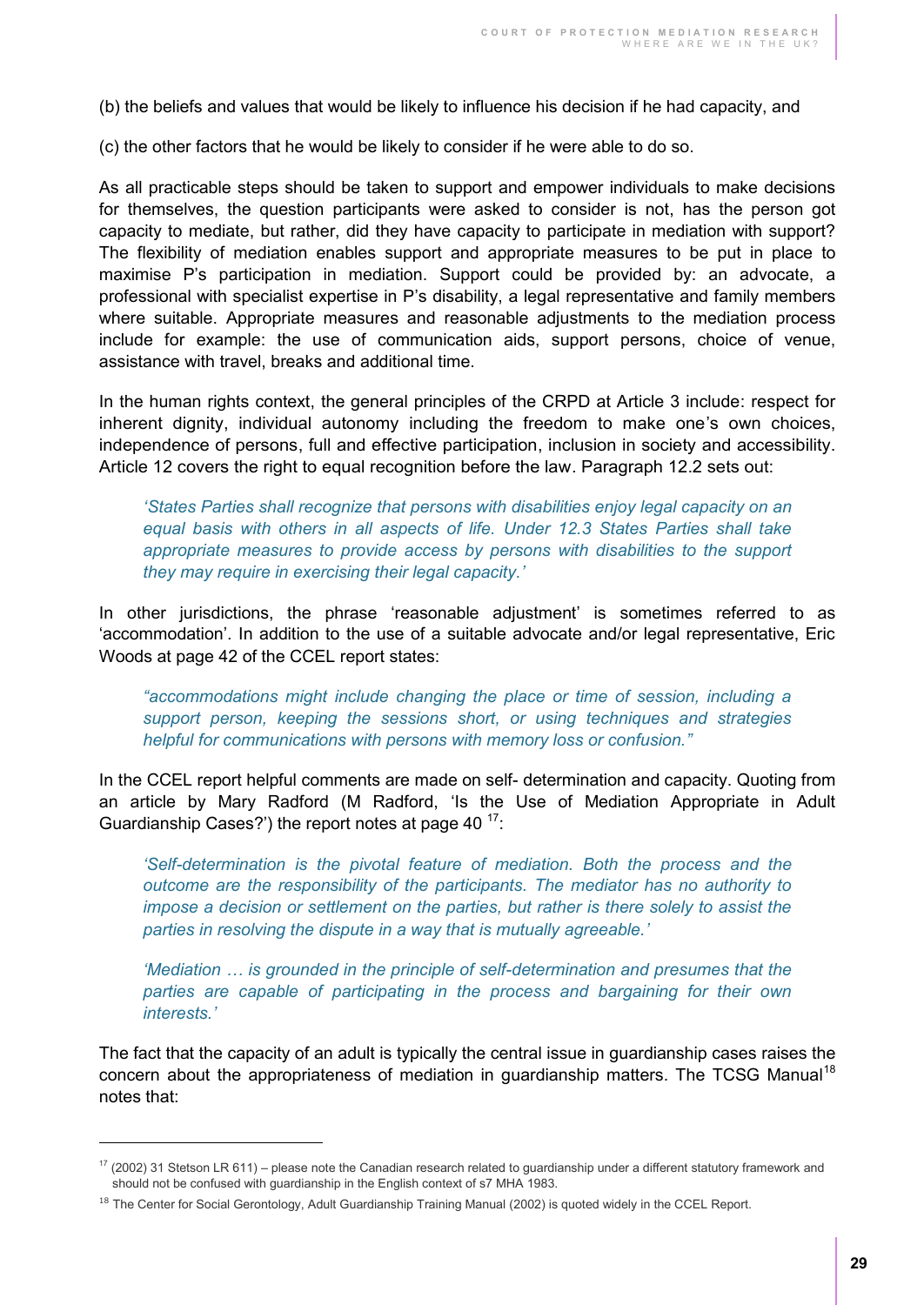(b) the beliefs and values that would be likely to influence his decision if he had capacity, and

(c) the other factors that he would be likely to consider if he were able to do so.

As all practicable steps should be taken to support and empower individuals to make decisions for themselves, the question participants were asked to consider is not, has the person got capacity to mediate, but rather, did they have capacity to participate in mediation with support? The flexibility of mediation enables support and appropriate measures to be put in place to maximise P's participation in mediation. Support could be provided by: an advocate, a professional with specialist expertise in P's disability, a legal representative and family members where suitable. Appropriate measures and reasonable adjustments to the mediation process include for example: the use of communication aids, support persons, choice of venue, assistance with travel, breaks and additional time.

In the human rights context, the general principles of the CRPD at Article 3 include: respect for inherent dignity, individual autonomy including the freedom to make one's own choices, independence of persons, full and effective participation, inclusion in society and accessibility. Article 12 covers the right to equal recognition before the law. Paragraph 12.2 sets out:

*'States Parties shall recognize that persons with disabilities enjoy legal capacity on an equal basis with others in all aspects of life. Under 12.3 States Parties shall take*  appropriate measures to provide access by persons with disabilities to the support *they may require in exercising their legal capacity.'*

In other jurisdictions, the phrase 'reasonable adjustment' is sometimes referred to as 'accommodation'. In addition to the use of a suitable advocate and/or legal representative, Eric Woods at page 42 of the CCEL report states:

*"accommodations might include changing the place or time of session, including a support person, keeping the sessions short, or using techniques and strategies helpful for communications with persons with memory loss or confusion."*

In the CCEL report helpful comments are made on self- determination and capacity. Quoting from an article by Mary Radford (M Radford, 'Is the Use of Mediation Appropriate in Adult Guardianship Cases?') the report notes at page 40  $17$ :

*'Self-determination is the pivotal feature of mediation. Both the process and the outcome are the responsibility of the participants. The mediator has no authority to impose a decision or settlement on the parties, but rather is there solely to assist the parties in resolving the dispute in a way that is mutually agreeable.'*

*'Mediation … is grounded in the principle of self-determination and presumes that the parties are capable of participating in the process and bargaining for their own interests.'*

The fact that the capacity of an adult is typically the central issue in guardianship cases raises the concern about the appropriateness of mediation in guardianship matters. The TCSG Manual<sup>18</sup> notes that:

 $\overline{a}$ 

 $17$  (2002) 31 Stetson LR 611) – please note the Canadian research related to guardianship under a different statutory framework and should not be confused with guardianship in the English context of s7 MHA 1983.

<sup>&</sup>lt;sup>18</sup> The Center for Social Gerontology, Adult Guardianship Training Manual (2002) is quoted widely in the CCEL Report.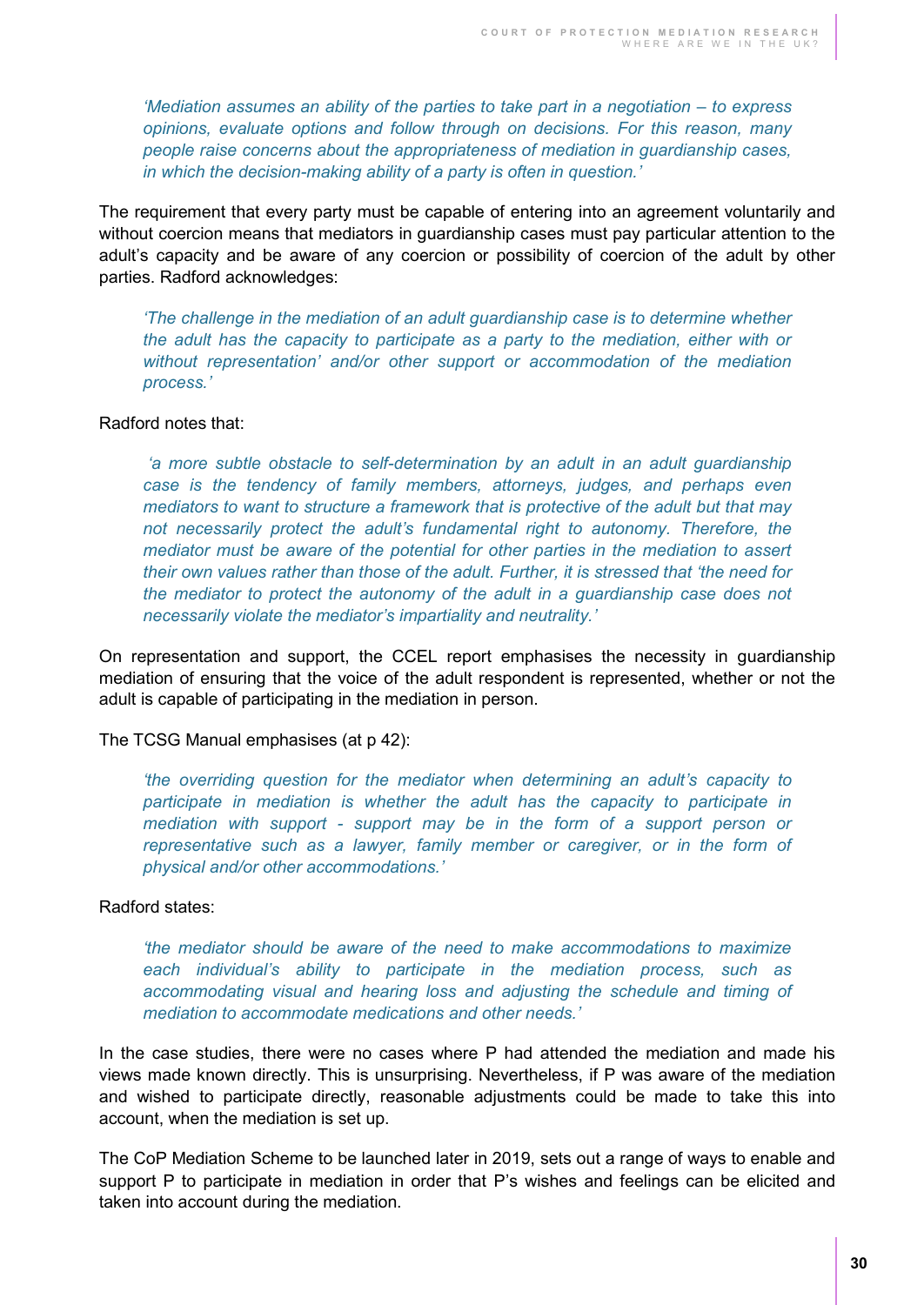*'Mediation assumes an ability of the parties to take part in a negotiation – to express opinions, evaluate options and follow through on decisions. For this reason, many people raise concerns about the appropriateness of mediation in guardianship cases, in which the decision-making ability of a party is often in question.'*

The requirement that every party must be capable of entering into an agreement voluntarily and without coercion means that mediators in guardianship cases must pay particular attention to the adult's capacity and be aware of any coercion or possibility of coercion of the adult by other parties. Radford acknowledges:

*'The challenge in the mediation of an adult guardianship case is to determine whether the adult has the capacity to participate as a party to the mediation, either with or without representation' and/or other support or accommodation of the mediation process.'*

#### Radford notes that:

*'a more subtle obstacle to self-determination by an adult in an adult guardianship case is the tendency of family members, attorneys, judges, and perhaps even mediators to want to structure a framework that is protective of the adult but that may not necessarily protect the adult's fundamental right to autonomy. Therefore, the mediator must be aware of the potential for other parties in the mediation to assert their own values rather than those of the adult. Further, it is stressed that 'the need for the mediator to protect the autonomy of the adult in a guardianship case does not necessarily violate the mediator's impartiality and neutrality.'*

On representation and support, the CCEL report emphasises the necessity in guardianship mediation of ensuring that the voice of the adult respondent is represented, whether or not the adult is capable of participating in the mediation in person.

The TCSG Manual emphasises (at p 42):

*'the overriding question for the mediator when determining an adult's capacity to participate in mediation is whether the adult has the capacity to participate in mediation with support - support may be in the form of a support person or representative such as a lawyer, family member or caregiver, or in the form of physical and/or other accommodations.'*

#### Radford states:

*'the mediator should be aware of the need to make accommodations to maximize each individual's ability to participate in the mediation process, such as accommodating visual and hearing loss and adjusting the schedule and timing of mediation to accommodate medications and other needs.'*

In the case studies, there were no cases where P had attended the mediation and made his views made known directly. This is unsurprising. Nevertheless, if P was aware of the mediation and wished to participate directly, reasonable adjustments could be made to take this into account, when the mediation is set up.

The CoP Mediation Scheme to be launched later in 2019, sets out a range of ways to enable and support P to participate in mediation in order that P's wishes and feelings can be elicited and taken into account during the mediation.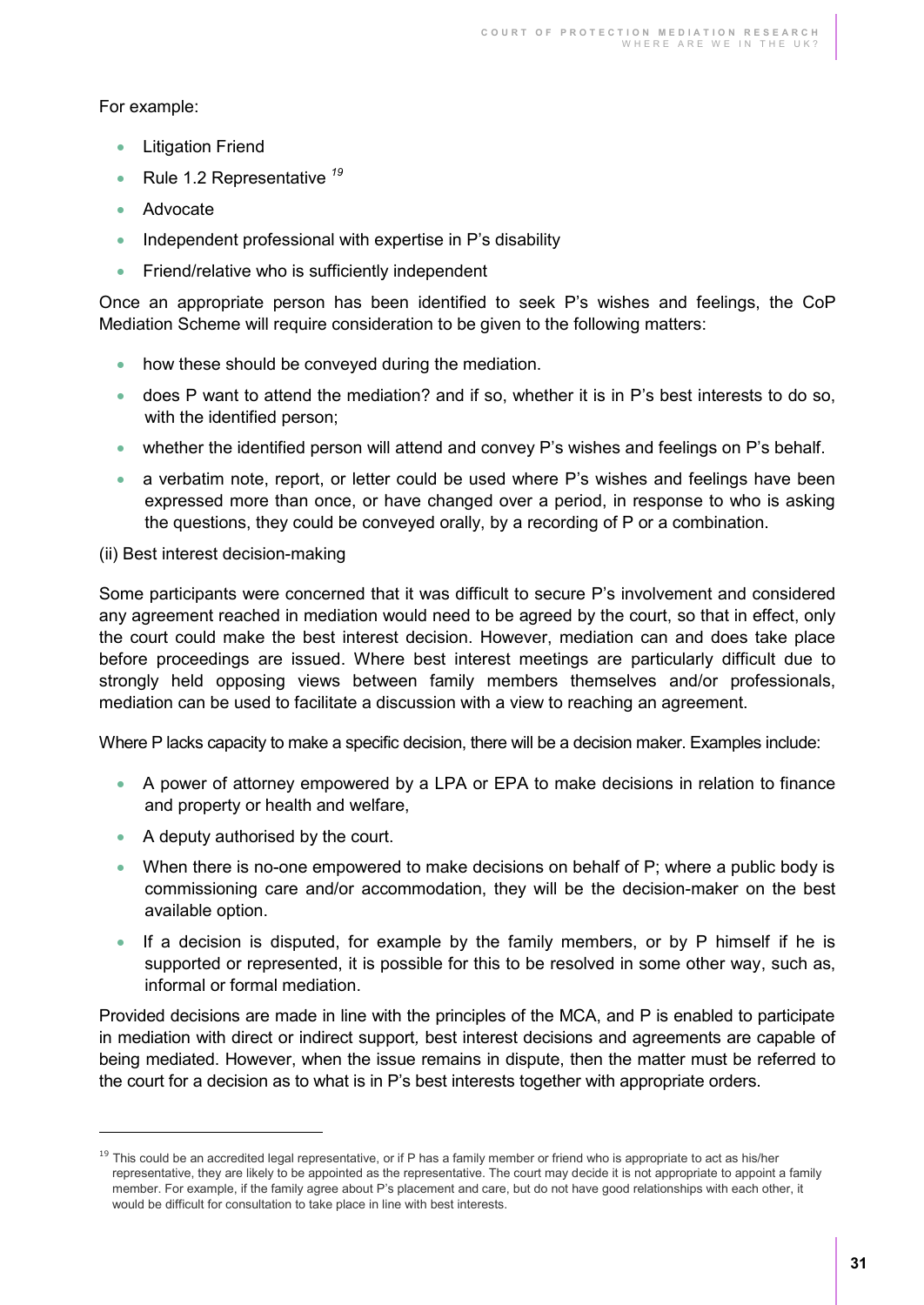For example:

- Litigation Friend
- Rule 1.2 Representative *<sup>19</sup>*
- Advocate
- $\bullet$  Independent professional with expertise in P's disability
- **•** Friend/relative who is sufficiently independent

Once an appropriate person has been identified to seek P's wishes and feelings, the CoP Mediation Scheme will require consideration to be given to the following matters:

- how these should be conveyed during the mediation.
- does P want to attend the mediation? and if so, whether it is in P's best interests to do so, with the identified person;
- whether the identified person will attend and convey P's wishes and feelings on P's behalf.
- a verbatim note, report, or letter could be used where P's wishes and feelings have been expressed more than once, or have changed over a period, in response to who is asking the questions, they could be conveyed orally, by a recording of P or a combination.

#### (ii) Best interest decision-making

Some participants were concerned that it was difficult to secure P's involvement and considered any agreement reached in mediation would need to be agreed by the court, so that in effect, only the court could make the best interest decision. However, mediation can and does take place before proceedings are issued. Where best interest meetings are particularly difficult due to strongly held opposing views between family members themselves and/or professionals, mediation can be used to facilitate a discussion with a view to reaching an agreement.

Where P lacks capacity to make a specific decision, there will be a decision maker. Examples include:

- A power of attorney empowered by a LPA or EPA to make decisions in relation to finance and property or health and welfare,
- A deputy authorised by the court.

 $\overline{a}$ 

- When there is no-one empowered to make decisions on behalf of  $P$ ; where a public body is commissioning care and/or accommodation, they will be the decision-maker on the best available option.
- If a decision is disputed, for example by the family members, or by P himself if he is supported or represented, it is possible for this to be resolved in some other way, such as, informal or formal mediation.

Provided decisions are made in line with the principles of the MCA, and P is enabled to participate in mediation with direct or indirect support*,* best interest decisions and agreements are capable of being mediated. However, when the issue remains in dispute, then the matter must be referred to the court for a decision as to what is in P's best interests together with appropriate orders.

 $19$  This could be an accredited legal representative, or if P has a family member or friend who is appropriate to act as his/her representative, they are likely to be appointed as the representative. The court may decide it is not appropriate to appoint a family member. For example, if the family agree about P's placement and care, but do not have good relationships with each other, it would be difficult for consultation to take place in line with best interests.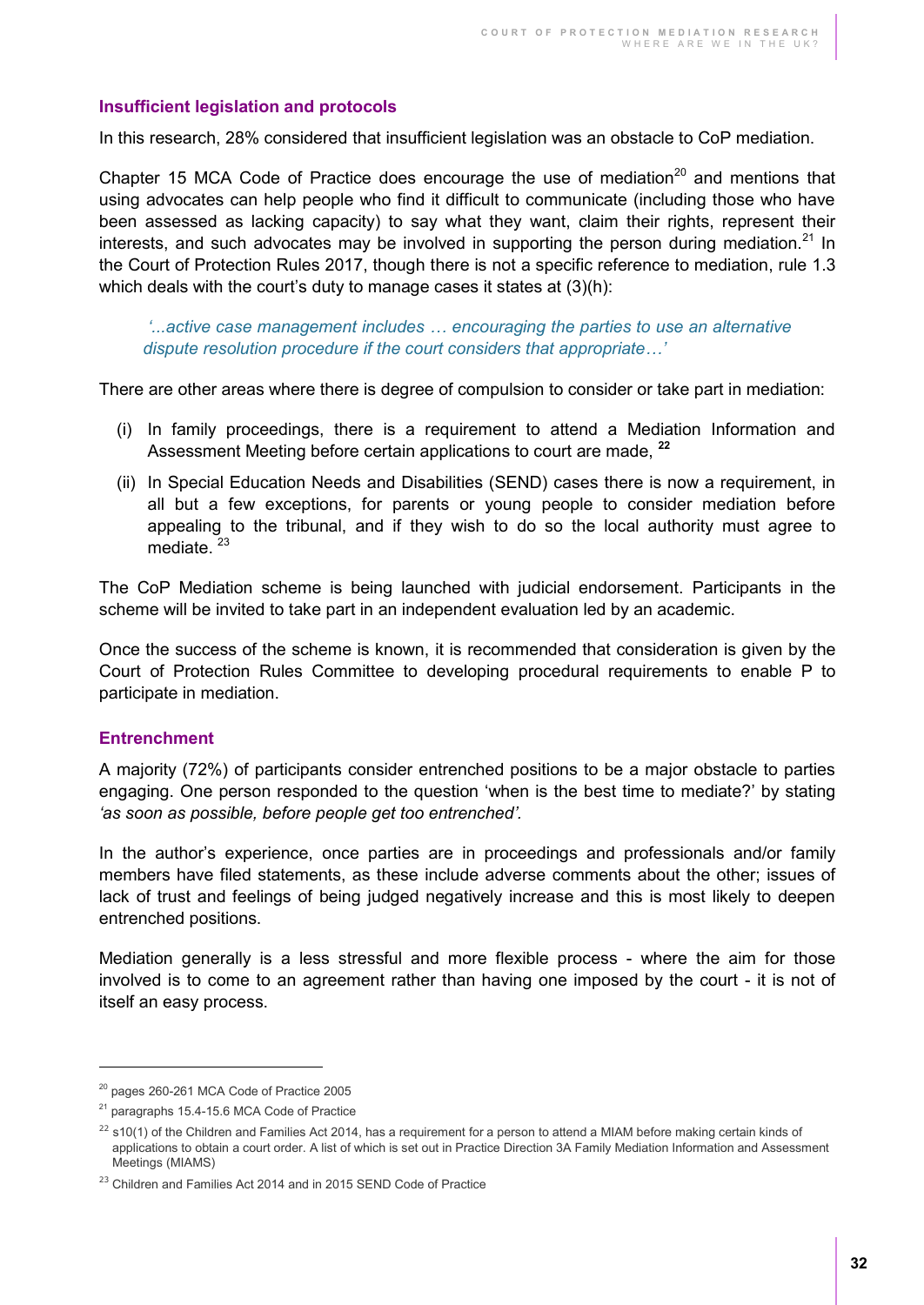#### <span id="page-31-0"></span>**Insufficient legislation and protocols**

In this research, 28% considered that insufficient legislation was an obstacle to CoP mediation.

Chapter 15 MCA Code of Practice does encourage the use of mediation<sup>20</sup> and mentions that using advocates can help people who find it difficult to communicate (including those who have been assessed as lacking capacity) to say what they want, claim their rights, represent their interests, and such advocates may be involved in supporting the person during mediation.<sup>21</sup> In the Court of Protection Rules 2017, though there is not a specific reference to mediation, rule 1.3 which deals with the court's duty to manage cases it states at  $(3)(h)$ :

*'...active case management includes … encouraging the parties to use an alternative dispute resolution procedure if the court considers that appropriate…'*

There are other areas where there is degree of compulsion to consider or take part in mediation:

- (i) In family proceedings, there is a requirement to attend a Mediation Information and Assessment Meeting before certain applications to court are made, **<sup>22</sup>**
- (ii) In Special Education Needs and Disabilities (SEND) cases there is now a requirement, in all but a few exceptions, for parents or young people to consider mediation before appealing to the tribunal, and if they wish to do so the local authority must agree to mediate.<sup>23</sup>

The CoP Mediation scheme is being launched with judicial endorsement. Participants in the scheme will be invited to take part in an independent evaluation led by an academic.

Once the success of the scheme is known, it is recommended that consideration is given by the Court of Protection Rules Committee to developing procedural requirements to enable P to participate in mediation.

#### <span id="page-31-1"></span>**Entrenchment**

 $\overline{a}$ 

A majority (72%) of participants consider entrenched positions to be a major obstacle to parties engaging. One person responded to the question 'when is the best time to mediate?' by stating *'as soon as possible, before people get too entrenched'.* 

In the author's experience, once parties are in proceedings and professionals and/or family members have filed statements, as these include adverse comments about the other; issues of lack of trust and feelings of being judged negatively increase and this is most likely to deepen entrenched positions.

Mediation generally is a less stressful and more flexible process - where the aim for those involved is to come to an agreement rather than having one imposed by the court - it is not of itself an easy process.

<sup>&</sup>lt;sup>20</sup> pages 260-261 MCA Code of Practice 2005

<sup>&</sup>lt;sup>21</sup> paragraphs 15.4-15.6 MCA Code of Practice

 $22$  s10(1) of the Children and Families Act 2014, has a requirement for a person to attend a MIAM before making certain kinds of applications to obtain a court order. A list of which is set out in Practice Direction 3A Family Mediation Information and Assessment Meetings (MIAMS)

<sup>&</sup>lt;sup>23</sup> Children and Families Act 2014 and in 2015 SEND Code of Practice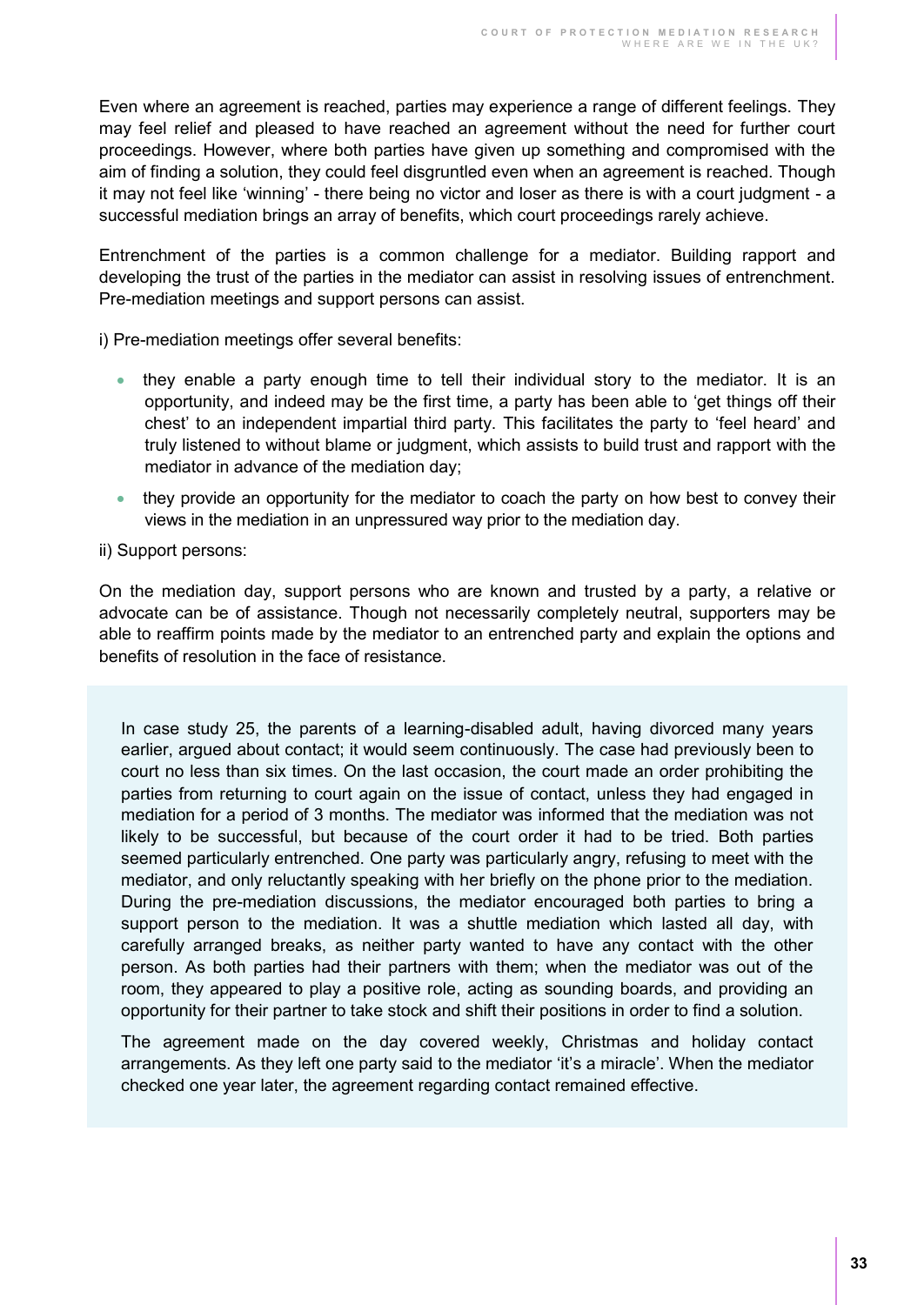Even where an agreement is reached, parties may experience a range of different feelings. They may feel relief and pleased to have reached an agreement without the need for further court proceedings. However, where both parties have given up something and compromised with the aim of finding a solution, they could feel disgruntled even when an agreement is reached. Though it may not feel like 'winning' - there being no victor and loser as there is with a court judgment - a successful mediation brings an array of benefits, which court proceedings rarely achieve.

Entrenchment of the parties is a common challenge for a mediator. Building rapport and developing the trust of the parties in the mediator can assist in resolving issues of entrenchment. Pre-mediation meetings and support persons can assist.

i) Pre-mediation meetings offer several benefits:

- they enable a party enough time to tell their individual story to the mediator. It is an opportunity, and indeed may be the first time, a party has been able to 'get things off their chest' to an independent impartial third party. This facilitates the party to 'feel heard' and truly listened to without blame or judgment, which assists to build trust and rapport with the mediator in advance of the mediation day;
- they provide an opportunity for the mediator to coach the party on how best to convey their views in the mediation in an unpressured way prior to the mediation day.

ii) Support persons:

On the mediation day, support persons who are known and trusted by a party, a relative or advocate can be of assistance. Though not necessarily completely neutral, supporters may be able to reaffirm points made by the mediator to an entrenched party and explain the options and benefits of resolution in the face of resistance.

In case study 25, the parents of a learning-disabled adult, having divorced many years earlier, argued about contact; it would seem continuously. The case had previously been to court no less than six times. On the last occasion, the court made an order prohibiting the parties from returning to court again on the issue of contact, unless they had engaged in mediation for a period of 3 months. The mediator was informed that the mediation was not likely to be successful, but because of the court order it had to be tried. Both parties seemed particularly entrenched. One party was particularly angry, refusing to meet with the mediator, and only reluctantly speaking with her briefly on the phone prior to the mediation. During the pre-mediation discussions, the mediator encouraged both parties to bring a support person to the mediation. It was a shuttle mediation which lasted all day, with carefully arranged breaks, as neither party wanted to have any contact with the other person. As both parties had their partners with them; when the mediator was out of the room, they appeared to play a positive role, acting as sounding boards, and providing an opportunity for their partner to take stock and shift their positions in order to find a solution.

The agreement made on the day covered weekly, Christmas and holiday contact arrangements. As they left one party said to the mediator 'it's a miracle'. When the mediator checked one year later, the agreement regarding contact remained effective.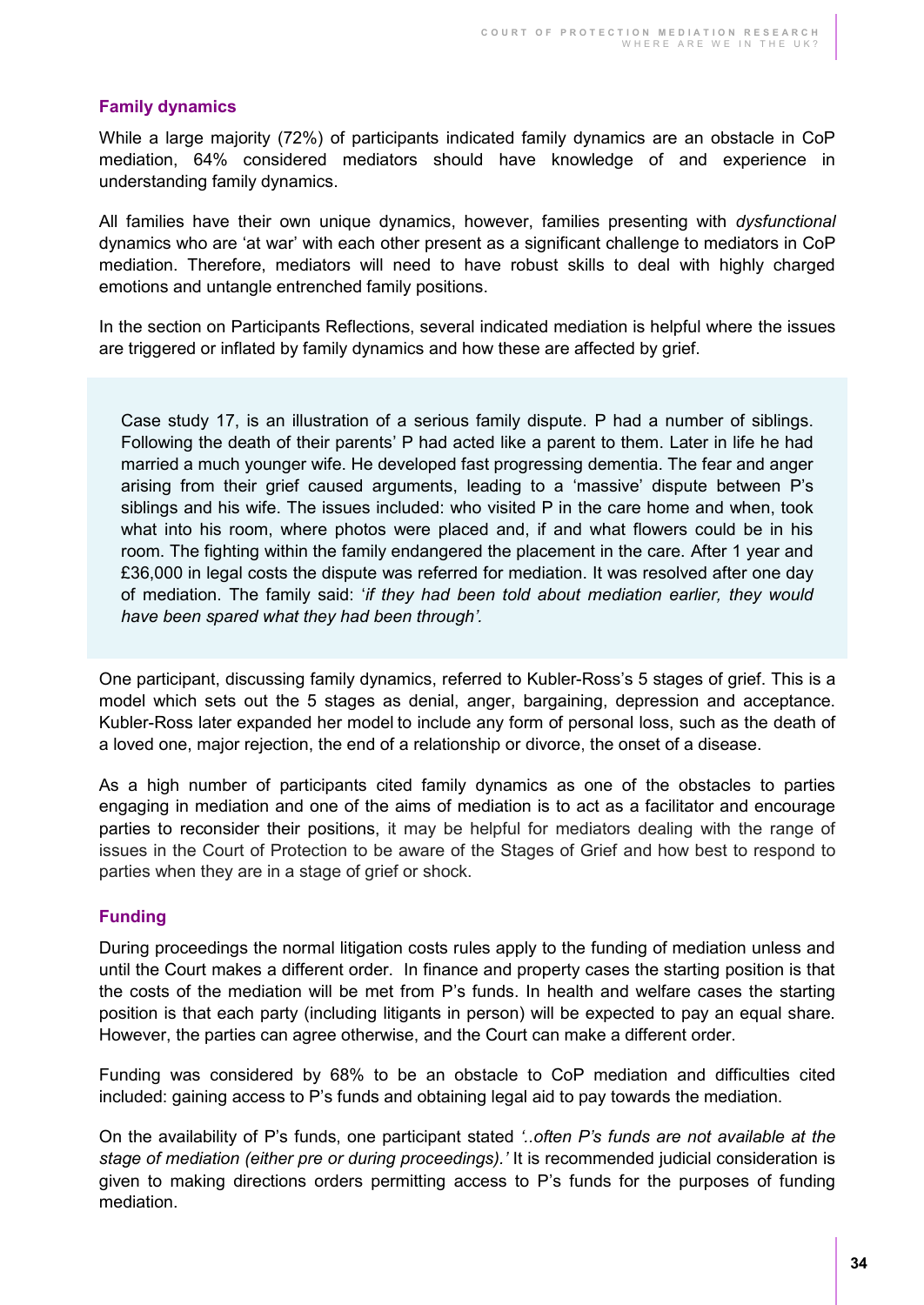#### <span id="page-33-0"></span>**Family dynamics**

While a large majority (72%) of participants indicated family dynamics are an obstacle in CoP mediation, 64% considered mediators should have knowledge of and experience in understanding family dynamics.

All families have their own unique dynamics, however, families presenting with *dysfunctional* dynamics who are 'at war' with each other present as a significant challenge to mediators in CoP mediation. Therefore, mediators will need to have robust skills to deal with highly charged emotions and untangle entrenched family positions.

In the section on Participants Reflections, several indicated mediation is helpful where the issues are triggered or inflated by family dynamics and how these are affected by grief.

Case study 17, is an illustration of a serious family dispute. P had a number of siblings. Following the death of their parents' P had acted like a parent to them. Later in life he had married a much younger wife. He developed fast progressing dementia. The fear and anger arising from their grief caused arguments, leading to a 'massive' dispute between P's siblings and his wife. The issues included: who visited P in the care home and when, took what into his room, where photos were placed and, if and what flowers could be in his room. The fighting within the family endangered the placement in the care. After 1 year and £36,000 in legal costs the dispute was referred for mediation. It was resolved after one day of mediation. The family said: '*if they had been told about mediation earlier, they would have been spared what they had been through'.* 

One participant, discussing family dynamics, referred to Kubler-Ross's 5 stages of grief. This is a model which sets out the 5 stages as denial, anger, bargaining, depression and acceptance. Kubler-Ross later expanded her model to include any form of personal loss, such as the death of a loved one, major rejection, the end of a relationship or divorce, the onset of a disease.

As a high number of participants cited family dynamics as one of the obstacles to parties engaging in mediation and one of the aims of mediation is to act as a facilitator and encourage parties to reconsider their positions, it may be helpful for mediators dealing with the range of issues in the Court of Protection to be aware of the Stages of Grief and how best to respond to parties when they are in a stage of grief or shock.

#### <span id="page-33-1"></span>**Funding**

During proceedings the normal litigation costs rules apply to the funding of mediation unless and until the Court makes a different order. In finance and property cases the starting position is that the costs of the mediation will be met from P's funds. In health and welfare cases the starting position is that each party (including litigants in person) will be expected to pay an equal share. However, the parties can agree otherwise, and the Court can make a different order.

Funding was considered by 68% to be an obstacle to CoP mediation and difficulties cited included: gaining access to P's funds and obtaining legal aid to pay towards the mediation.

On the availability of P's funds, one participant stated *'..often P's funds are not available at the stage of mediation (either pre or during proceedings).'* It is recommended judicial consideration is given to making directions orders permitting access to P's funds for the purposes of funding mediation.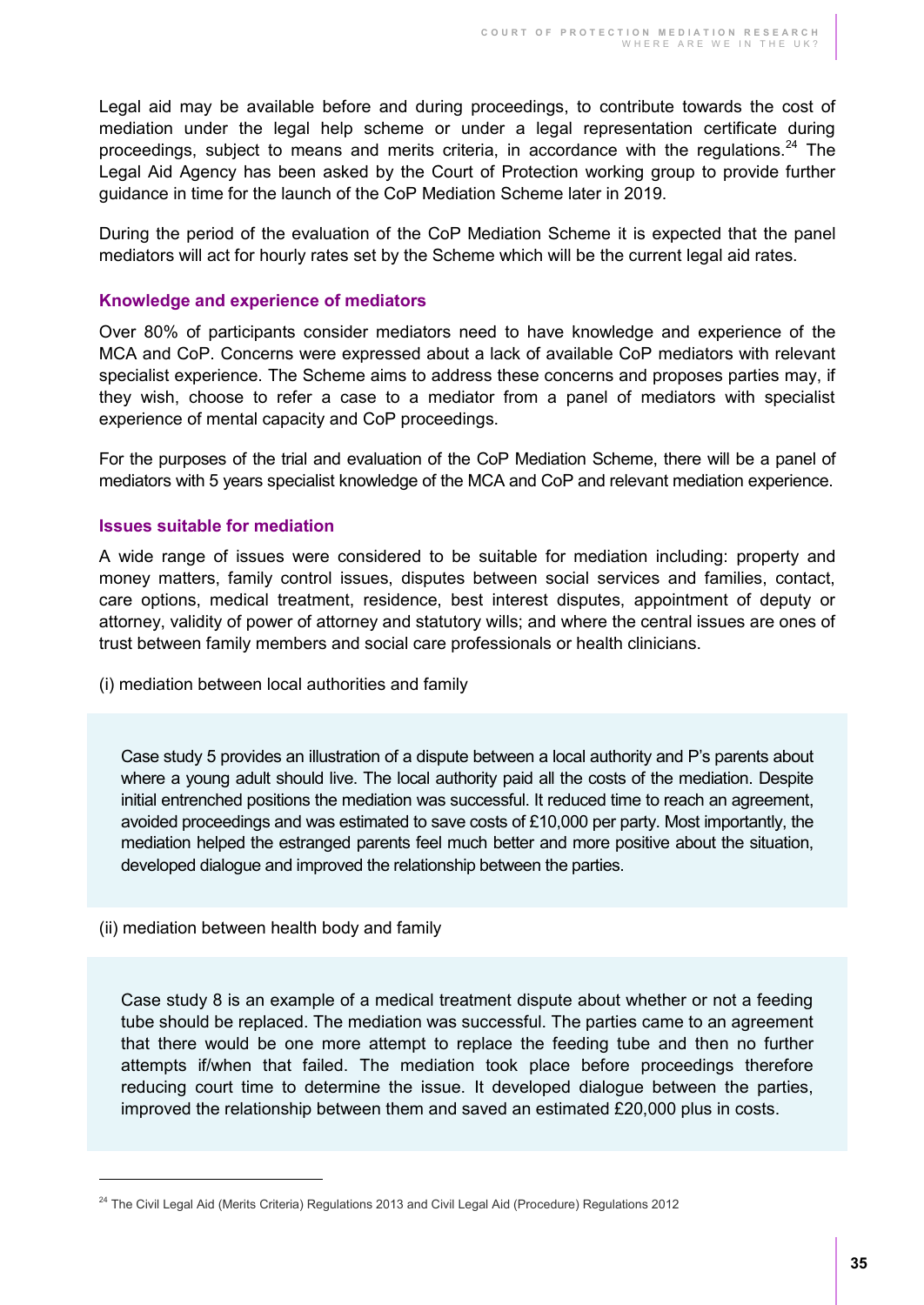Legal aid may be available before and during proceedings, to contribute towards the cost of mediation under the legal help scheme or under a legal representation certificate during proceedings, subject to means and merits criteria, in accordance with the regulations.<sup>24</sup> The Legal Aid Agency has been asked by the Court of Protection working group to provide further guidance in time for the launch of the CoP Mediation Scheme later in 2019.

During the period of the evaluation of the CoP Mediation Scheme it is expected that the panel mediators will act for hourly rates set by the Scheme which will be the current legal aid rates.

#### <span id="page-34-0"></span>**Knowledge and experience of mediators**

Over 80% of participants consider mediators need to have knowledge and experience of the MCA and CoP. Concerns were expressed about a lack of available CoP mediators with relevant specialist experience. The Scheme aims to address these concerns and proposes parties may, if they wish, choose to refer a case to a mediator from a panel of mediators with specialist experience of mental capacity and CoP proceedings.

For the purposes of the trial and evaluation of the CoP Mediation Scheme, there will be a panel of mediators with 5 years specialist knowledge of the MCA and CoP and relevant mediation experience.

#### <span id="page-34-1"></span>**Issues suitable for mediation**

A wide range of issues were considered to be suitable for mediation including: property and money matters, family control issues, disputes between social services and families, contact, care options, medical treatment, residence, best interest disputes, appointment of deputy or attorney, validity of power of attorney and statutory wills; and where the central issues are ones of trust between family members and social care professionals or health clinicians.

(i) mediation between local authorities and family

Case study 5 provides an illustration of a dispute between a local authority and P's parents about where a young adult should live. The local authority paid all the costs of the mediation. Despite initial entrenched positions the mediation was successful. It reduced time to reach an agreement, avoided proceedings and was estimated to save costs of £10,000 per party. Most importantly, the mediation helped the estranged parents feel much better and more positive about the situation, developed dialogue and improved the relationship between the parties.

(ii) mediation between health body and family

 $\overline{a}$ 

Case study 8 is an example of a medical treatment dispute about whether or not a feeding tube should be replaced. The mediation was successful. The parties came to an agreement that there would be one more attempt to replace the feeding tube and then no further attempts if/when that failed. The mediation took place before proceedings therefore reducing court time to determine the issue. It developed dialogue between the parties, improved the relationship between them and saved an estimated £20,000 plus in costs.

<sup>&</sup>lt;sup>24</sup> The Civil Legal Aid (Merits Criteria) Regulations 2013 and Civil Legal Aid (Procedure) Regulations 2012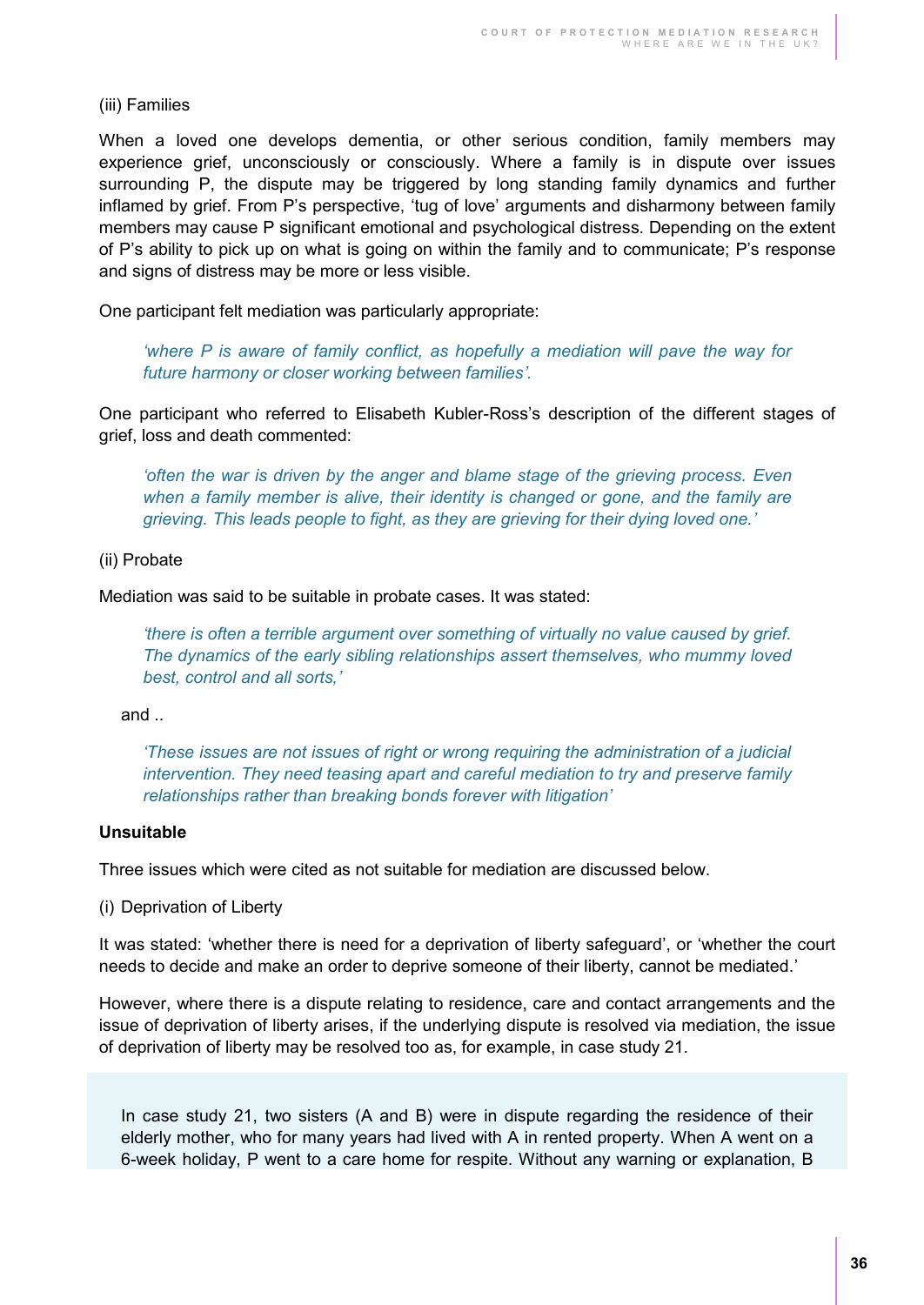#### (iii) Families

When a loved one develops dementia, or other serious condition, family members may experience grief, unconsciously or consciously. Where a family is in dispute over issues surrounding P, the dispute may be triggered by long standing family dynamics and further inflamed by grief. From P's perspective, 'tug of love' arguments and disharmony between family members may cause P significant emotional and psychological distress. Depending on the extent of P's ability to pick up on what is going on within the family and to communicate; P's response and signs of distress may be more or less visible.

One participant felt mediation was particularly appropriate:

*'where P is aware of family conflict, as hopefully a mediation will pave the way for future harmony or closer working between families'.* 

One participant who referred to Elisabeth Kubler-Ross's description of the different stages of grief, loss and death commented:

*'often the war is driven by the anger and blame stage of the grieving process. Even*  when a family member is alive, their identity is changed or gone, and the family are *grieving. This leads people to fight, as they are grieving for their dying loved one.'*

#### (ii) Probate

Mediation was said to be suitable in probate cases. It was stated:

*'there is often a terrible argument over something of virtually no value caused by grief. The dynamics of the early sibling relationships assert themselves, who mummy loved best, control and all sorts,'*

and ..

*'These issues are not issues of right or wrong requiring the administration of a judicial intervention. They need teasing apart and careful mediation to try and preserve family relationships rather than breaking bonds forever with litigation'*

#### **Unsuitable**

Three issues which were cited as not suitable for mediation are discussed below.

(i) Deprivation of Liberty

It was stated: 'whether there is need for a deprivation of liberty safeguard', or 'whether the court needs to decide and make an order to deprive someone of their liberty, cannot be mediated.'

However, where there is a dispute relating to residence, care and contact arrangements and the issue of deprivation of liberty arises, if the underlying dispute is resolved via mediation, the issue of deprivation of liberty may be resolved too as, for example, in case study 21.

In case study 21, two sisters (A and B) were in dispute regarding the residence of their elderly mother, who for many years had lived with A in rented property. When A went on a 6-week holiday, P went to a care home for respite. Without any warning or explanation, B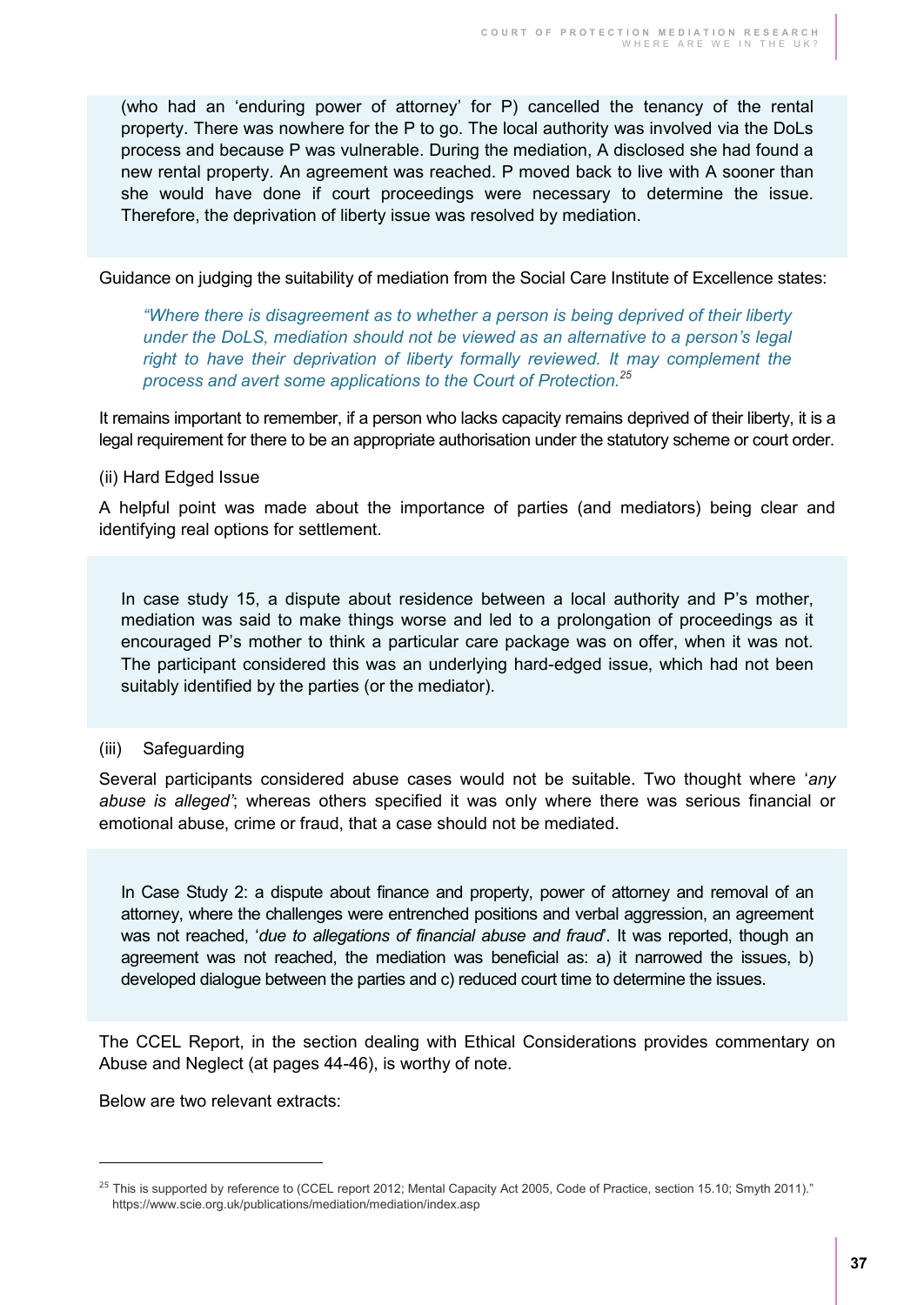(who had an 'enduring power of attorney' for P) cancelled the tenancy of the rental property. There was nowhere for the P to go. The local authority was involved via the DoLs process and because P was vulnerable. During the mediation, A disclosed she had found a new rental property. An agreement was reached. P moved back to live with A sooner than she would have done if court proceedings were necessary to determine the issue. Therefore, the deprivation of liberty issue was resolved by mediation.

Guidance on judging the suitability of mediation from the Social Care Institute of Excellence states:

*"Where there is disagreement as to whether a person is being deprived of their liberty under the DoLS, mediation should not be viewed as an alternative to a person's legal*  right to have their deprivation of liberty formally reviewed. It may complement the *process and avert some applications to the Court of Protection.<sup>25</sup>*

It remains important to remember, if a person who lacks capacity remains deprived of their liberty, it is a legal requirement for there to be an appropriate authorisation under the statutory scheme or court order.

#### (ii) Hard Edged Issue

A helpful point was made about the importance of parties (and mediators) being clear and identifying real options for settlement.

In case study 15, a dispute about residence between a local authority and P's mother, mediation was said to make things worse and led to a prolongation of proceedings as it encouraged P's mother to think a particular care package was on offer, when it was not. The participant considered this was an underlying hard-edged issue, which had not been suitably identified by the parties (or the mediator).

#### (iii) Safeguarding

Several participants considered abuse cases would not be suitable. Two thought where '*any abuse is alleged'*; whereas others specified it was only where there was serious financial or emotional abuse, crime or fraud, that a case should not be mediated.

In Case Study 2: a dispute about finance and property, power of attorney and removal of an attorney, where the challenges were entrenched positions and verbal aggression, an agreement was not reached, '*due to allegations of financial abuse and fraud*'. It was reported, though an agreement was not reached, the mediation was beneficial as: a) it narrowed the issues, b) developed dialogue between the parties and c) reduced court time to determine the issues.

The CCEL Report, in the section dealing with Ethical Considerations provides commentary on Abuse and Neglect (at pages 44-46), is worthy of note.

Below are two relevant extracts:

 $\overline{a}$ 

<sup>&</sup>lt;sup>25</sup> This is supported by reference to (CCEL report 2012; Mental Capacity Act 2005, Code of Practice, section 15.10; Smyth 2011)." https://www.scie.org.uk/publications/mediation/mediation/index.asp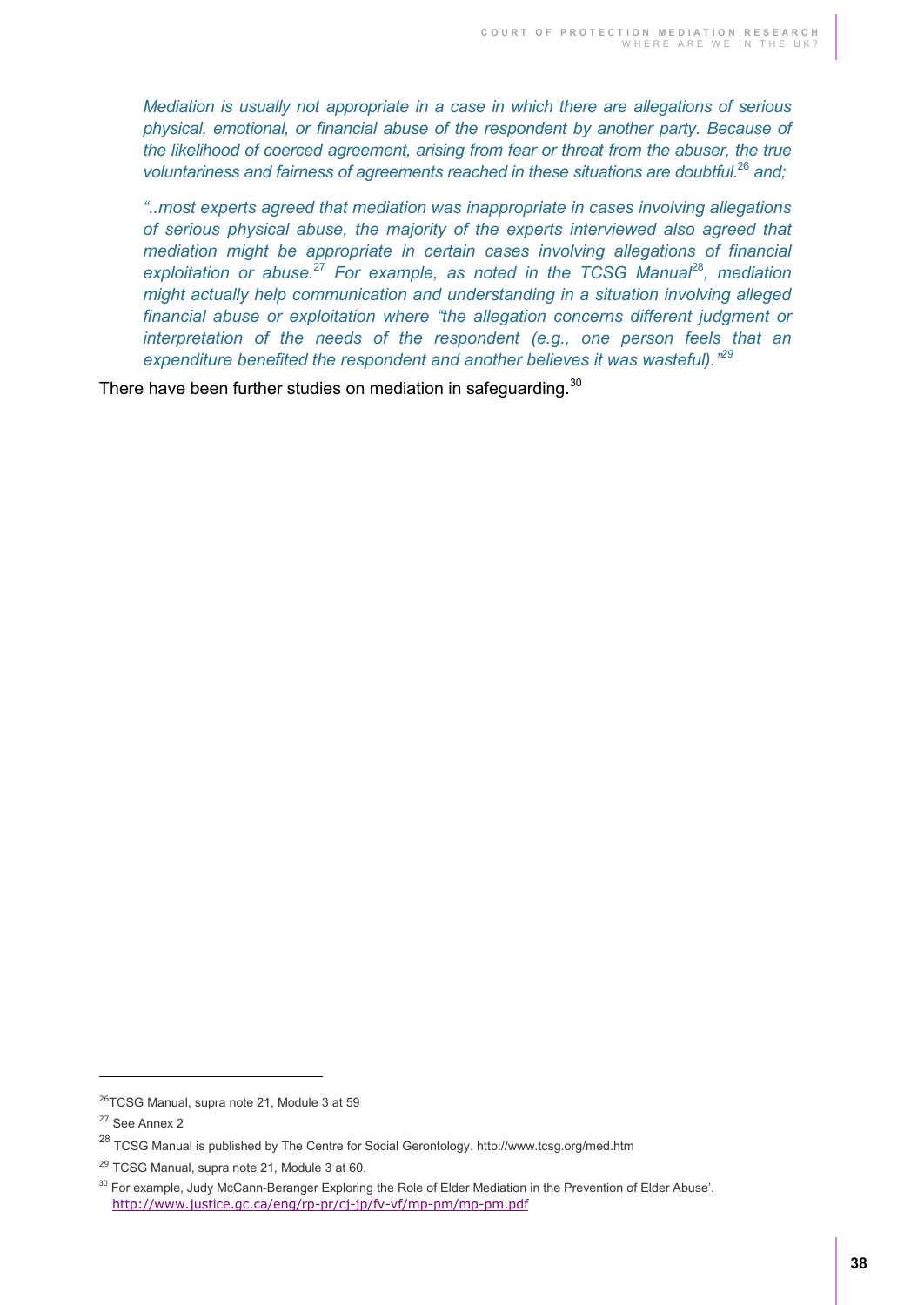*Mediation is usually not appropriate in a case in which there are allegations of serious physical, emotional, or financial abuse of the respondent by another party. Because of the likelihood of coerced agreement, arising from fear or threat from the abuser, the true voluntariness and fairness of agreements reached in these situations are doubtful.*<sup>26</sup> *and;*

*"..most experts agreed that mediation was inappropriate in cases involving allegations of serious physical abuse, the majority of the experts interviewed also agreed that mediation might be appropriate in certain cases involving allegations of financial exploitation or abuse.*<sup>27</sup> *For example, as noted in the TCSG Manual*<sup>28</sup>*, mediation might actually help communication and understanding in a situation involving alleged financial abuse or exploitation where "the allegation concerns different judgment or interpretation of the needs of the respondent (e.g., one person feels that an*  expenditure benefited the respondent and another believes it was wasteful).<sup>"29</sup>

There have been further studies on mediation in safequarding.<sup>30</sup>

 $\overline{a}$ 

<sup>&</sup>lt;sup>26</sup>TCSG Manual, supra note 21, Module 3 at 59

<sup>&</sup>lt;sup>27</sup> See Annex 2

<sup>28</sup> TCSG Manual is published by The Centre for Social Gerontology. http://www.tcsg.org/med.htm

<sup>&</sup>lt;sup>29</sup> TCSG Manual, supra note 21, Module 3 at 60.

 $30$  For example, Judy McCann-Beranger Exploring the Role of Elder Mediation in the Prevention of Elder Abuse'. <http://www.justice.gc.ca/eng/rp-pr/cj-jp/fv-vf/mp-pm/mp-pm.pdf>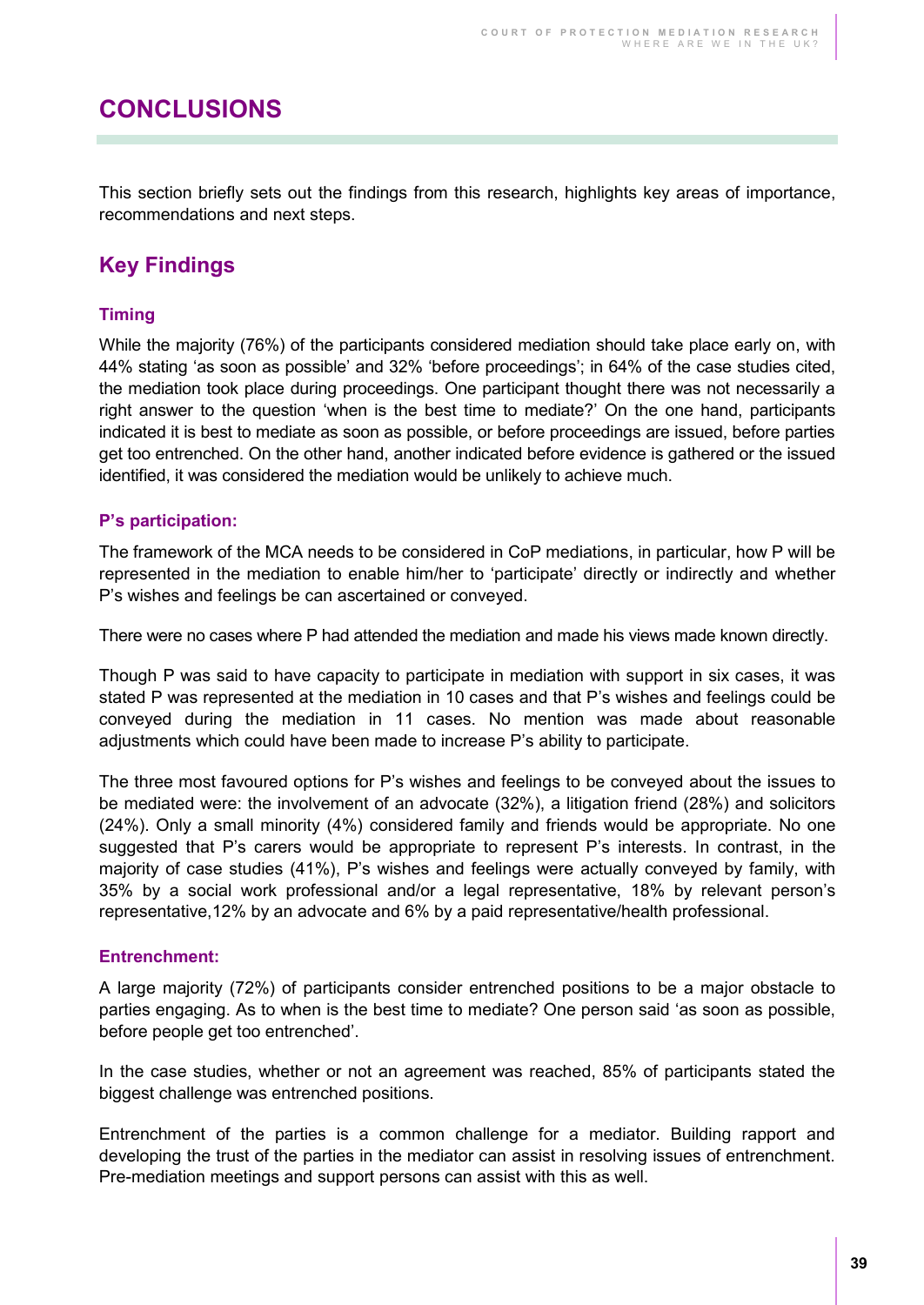# **CONCLUSIONS**

This section briefly sets out the findings from this research, highlights key areas of importance, recommendations and next steps.

## **Key Findings**

#### **Timing**

While the majority (76%) of the participants considered mediation should take place early on, with 44% stating 'as soon as possible' and 32% 'before proceedings'; in 64% of the case studies cited, the mediation took place during proceedings. One participant thought there was not necessarily a right answer to the question 'when is the best time to mediate?' On the one hand, participants indicated it is best to mediate as soon as possible, or before proceedings are issued, before parties get too entrenched. On the other hand, another indicated before evidence is gathered or the issued identified, it was considered the mediation would be unlikely to achieve much.

#### **P's participation:**

The framework of the MCA needs to be considered in CoP mediations, in particular, how P will be represented in the mediation to enable him/her to 'participate' directly or indirectly and whether P's wishes and feelings be can ascertained or conveyed.

There were no cases where P had attended the mediation and made his views made known directly.

Though P was said to have capacity to participate in mediation with support in six cases, it was stated P was represented at the mediation in 10 cases and that P's wishes and feelings could be conveyed during the mediation in 11 cases. No mention was made about reasonable adjustments which could have been made to increase P's ability to participate.

The three most favoured options for P's wishes and feelings to be conveyed about the issues to be mediated were: the involvement of an advocate (32%), a litigation friend (28%) and solicitors (24%). Only a small minority (4%) considered family and friends would be appropriate. No one suggested that P's carers would be appropriate to represent P's interests. In contrast, in the majority of case studies (41%), P's wishes and feelings were actually conveyed by family, with 35% by a social work professional and/or a legal representative, 18% by relevant person's representative,12% by an advocate and 6% by a paid representative/health professional.

#### **Entrenchment:**

A large majority (72%) of participants consider entrenched positions to be a major obstacle to parties engaging. As to when is the best time to mediate? One person said 'as soon as possible, before people get too entrenched'.

In the case studies, whether or not an agreement was reached, 85% of participants stated the biggest challenge was entrenched positions.

Entrenchment of the parties is a common challenge for a mediator. Building rapport and developing the trust of the parties in the mediator can assist in resolving issues of entrenchment. Pre-mediation meetings and support persons can assist with this as well.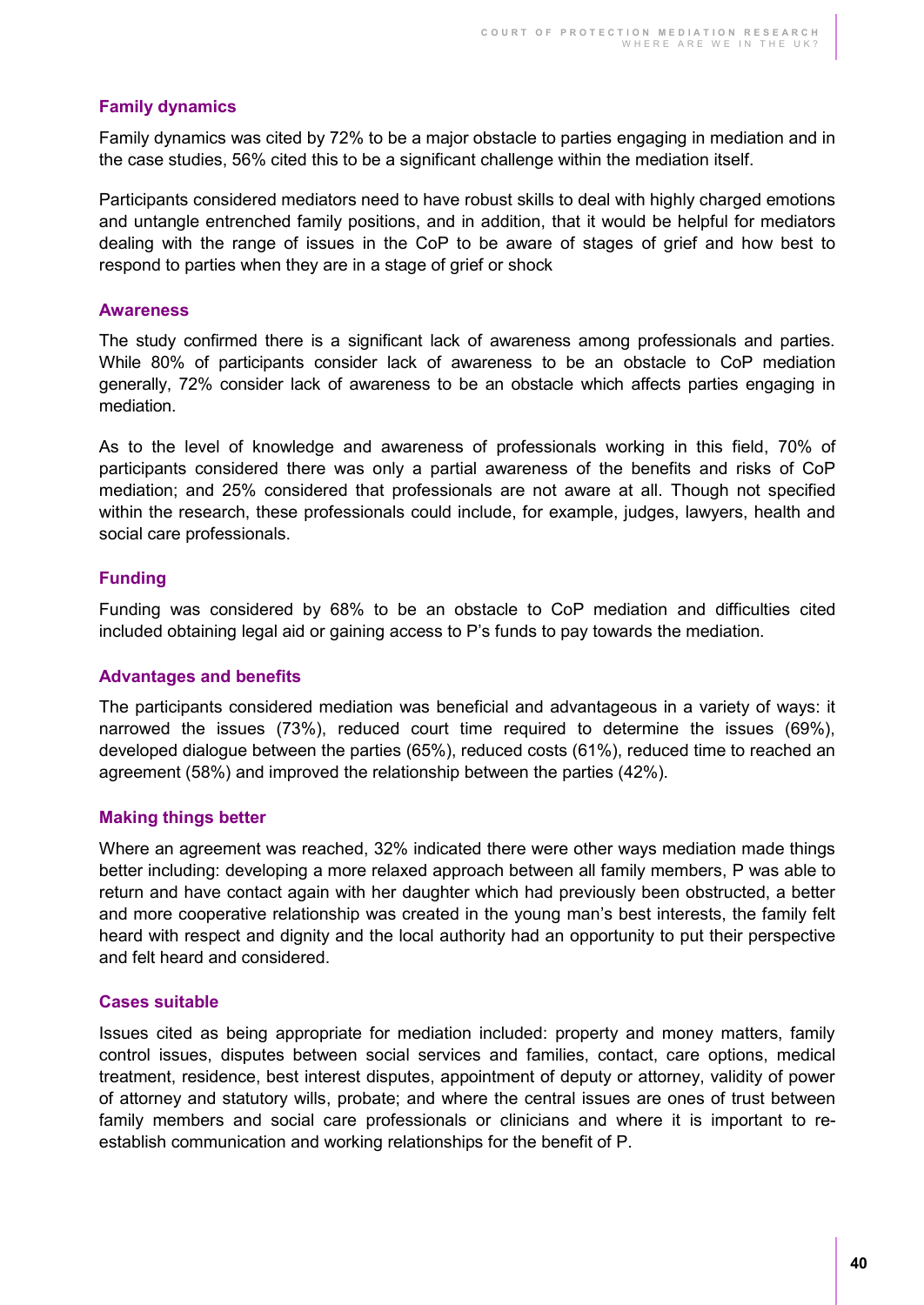#### **Family dynamics**

Family dynamics was cited by 72% to be a major obstacle to parties engaging in mediation and in the case studies, 56% cited this to be a significant challenge within the mediation itself.

Participants considered mediators need to have robust skills to deal with highly charged emotions and untangle entrenched family positions, and in addition, that it would be helpful for mediators dealing with the range of issues in the CoP to be aware of stages of grief and how best to respond to parties when they are in a stage of grief or shock

#### **Awareness**

The study confirmed there is a significant lack of awareness among professionals and parties. While 80% of participants consider lack of awareness to be an obstacle to CoP mediation generally, 72% consider lack of awareness to be an obstacle which affects parties engaging in mediation.

As to the level of knowledge and awareness of professionals working in this field, 70% of participants considered there was only a partial awareness of the benefits and risks of CoP mediation; and 25% considered that professionals are not aware at all. Though not specified within the research, these professionals could include, for example, judges, lawyers, health and social care professionals.

#### **Funding**

Funding was considered by 68% to be an obstacle to CoP mediation and difficulties cited included obtaining legal aid or gaining access to P's funds to pay towards the mediation.

#### **Advantages and benefits**

The participants considered mediation was beneficial and advantageous in a variety of ways: it narrowed the issues (73%), reduced court time required to determine the issues (69%), developed dialogue between the parties (65%), reduced costs (61%), reduced time to reached an agreement (58%) and improved the relationship between the parties (42%).

#### **Making things better**

Where an agreement was reached, 32% indicated there were other ways mediation made things better including: developing a more relaxed approach between all family members, P was able to return and have contact again with her daughter which had previously been obstructed, a better and more cooperative relationship was created in the young man's best interests, the family felt heard with respect and dignity and the local authority had an opportunity to put their perspective and felt heard and considered.

#### **Cases suitable**

Issues cited as being appropriate for mediation included: property and money matters, family control issues, disputes between social services and families, contact, care options, medical treatment, residence, best interest disputes, appointment of deputy or attorney, validity of power of attorney and statutory wills, probate; and where the central issues are ones of trust between family members and social care professionals or clinicians and where it is important to reestablish communication and working relationships for the benefit of P.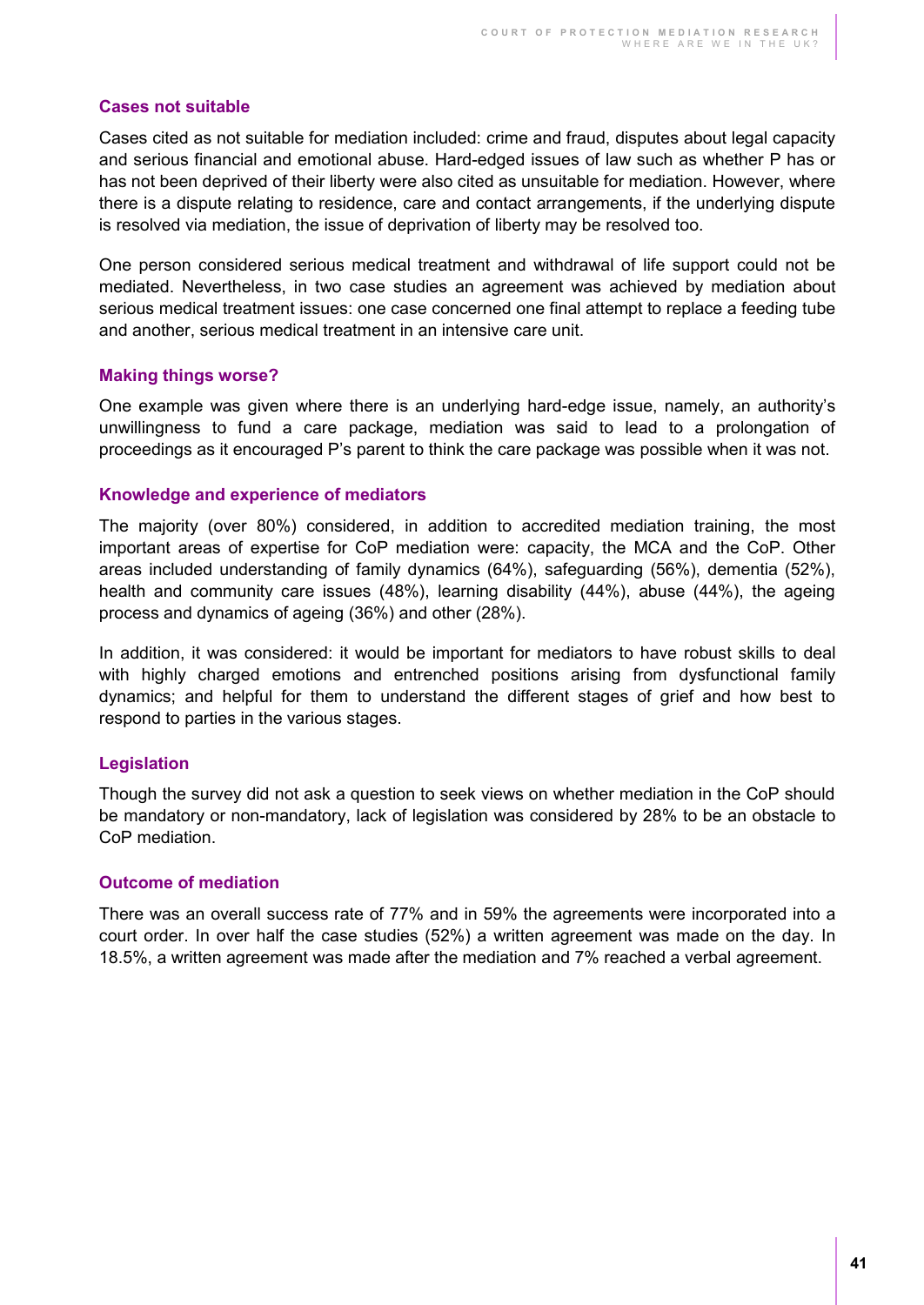#### **Cases not suitable**

Cases cited as not suitable for mediation included: crime and fraud, disputes about legal capacity and serious financial and emotional abuse. Hard-edged issues of law such as whether P has or has not been deprived of their liberty were also cited as unsuitable for mediation. However, where there is a dispute relating to residence, care and contact arrangements, if the underlying dispute is resolved via mediation, the issue of deprivation of liberty may be resolved too.

One person considered serious medical treatment and withdrawal of life support could not be mediated. Nevertheless, in two case studies an agreement was achieved by mediation about serious medical treatment issues: one case concerned one final attempt to replace a feeding tube and another, serious medical treatment in an intensive care unit.

#### **Making things worse?**

One example was given where there is an underlying hard-edge issue, namely, an authority's unwillingness to fund a care package, mediation was said to lead to a prolongation of proceedings as it encouraged P's parent to think the care package was possible when it was not.

#### **Knowledge and experience of mediators**

The majority (over 80%) considered, in addition to accredited mediation training, the most important areas of expertise for CoP mediation were: capacity, the MCA and the CoP. Other areas included understanding of family dynamics (64%), safeguarding (56%), dementia (52%), health and community care issues (48%), learning disability (44%), abuse (44%), the ageing process and dynamics of ageing (36%) and other (28%).

In addition, it was considered: it would be important for mediators to have robust skills to deal with highly charged emotions and entrenched positions arising from dysfunctional family dynamics; and helpful for them to understand the different stages of grief and how best to respond to parties in the various stages.

#### **Legislation**

Though the survey did not ask a question to seek views on whether mediation in the CoP should be mandatory or non-mandatory, lack of legislation was considered by 28% to be an obstacle to CoP mediation.

#### **Outcome of mediation**

There was an overall success rate of 77% and in 59% the agreements were incorporated into a court order. In over half the case studies (52%) a written agreement was made on the day. In 18.5%, a written agreement was made after the mediation and 7% reached a verbal agreement.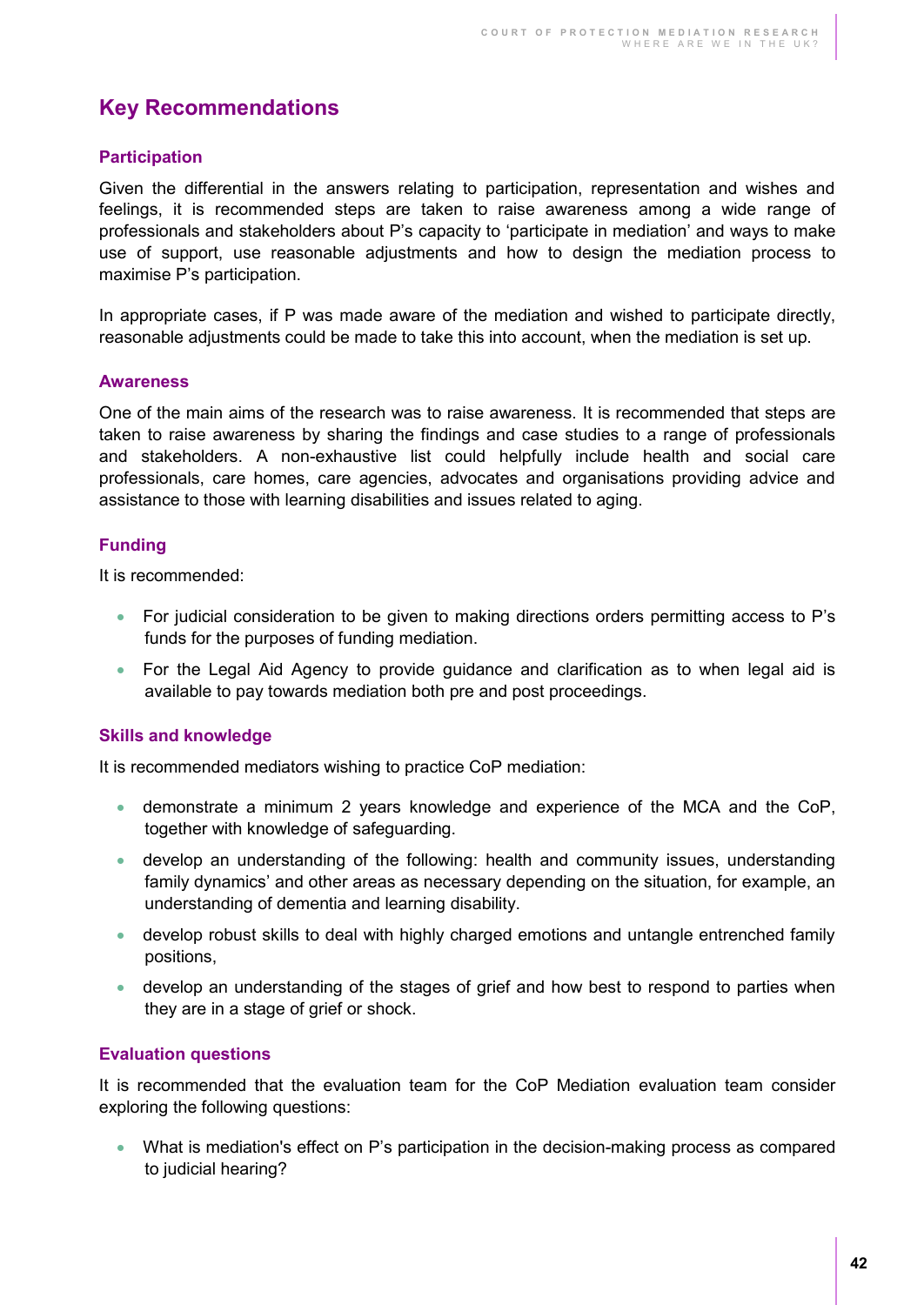## **Key Recommendations**

#### **Participation**

Given the differential in the answers relating to participation, representation and wishes and feelings, it is recommended steps are taken to raise awareness among a wide range of professionals and stakeholders about P's capacity to 'participate in mediation' and ways to make use of support, use reasonable adjustments and how to design the mediation process to maximise P's participation.

In appropriate cases, if P was made aware of the mediation and wished to participate directly, reasonable adjustments could be made to take this into account, when the mediation is set up.

#### **Awareness**

One of the main aims of the research was to raise awareness. It is recommended that steps are taken to raise awareness by sharing the findings and case studies to a range of professionals and stakeholders. A non-exhaustive list could helpfully include health and social care professionals, care homes, care agencies, advocates and organisations providing advice and assistance to those with learning disabilities and issues related to aging.

#### **Funding**

It is recommended:

- For judicial consideration to be given to making directions orders permitting access to P's funds for the purposes of funding mediation.
- For the Legal Aid Agency to provide guidance and clarification as to when legal aid is available to pay towards mediation both pre and post proceedings.

#### **Skills and knowledge**

It is recommended mediators wishing to practice CoP mediation:

- demonstrate a minimum 2 years knowledge and experience of the MCA and the CoP, together with knowledge of safeguarding.
- develop an understanding of the following: health and community issues, understanding family dynamics' and other areas as necessary depending on the situation, for example, an understanding of dementia and learning disability.
- develop robust skills to deal with highly charged emotions and untangle entrenched family positions,
- develop an understanding of the stages of grief and how best to respond to parties when they are in a stage of grief or shock.

#### **Evaluation questions**

It is recommended that the evaluation team for the CoP Mediation evaluation team consider exploring the following questions:

 What is mediation's effect on P's participation in the decision-making process as compared to judicial hearing?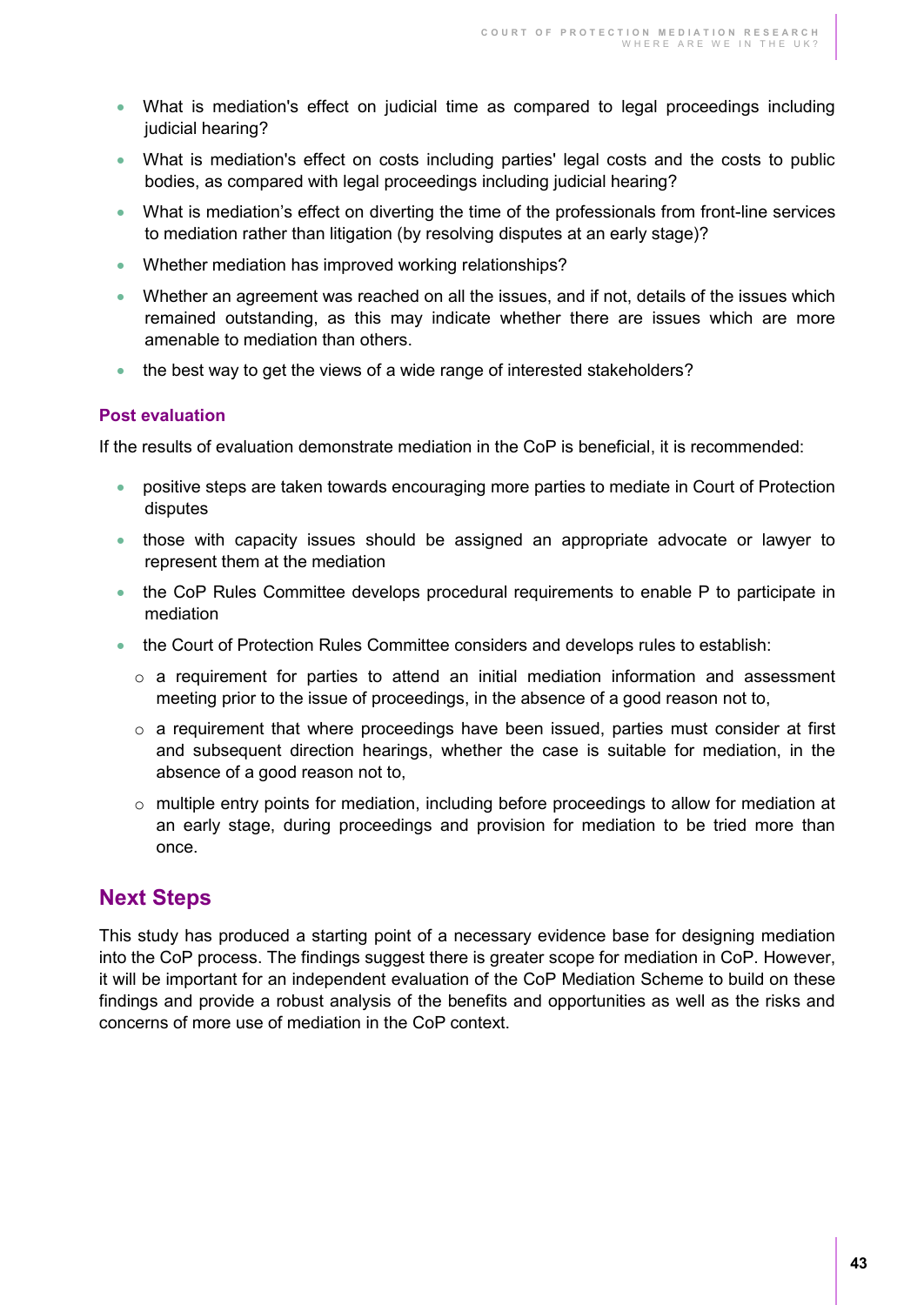- What is mediation's effect on judicial time as compared to legal proceedings including judicial hearing?
- What is mediation's effect on costs including parties' legal costs and the costs to public bodies, as compared with legal proceedings including judicial hearing?
- What is mediation's effect on diverting the time of the professionals from front-line services to mediation rather than litigation (by resolving disputes at an early stage)?
- Whether mediation has improved working relationships?
- Whether an agreement was reached on all the issues, and if not, details of the issues which remained outstanding, as this may indicate whether there are issues which are more amenable to mediation than others.
- the best way to get the views of a wide range of interested stakeholders?

#### **Post evaluation**

If the results of evaluation demonstrate mediation in the CoP is beneficial, it is recommended:

- positive steps are taken towards encouraging more parties to mediate in Court of Protection disputes
- those with capacity issues should be assigned an appropriate advocate or lawyer to represent them at the mediation
- the CoP Rules Committee develops procedural requirements to enable P to participate in mediation
- the Court of Protection Rules Committee considers and develops rules to establish:
	- o a requirement for parties to attend an initial mediation information and assessment meeting prior to the issue of proceedings, in the absence of a good reason not to,
	- $\circ$  a requirement that where proceedings have been issued, parties must consider at first and subsequent direction hearings, whether the case is suitable for mediation, in the absence of a good reason not to,
	- $\circ$  multiple entry points for mediation, including before proceedings to allow for mediation at an early stage, during proceedings and provision for mediation to be tried more than once.

### **Next Steps**

This study has produced a starting point of a necessary evidence base for designing mediation into the CoP process. The findings suggest there is greater scope for mediation in CoP. However, it will be important for an independent evaluation of the CoP Mediation Scheme to build on these findings and provide a robust analysis of the benefits and opportunities as well as the risks and concerns of more use of mediation in the CoP context.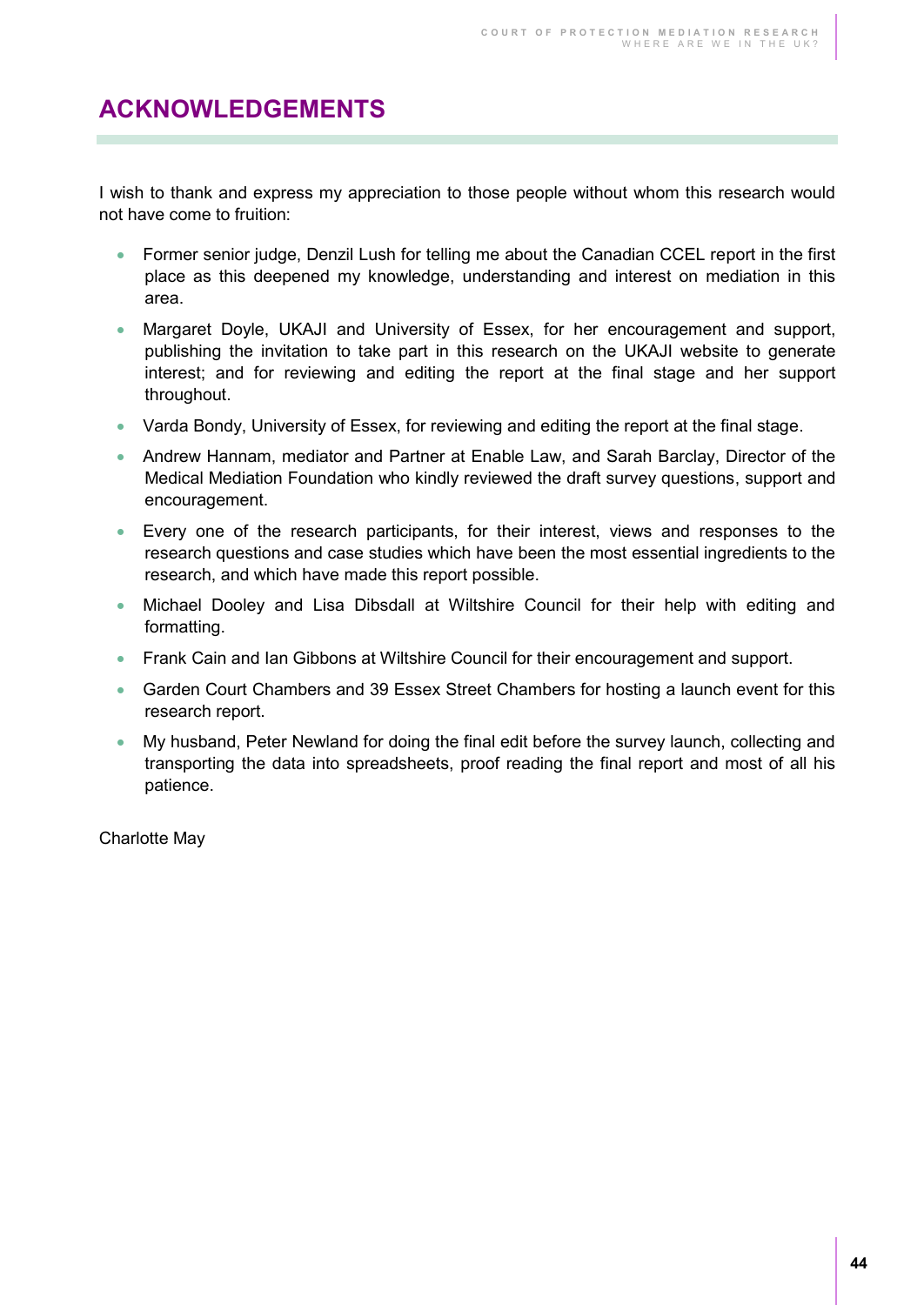# **ACKNOWLEDGEMENTS**

I wish to thank and express my appreciation to those people without whom this research would not have come to fruition:

- Former senior judge, Denzil Lush for telling me about the Canadian CCEL report in the first place as this deepened my knowledge, understanding and interest on mediation in this area.
- Margaret Doyle, UKAJI and University of Essex, for her encouragement and support, publishing the invitation to take part in this research on the UKAJI website to generate interest; and for reviewing and editing the report at the final stage and her support throughout.
- Varda Bondy, University of Essex, for reviewing and editing the report at the final stage.
- Andrew Hannam, mediator and Partner at Enable Law, and Sarah Barclay, Director of the Medical Mediation Foundation who kindly reviewed the draft survey questions, support and encouragement.
- Every one of the research participants, for their interest, views and responses to the research questions and case studies which have been the most essential ingredients to the research, and which have made this report possible.
- Michael Dooley and Lisa Dibsdall at Wiltshire Council for their help with editing and formatting.
- **Frank Cain and Ian Gibbons at Wiltshire Council for their encouragement and support.**
- Garden Court Chambers and 39 Essex Street Chambers for hosting a launch event for this research report.
- My husband, Peter Newland for doing the final edit before the survey launch, collecting and transporting the data into spreadsheets, proof reading the final report and most of all his patience.

Charlotte May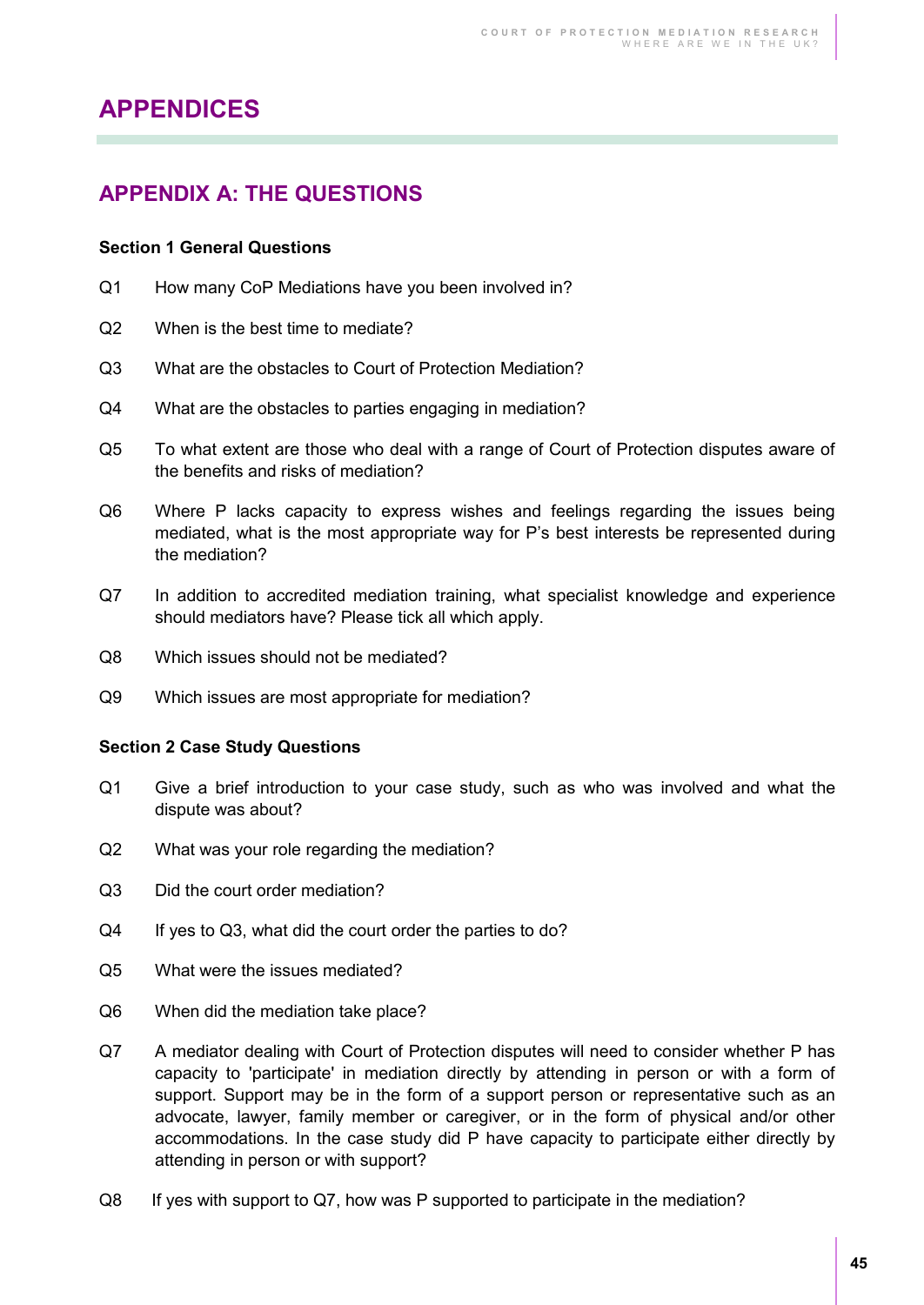# **APPENDICES**

## **APPENDIX A: THE QUESTIONS**

#### **Section 1 General Questions**

- Q1 How many CoP Mediations have you been involved in?
- Q2 When is the best time to mediate?
- Q3 What are the obstacles to Court of Protection Mediation?
- Q4 What are the obstacles to parties engaging in mediation?
- Q5 To what extent are those who deal with a range of Court of Protection disputes aware of the benefits and risks of mediation?
- Q6 Where P lacks capacity to express wishes and feelings regarding the issues being mediated, what is the most appropriate way for P's best interests be represented during the mediation?
- Q7 In addition to accredited mediation training, what specialist knowledge and experience should mediators have? Please tick all which apply.
- Q8 Which issues should not be mediated?
- Q9 Which issues are most appropriate for mediation?

#### **Section 2 Case Study Questions**

- Q1 Give a brief introduction to your case study, such as who was involved and what the dispute was about?
- Q2 What was your role regarding the mediation?
- Q3 Did the court order mediation?
- Q4 If yes to Q3, what did the court order the parties to do?
- Q5 What were the issues mediated?
- Q6 When did the mediation take place?
- Q7 A mediator dealing with Court of Protection disputes will need to consider whether P has capacity to 'participate' in mediation directly by attending in person or with a form of support. Support may be in the form of a support person or representative such as an advocate, lawyer, family member or caregiver, or in the form of physical and/or other accommodations. In the case study did P have capacity to participate either directly by attending in person or with support?
- Q8 If yes with support to Q7, how was P supported to participate in the mediation?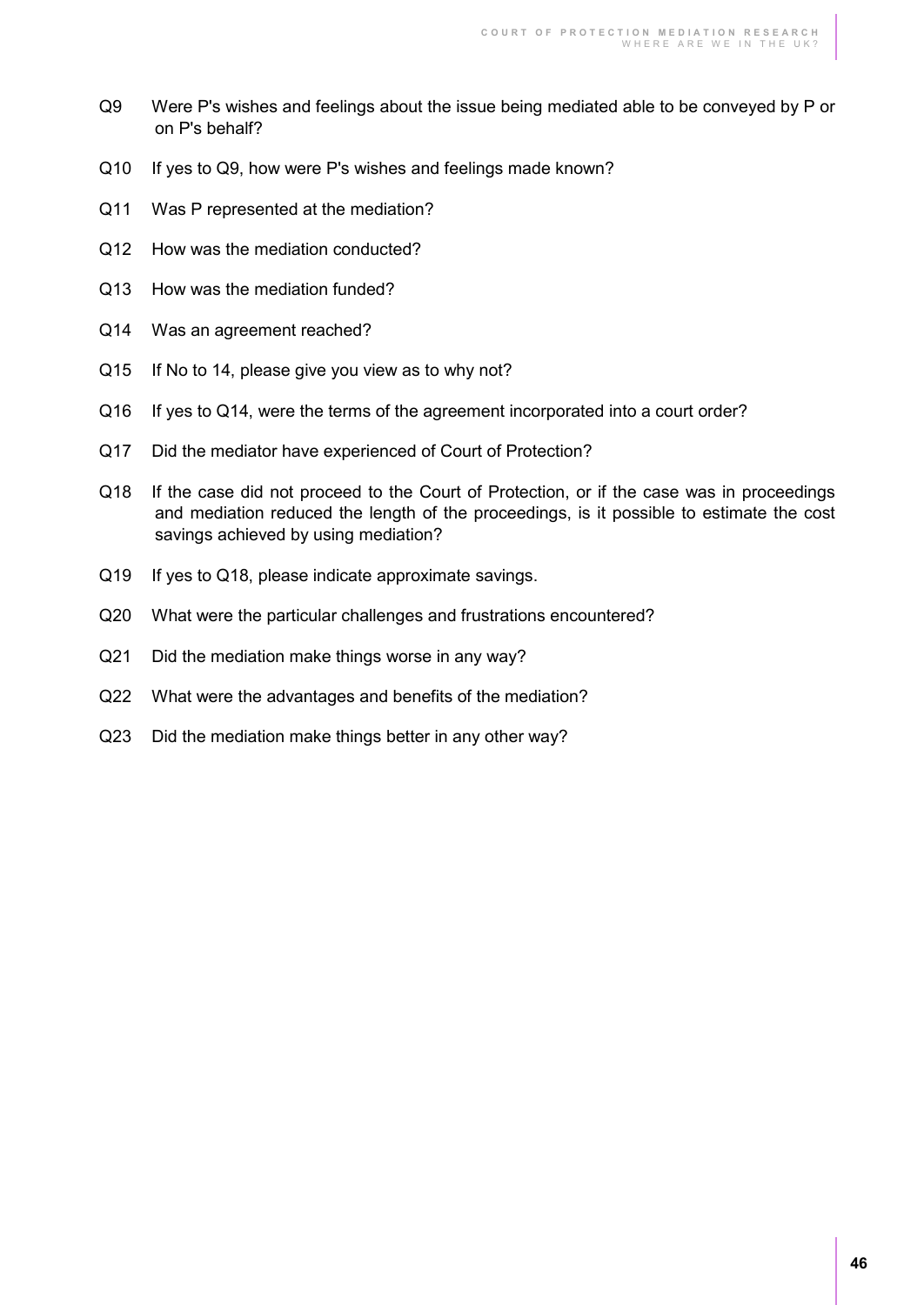- Q9 Were P's wishes and feelings about the issue being mediated able to be conveyed by P or on P's behalf?
- Q10 If yes to Q9, how were P's wishes and feelings made known?
- Q11 Was P represented at the mediation?
- Q12 How was the mediation conducted?
- Q13 How was the mediation funded?
- Q14 Was an agreement reached?
- Q15 If No to 14, please give you view as to why not?
- Q16 If yes to Q14, were the terms of the agreement incorporated into a court order?
- Q17 Did the mediator have experienced of Court of Protection?
- Q18 If the case did not proceed to the Court of Protection, or if the case was in proceedings and mediation reduced the length of the proceedings, is it possible to estimate the cost savings achieved by using mediation?
- Q19 If yes to Q18, please indicate approximate savings.
- Q20 What were the particular challenges and frustrations encountered?
- Q21 Did the mediation make things worse in any way?
- Q22 What were the advantages and benefits of the mediation?
- Q23 Did the mediation make things better in any other way?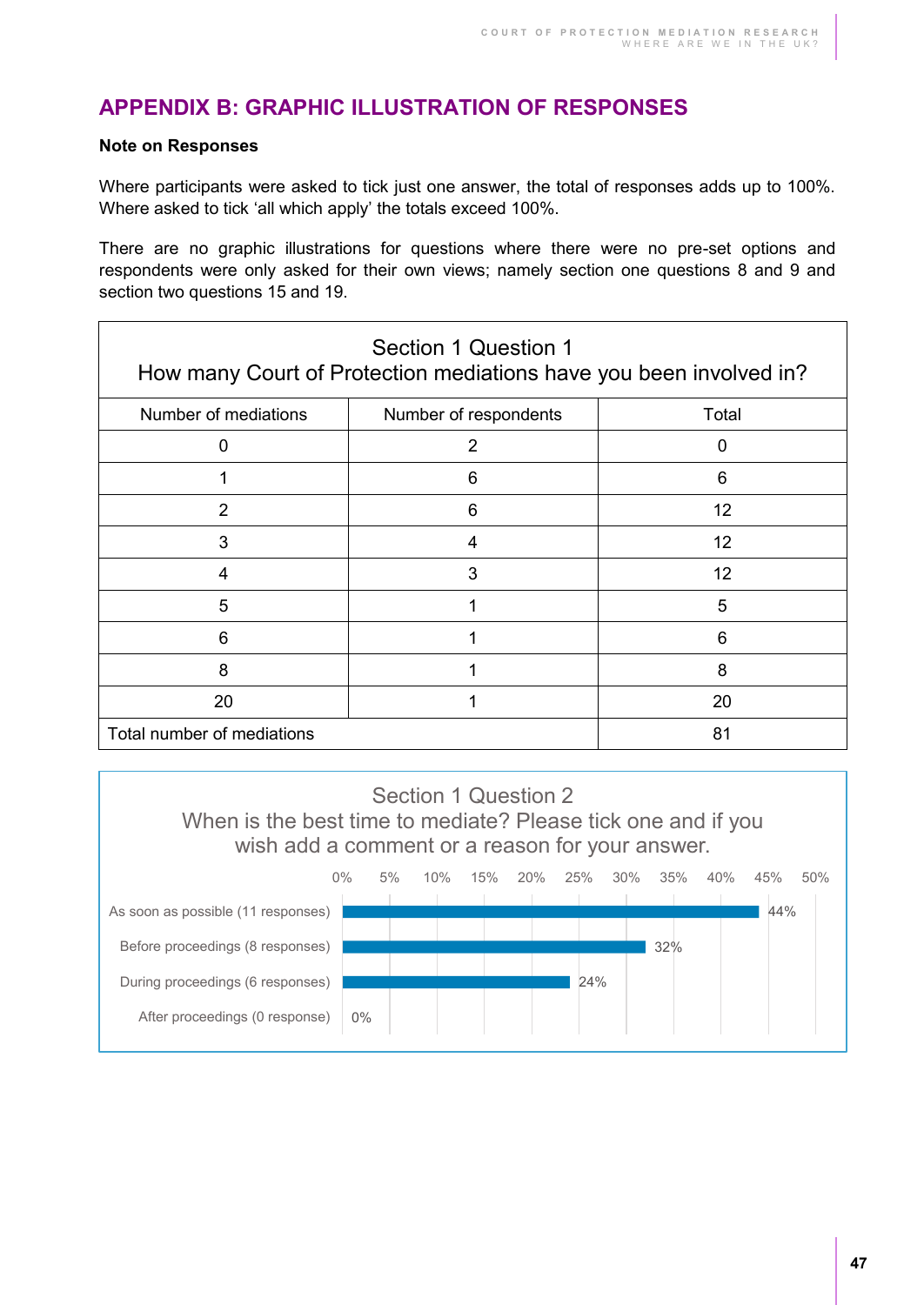## **APPENDIX B: GRAPHIC ILLUSTRATION OF RESPONSES**

#### **Note on Responses**

Where participants were asked to tick just one answer, the total of responses adds up to 100%. Where asked to tick 'all which apply' the totals exceed 100%.

There are no graphic illustrations for questions where there were no pre-set options and respondents were only asked for their own views; namely section one questions 8 and 9 and section two questions 15 and 19.

| Section 1 Question 1<br>How many Court of Protection mediations have you been involved in? |                       |       |
|--------------------------------------------------------------------------------------------|-----------------------|-------|
| Number of mediations                                                                       | Number of respondents | Total |
| 0                                                                                          | 2                     | O     |
|                                                                                            | 6                     | 6     |
| $\overline{2}$                                                                             | 6                     | 12    |
| 3                                                                                          | 4                     | 12    |
| 4                                                                                          | 3                     | 12    |
| 5                                                                                          |                       | 5     |
| 6                                                                                          |                       | 6     |
| 8                                                                                          |                       | 8     |
| 20                                                                                         |                       | 20    |
| Total number of mediations                                                                 |                       | 81    |

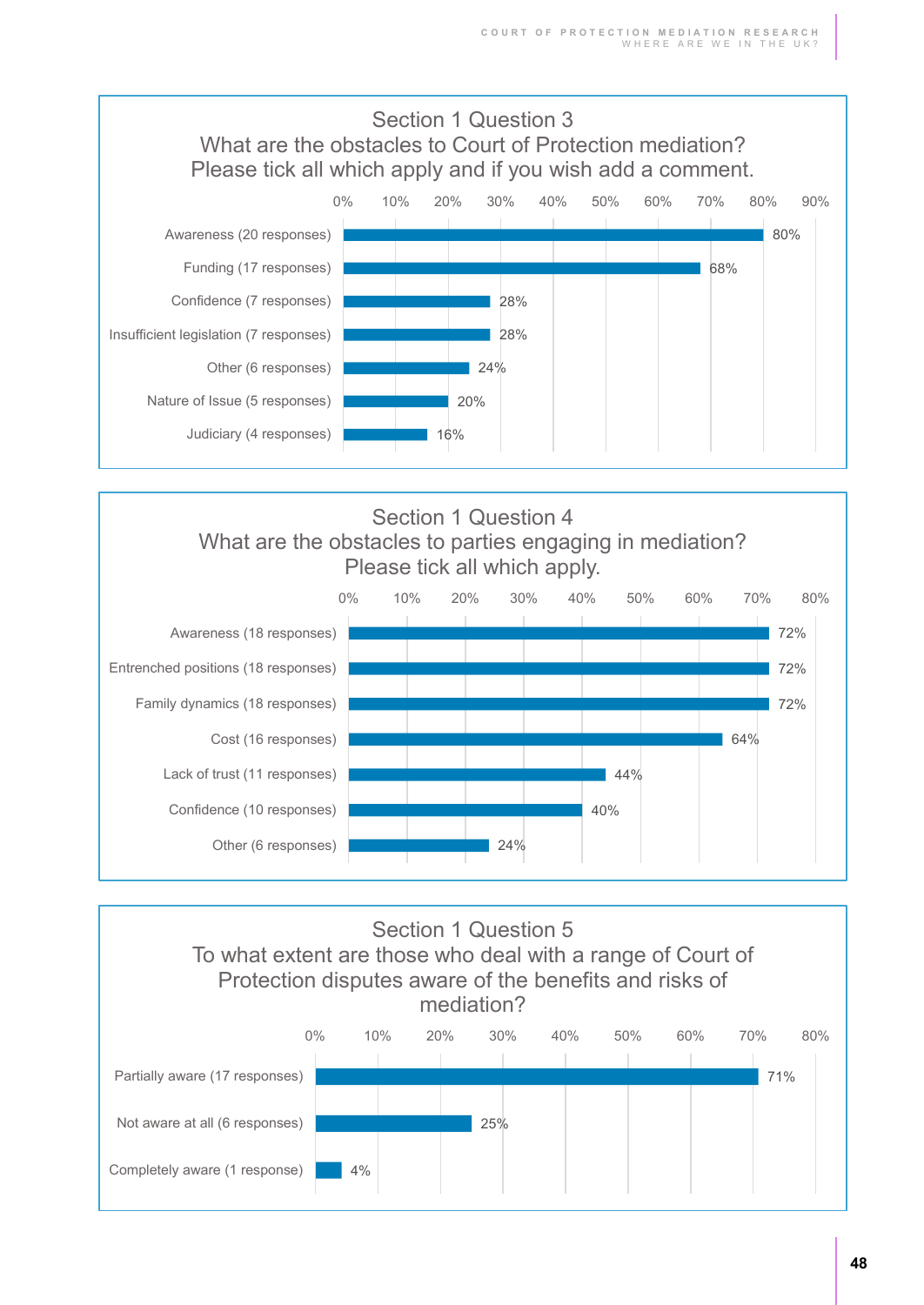



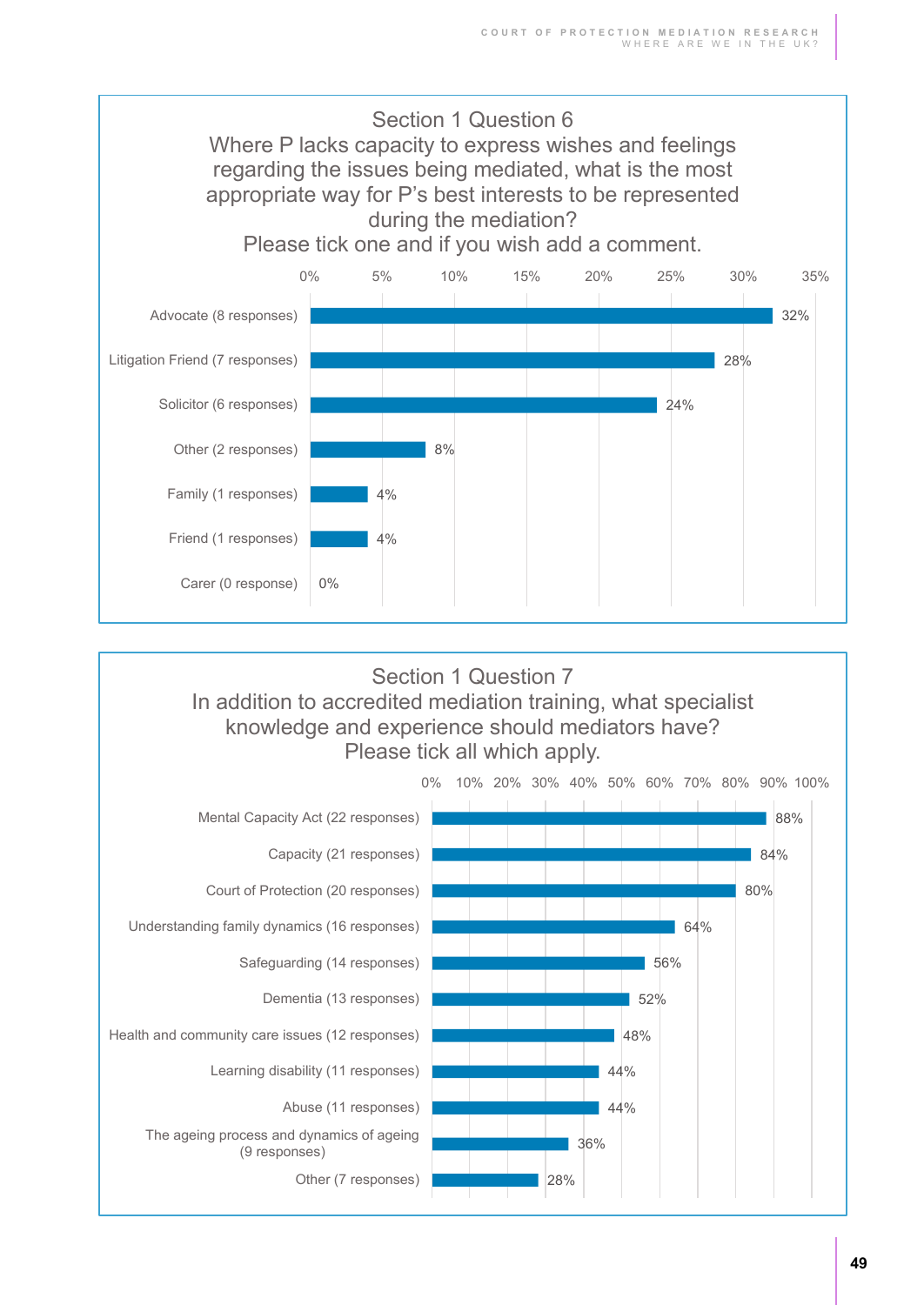

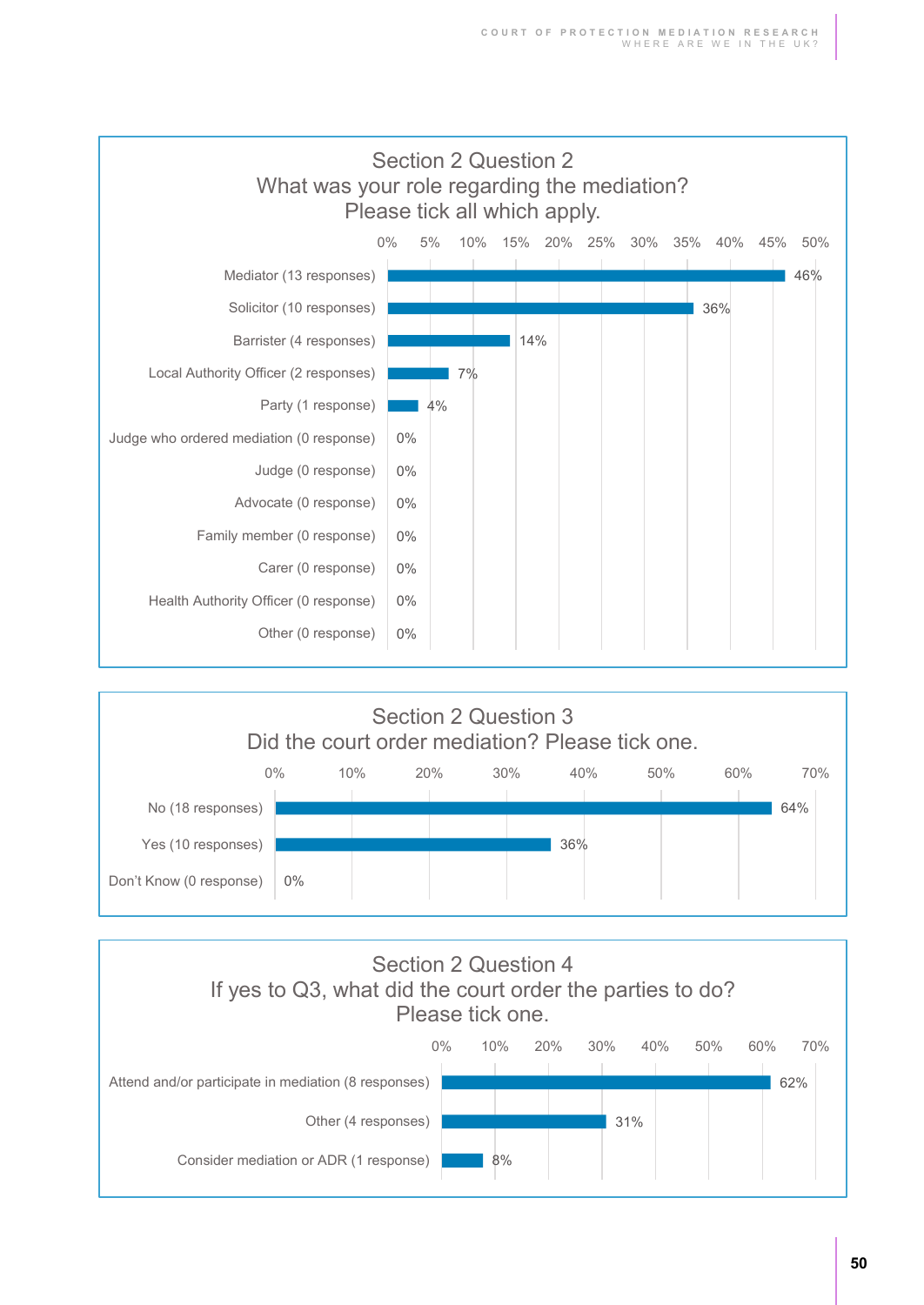



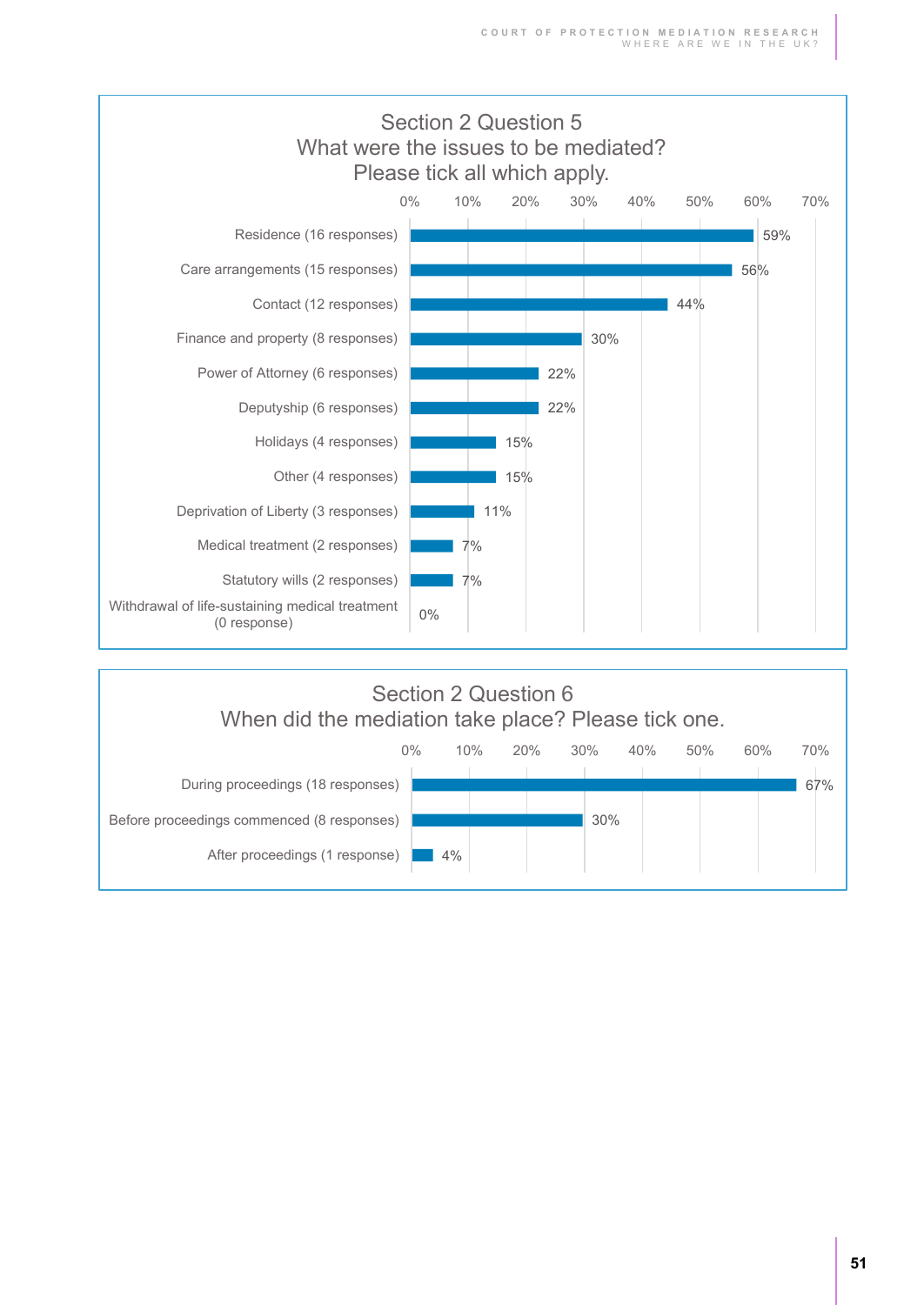

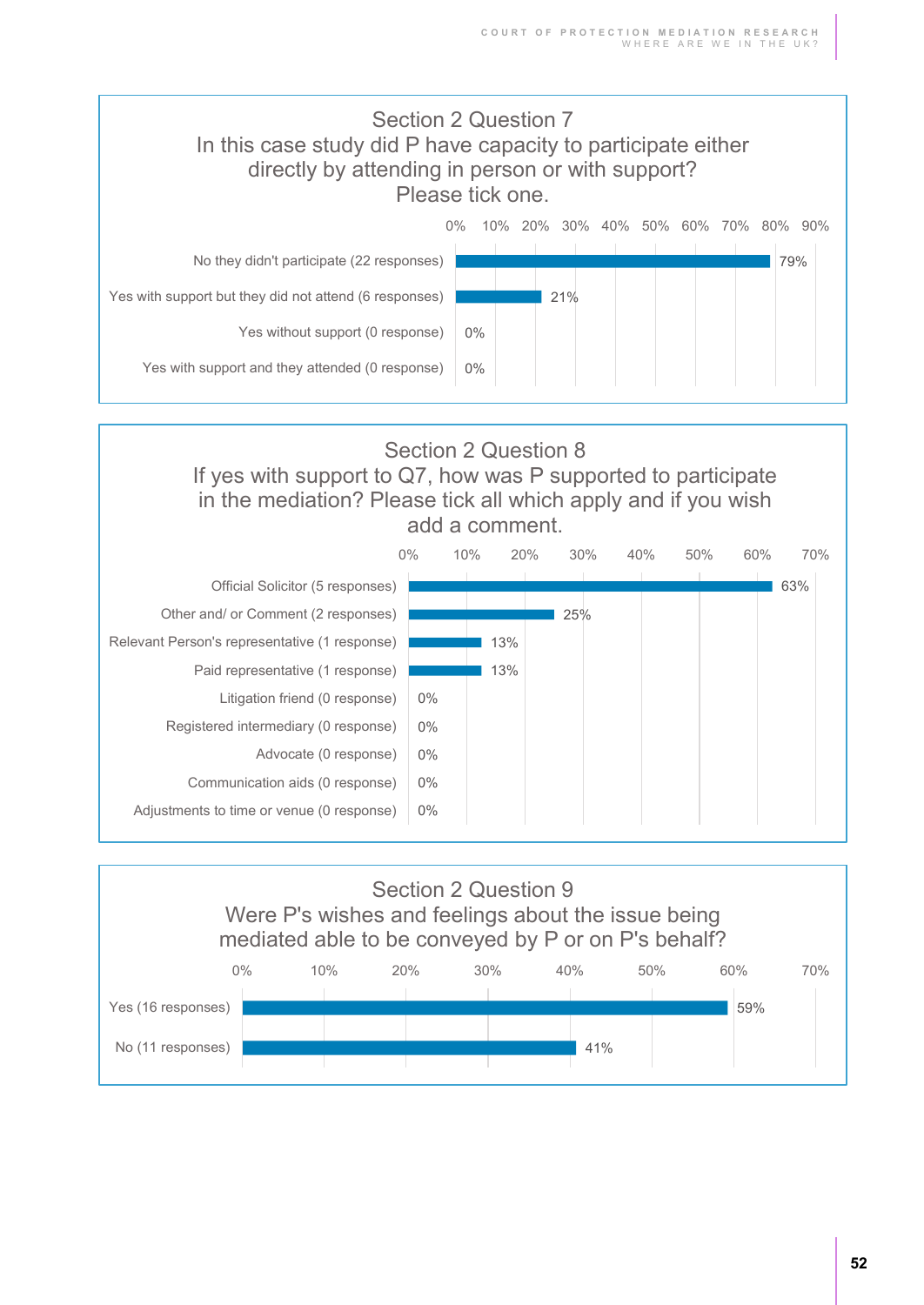



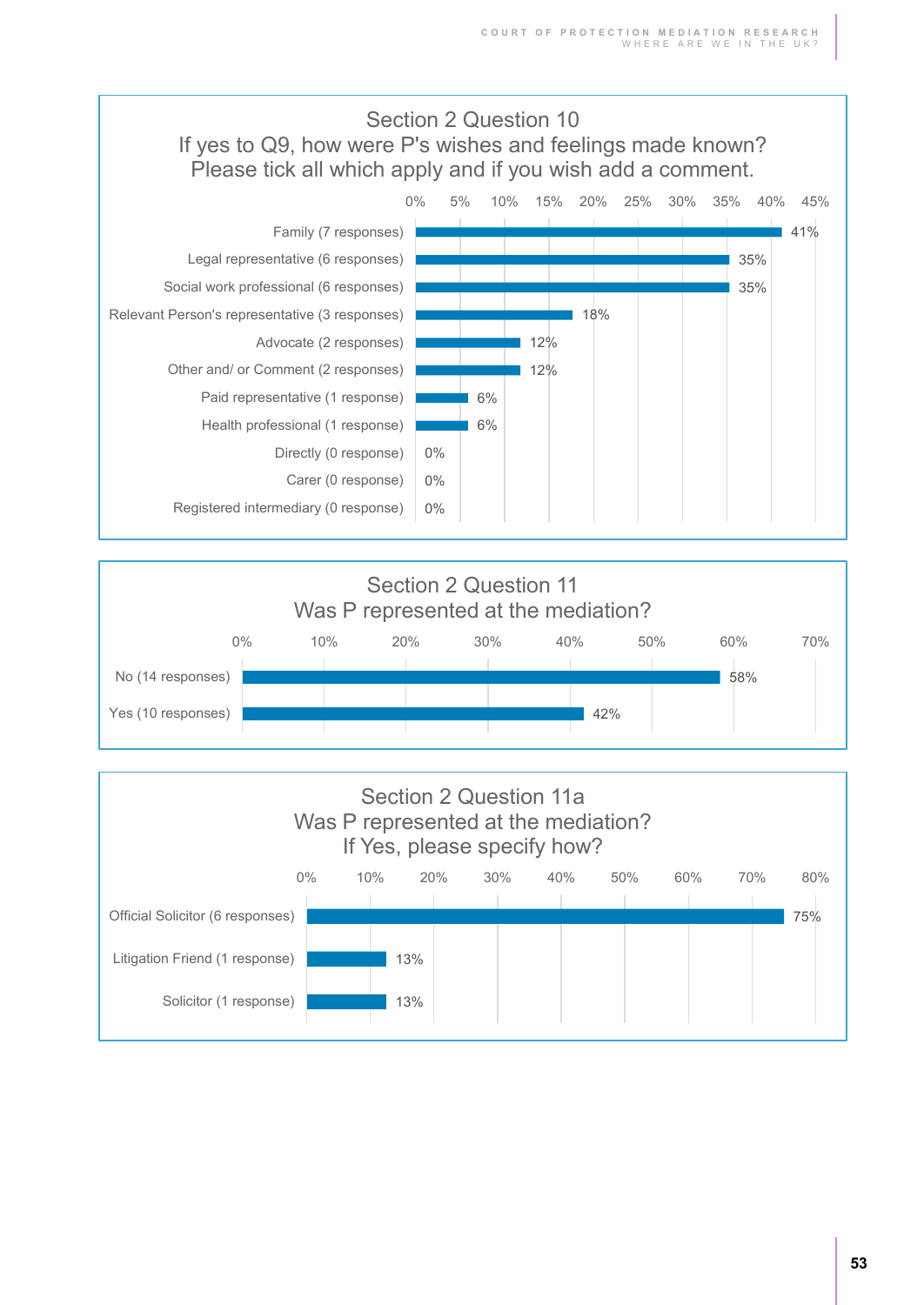



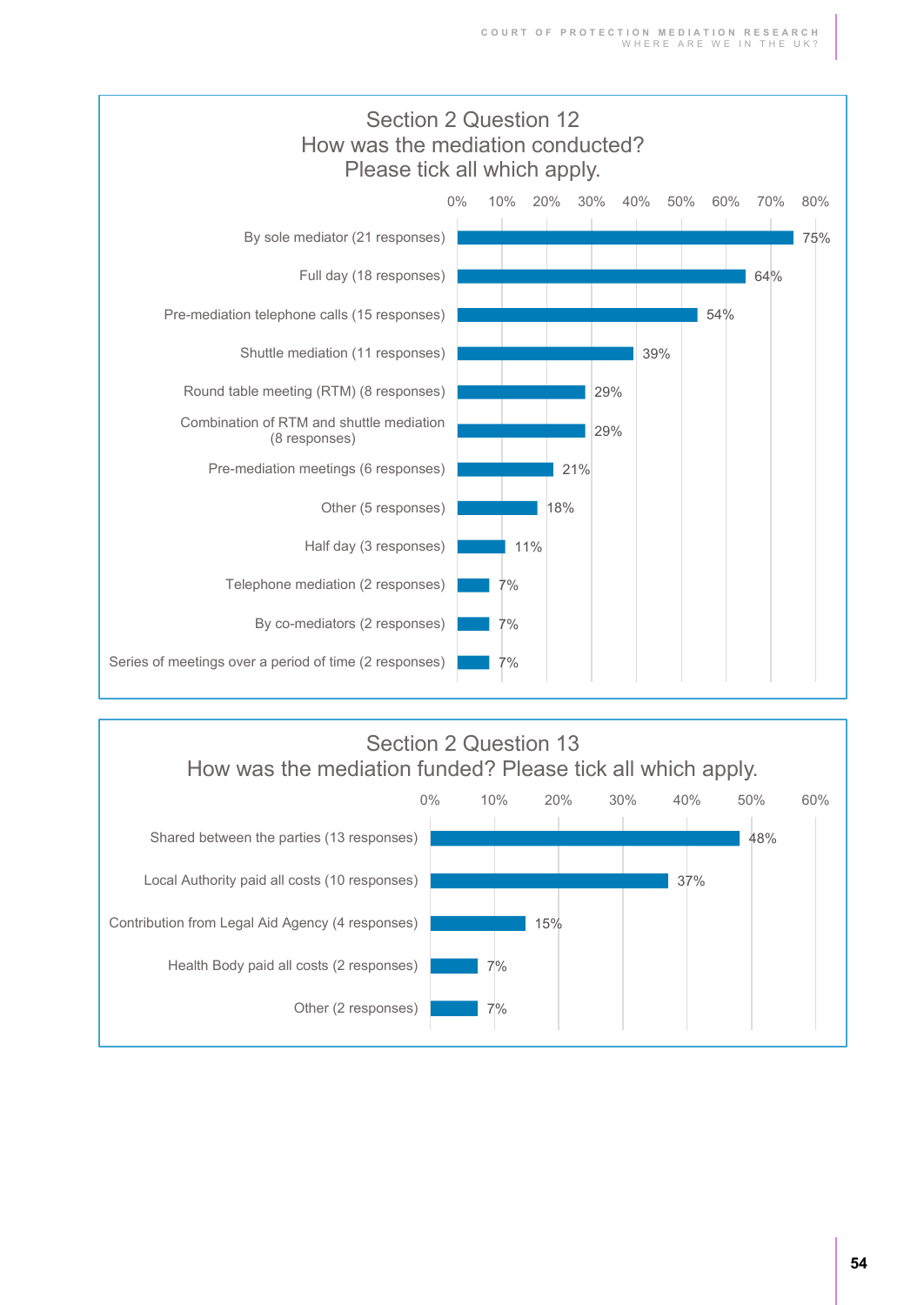

# Section 2 Question 13 How was the mediation funded? Please tick all which apply.

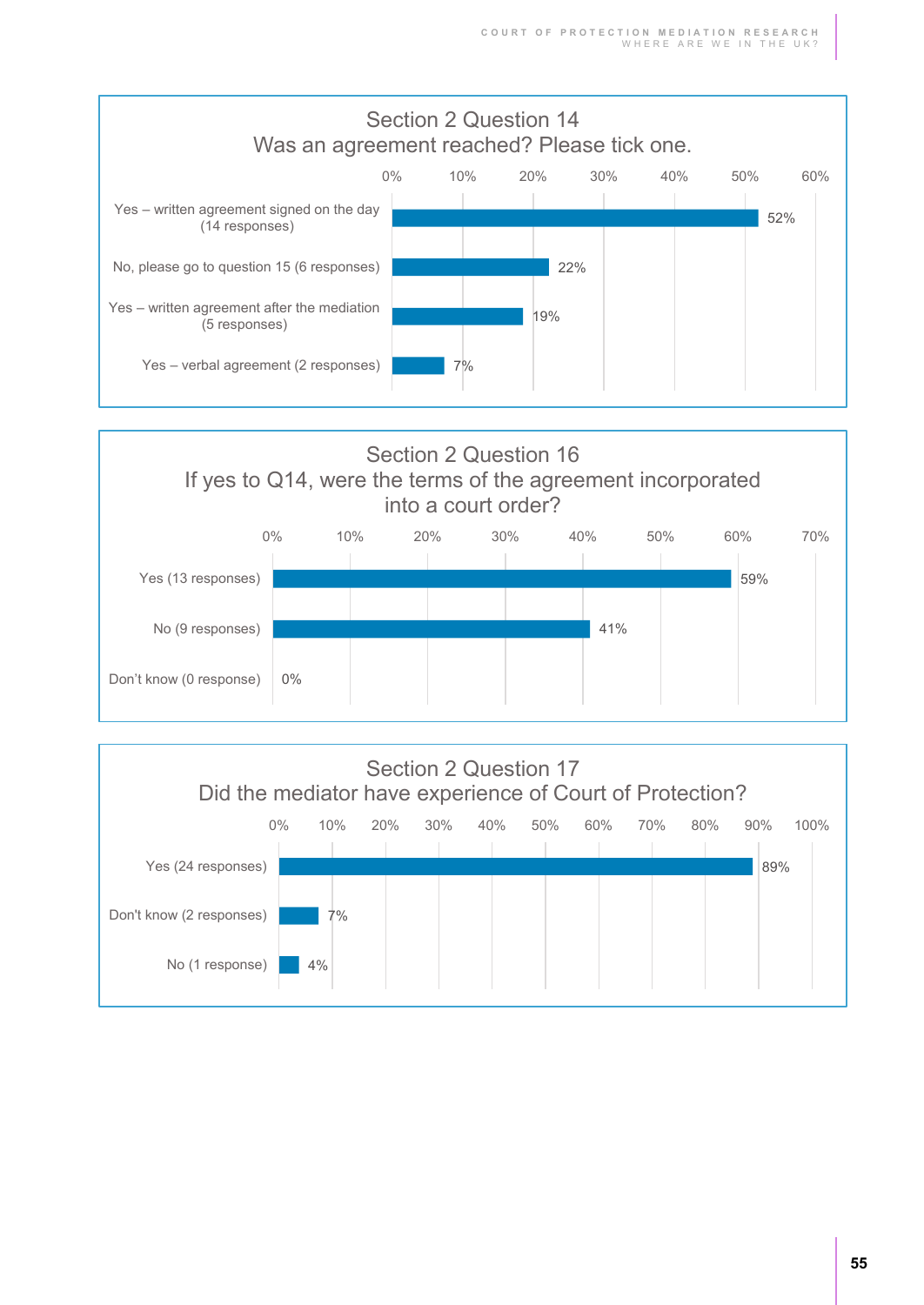



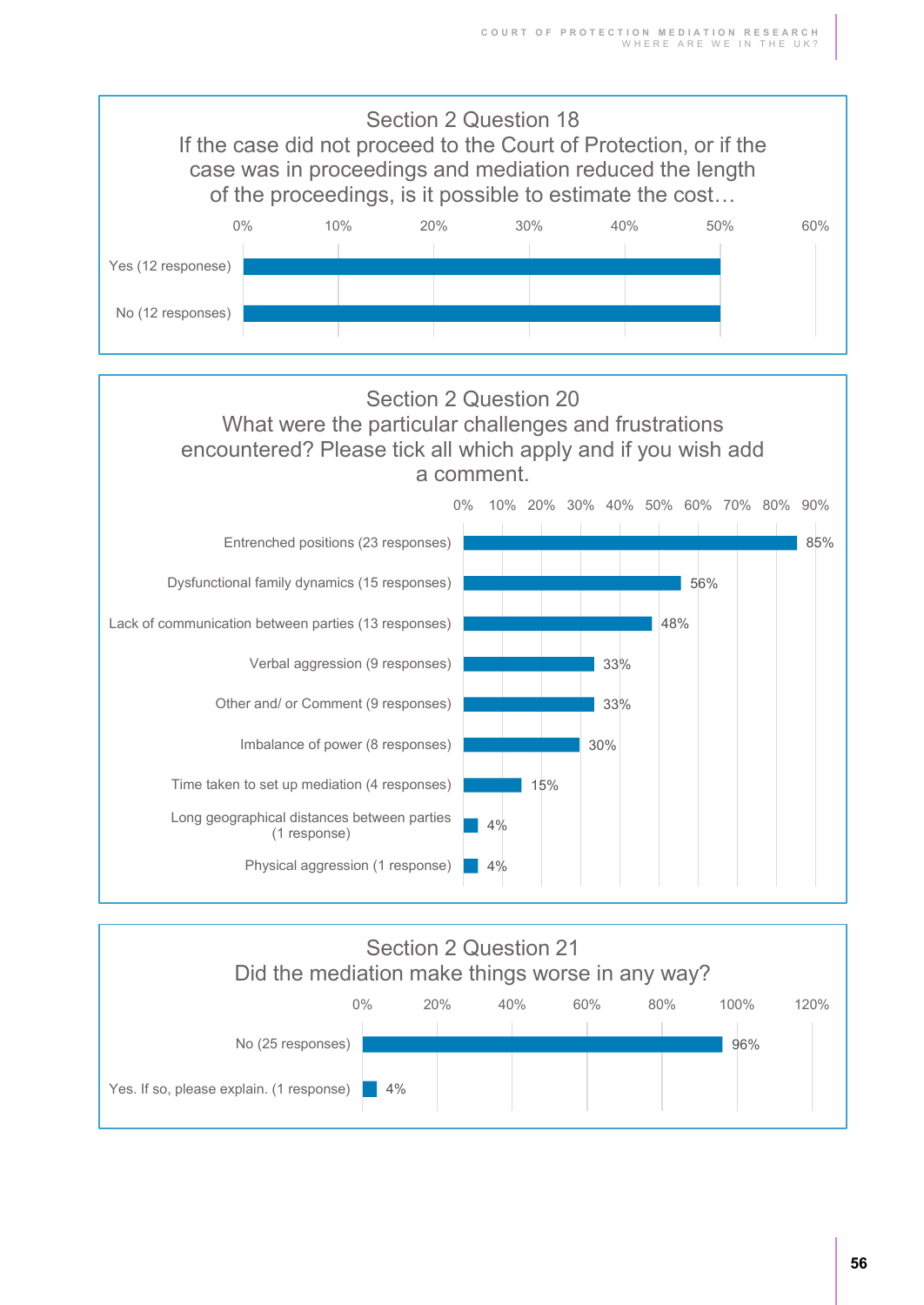





**56**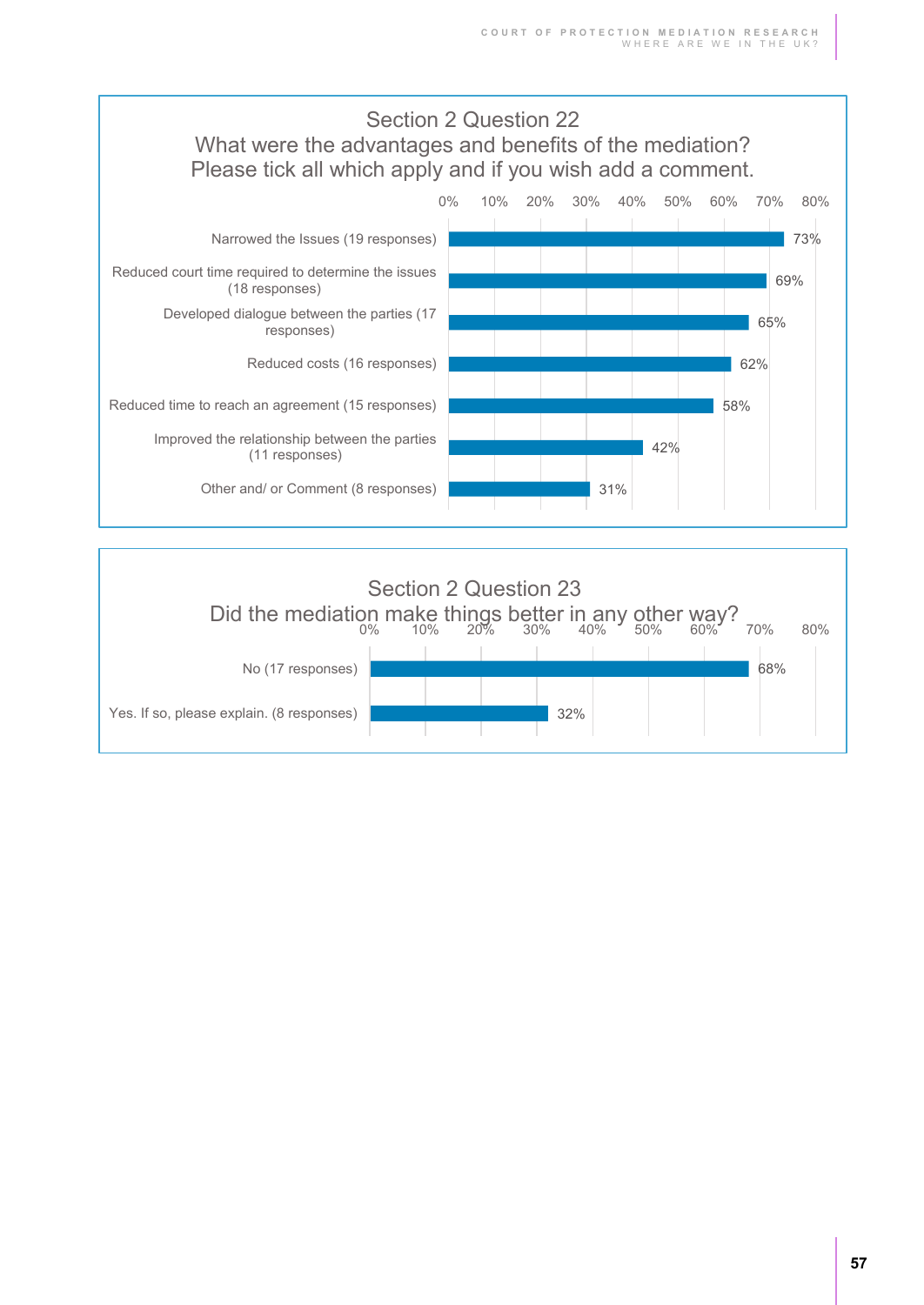

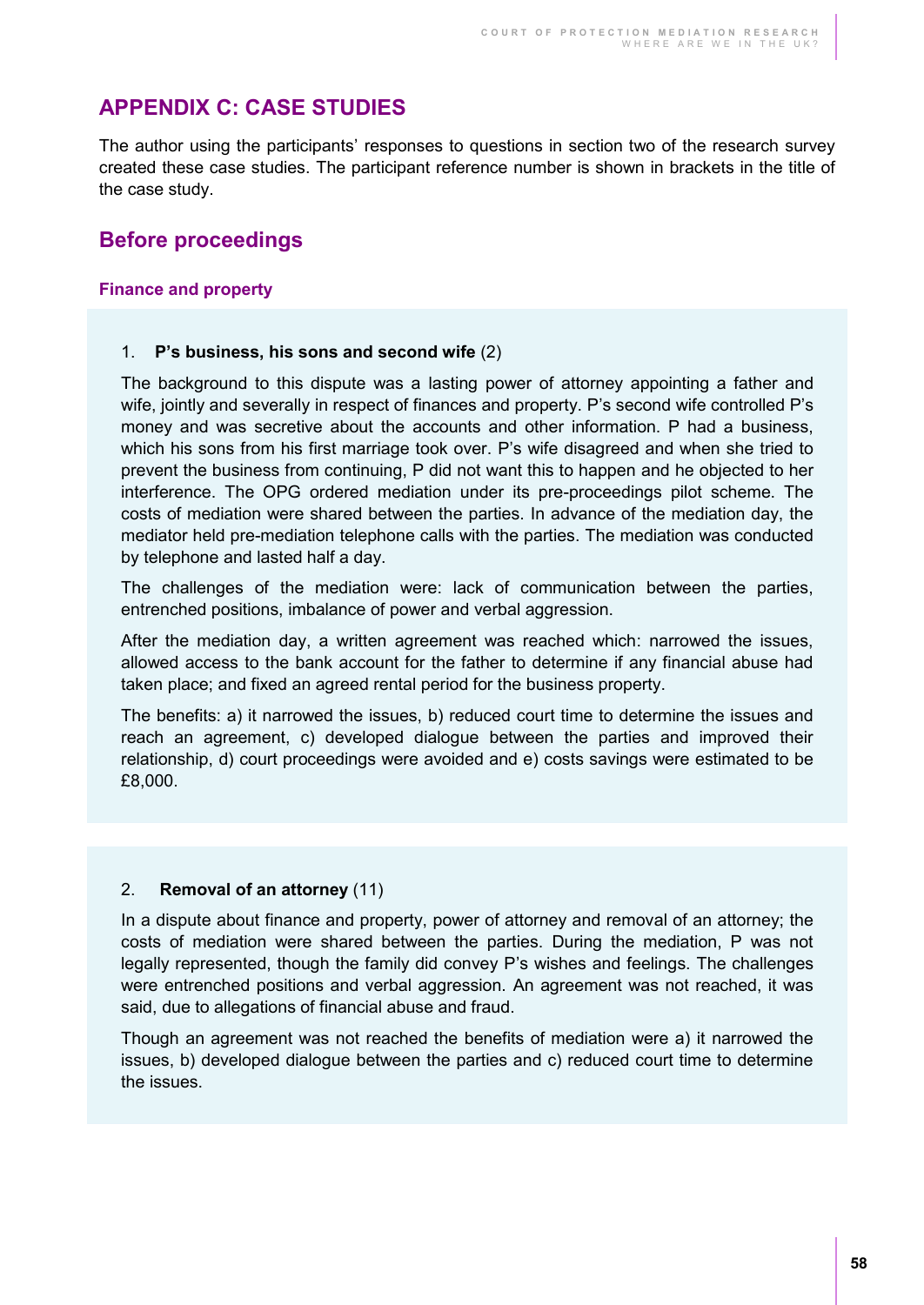## **APPENDIX C: CASE STUDIES**

The author using the participants' responses to questions in section two of the research survey created these case studies. The participant reference number is shown in brackets in the title of the case study.

### **Before proceedings**

#### **Finance and property**

#### 1. **P's business, his sons and second wife** (2)

The background to this dispute was a lasting power of attorney appointing a father and wife, jointly and severally in respect of finances and property. P's second wife controlled P's money and was secretive about the accounts and other information. P had a business, which his sons from his first marriage took over. P's wife disagreed and when she tried to prevent the business from continuing, P did not want this to happen and he objected to her interference. The OPG ordered mediation under its pre-proceedings pilot scheme. The costs of mediation were shared between the parties. In advance of the mediation day, the mediator held pre-mediation telephone calls with the parties. The mediation was conducted by telephone and lasted half a day.

The challenges of the mediation were: lack of communication between the parties, entrenched positions, imbalance of power and verbal aggression.

After the mediation day, a written agreement was reached which: narrowed the issues, allowed access to the bank account for the father to determine if any financial abuse had taken place; and fixed an agreed rental period for the business property.

The benefits: a) it narrowed the issues, b) reduced court time to determine the issues and reach an agreement, c) developed dialogue between the parties and improved their relationship, d) court proceedings were avoided and e) costs savings were estimated to be £8,000.

#### 2. **Removal of an attorney** (11)

In a dispute about finance and property, power of attorney and removal of an attorney; the costs of mediation were shared between the parties. During the mediation, P was not legally represented, though the family did convey P's wishes and feelings. The challenges were entrenched positions and verbal aggression. An agreement was not reached, it was said, due to allegations of financial abuse and fraud.

Though an agreement was not reached the benefits of mediation were a) it narrowed the issues, b) developed dialogue between the parties and c) reduced court time to determine the issues.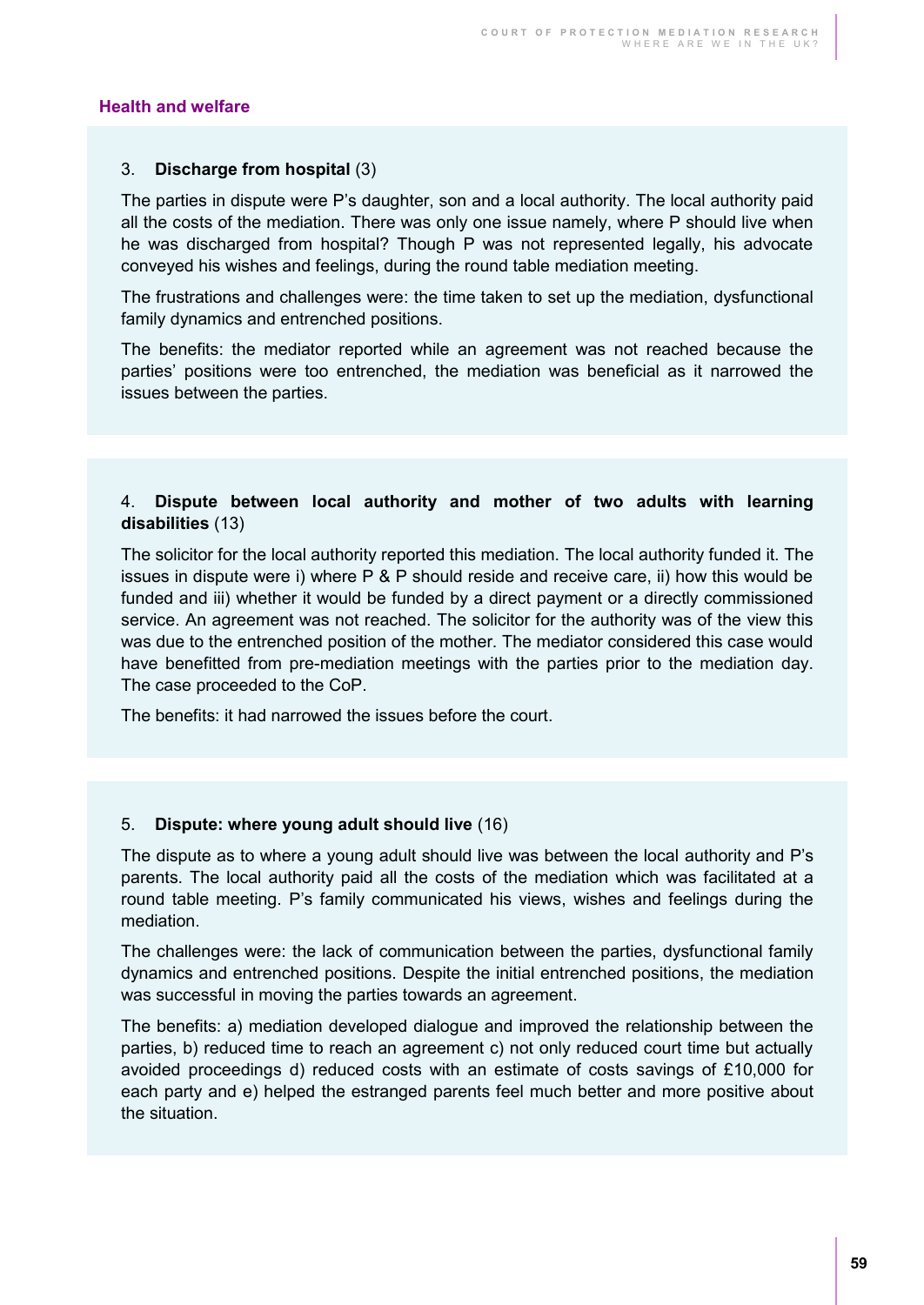#### **Health and welfare**

#### 3. **Discharge from hospital** (3)

The parties in dispute were P's daughter, son and a local authority. The local authority paid all the costs of the mediation. There was only one issue namely, where P should live when he was discharged from hospital? Though P was not represented legally, his advocate conveyed his wishes and feelings, during the round table mediation meeting.

The frustrations and challenges were: the time taken to set up the mediation, dysfunctional family dynamics and entrenched positions.

The benefits: the mediator reported while an agreement was not reached because the parties' positions were too entrenched, the mediation was beneficial as it narrowed the issues between the parties.

#### 4. **Dispute between local authority and mother of two adults with learning disabilities** (13)

The solicitor for the local authority reported this mediation. The local authority funded it. The issues in dispute were i) where P & P should reside and receive care, ii) how this would be funded and iii) whether it would be funded by a direct payment or a directly commissioned service. An agreement was not reached. The solicitor for the authority was of the view this was due to the entrenched position of the mother. The mediator considered this case would have benefitted from pre-mediation meetings with the parties prior to the mediation day. The case proceeded to the CoP.

The benefits: it had narrowed the issues before the court.

#### 5. **Dispute: where young adult should live** (16)

The dispute as to where a young adult should live was between the local authority and P's parents. The local authority paid all the costs of the mediation which was facilitated at a round table meeting. P's family communicated his views, wishes and feelings during the mediation.

The challenges were: the lack of communication between the parties, dysfunctional family dynamics and entrenched positions. Despite the initial entrenched positions, the mediation was successful in moving the parties towards an agreement.

The benefits: a) mediation developed dialogue and improved the relationship between the parties, b) reduced time to reach an agreement c) not only reduced court time but actually avoided proceedings d) reduced costs with an estimate of costs savings of £10,000 for each party and e) helped the estranged parents feel much better and more positive about the situation.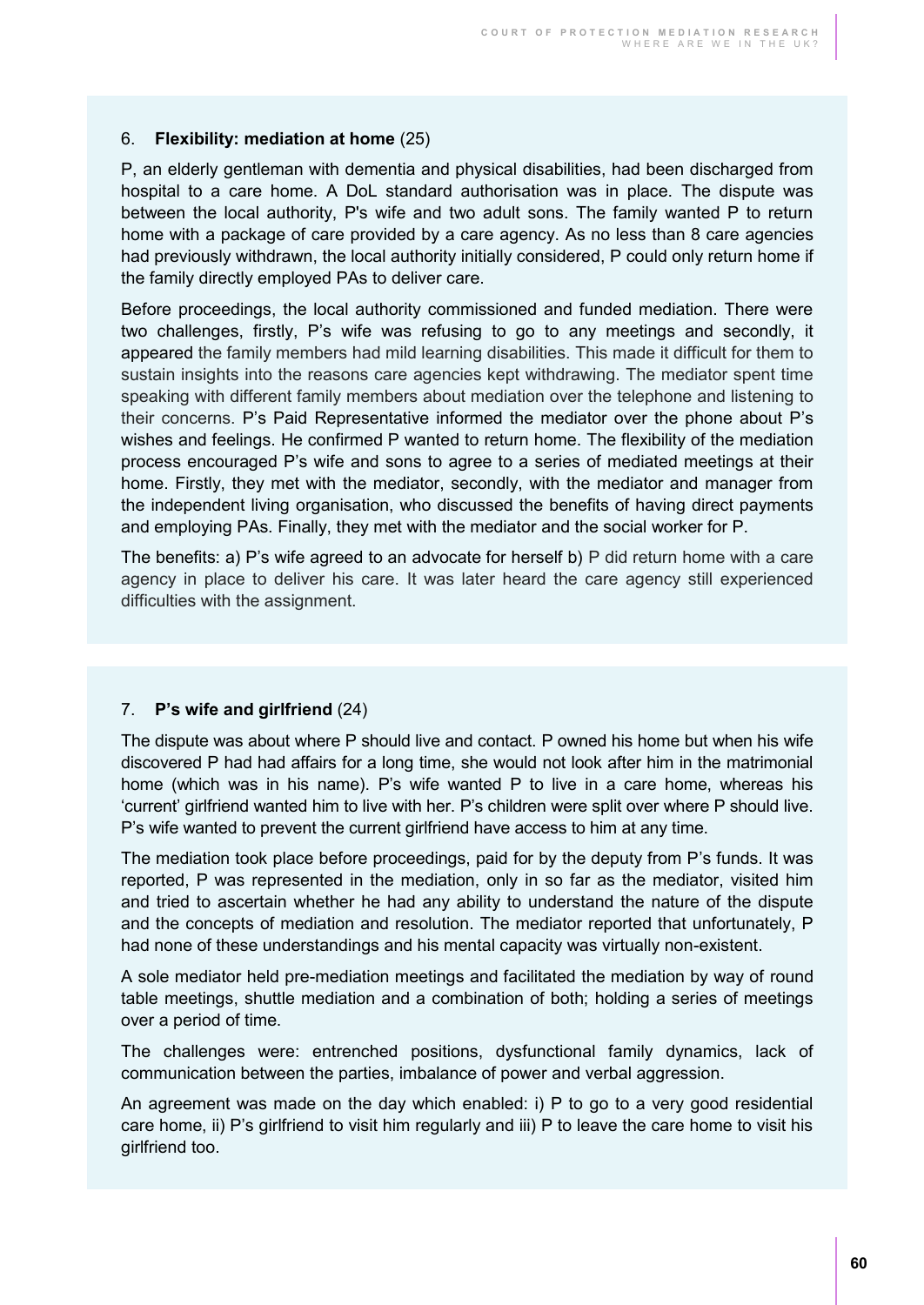#### 6. **Flexibility: mediation at home** (25)

P, an elderly gentleman with dementia and physical disabilities, had been discharged from hospital to a care home. A DoL standard authorisation was in place. The dispute was between the local authority, P's wife and two adult sons. The family wanted P to return home with a package of care provided by a care agency. As no less than 8 care agencies had previously withdrawn, the local authority initially considered, P could only return home if the family directly employed PAs to deliver care.

Before proceedings, the local authority commissioned and funded mediation. There were two challenges, firstly, P's wife was refusing to go to any meetings and secondly, it appeared the family members had mild learning disabilities. This made it difficult for them to sustain insights into the reasons care agencies kept withdrawing. The mediator spent time speaking with different family members about mediation over the telephone and listening to their concerns. P's Paid Representative informed the mediator over the phone about P's wishes and feelings. He confirmed P wanted to return home. The flexibility of the mediation process encouraged P's wife and sons to agree to a series of mediated meetings at their home. Firstly, they met with the mediator, secondly, with the mediator and manager from the independent living organisation, who discussed the benefits of having direct payments and employing PAs. Finally, they met with the mediator and the social worker for P.

The benefits: a) P's wife agreed to an advocate for herself b) P did return home with a care agency in place to deliver his care. It was later heard the care agency still experienced difficulties with the assignment.

#### 7. **P's wife and girlfriend** (24)

The dispute was about where P should live and contact. P owned his home but when his wife discovered P had had affairs for a long time, she would not look after him in the matrimonial home (which was in his name). P's wife wanted P to live in a care home, whereas his 'current' girlfriend wanted him to live with her. P's children were split over where P should live. P's wife wanted to prevent the current girlfriend have access to him at any time.

The mediation took place before proceedings, paid for by the deputy from P's funds. It was reported, P was represented in the mediation, only in so far as the mediator, visited him and tried to ascertain whether he had any ability to understand the nature of the dispute and the concepts of mediation and resolution. The mediator reported that unfortunately, P had none of these understandings and his mental capacity was virtually non-existent.

A sole mediator held pre-mediation meetings and facilitated the mediation by way of round table meetings, shuttle mediation and a combination of both; holding a series of meetings over a period of time.

The challenges were: entrenched positions, dysfunctional family dynamics, lack of communication between the parties, imbalance of power and verbal aggression.

An agreement was made on the day which enabled: i) P to go to a very good residential care home, ii) P's girlfriend to visit him regularly and iii) P to leave the care home to visit his girlfriend too.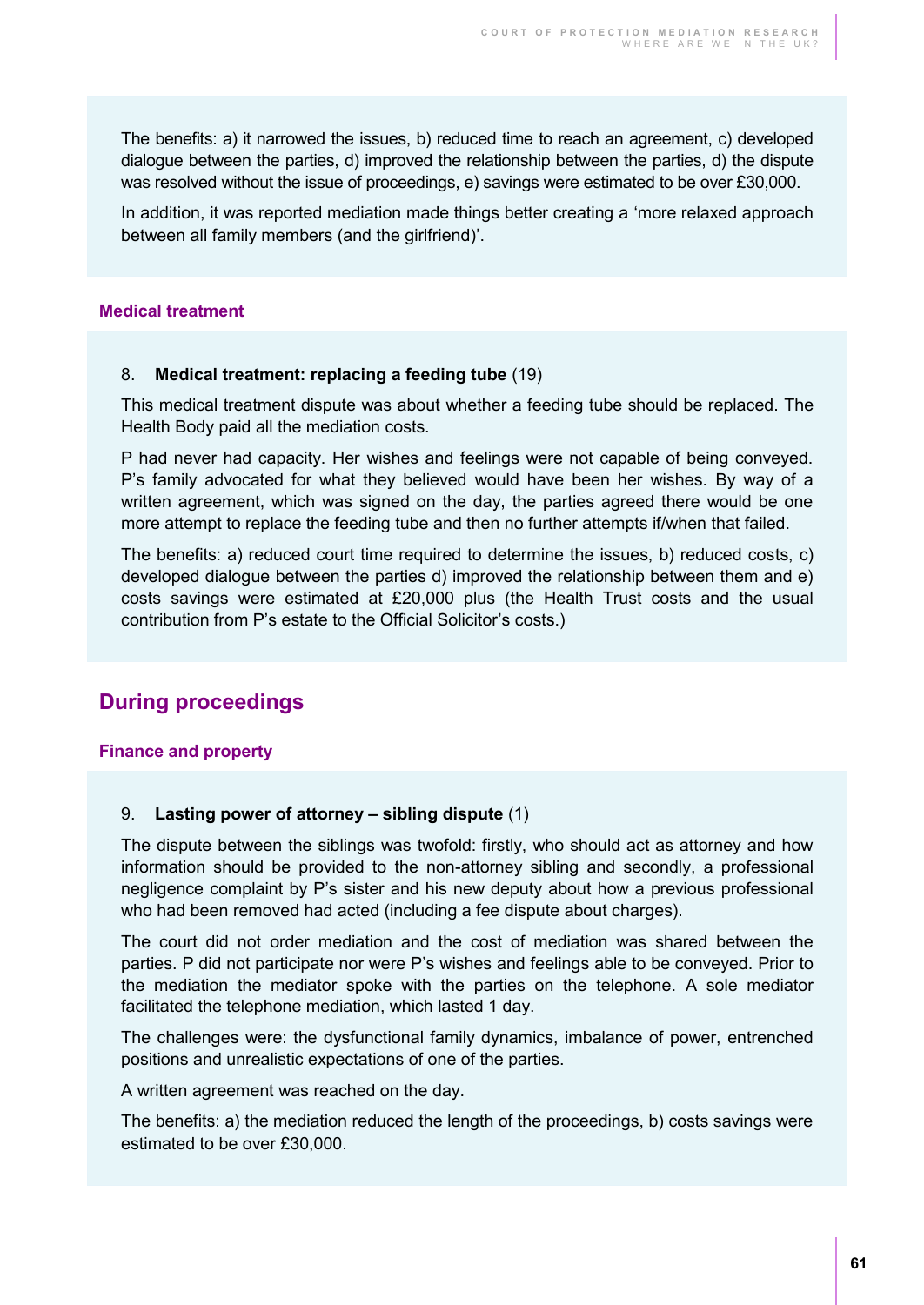The benefits: a) it narrowed the issues, b) reduced time to reach an agreement, c) developed dialogue between the parties, d) improved the relationship between the parties, d) the dispute was resolved without the issue of proceedings, e) savings were estimated to be over £30,000.

In addition, it was reported mediation made things better creating a 'more relaxed approach between all family members (and the girlfriend)'.

#### **Medical treatment**

#### 8. **Medical treatment: replacing a feeding tube** (19)

This medical treatment dispute was about whether a feeding tube should be replaced. The Health Body paid all the mediation costs.

P had never had capacity. Her wishes and feelings were not capable of being conveyed. P's family advocated for what they believed would have been her wishes. By way of a written agreement, which was signed on the day, the parties agreed there would be one more attempt to replace the feeding tube and then no further attempts if/when that failed.

The benefits: a) reduced court time required to determine the issues, b) reduced costs, c) developed dialogue between the parties d) improved the relationship between them and e) costs savings were estimated at £20,000 plus (the Health Trust costs and the usual contribution from P's estate to the Official Solicitor's costs.)

### **During proceedings**

#### **Finance and property**

#### 9. **Lasting power of attorney – sibling dispute** (1)

The dispute between the siblings was twofold: firstly, who should act as attorney and how information should be provided to the non-attorney sibling and secondly, a professional negligence complaint by P's sister and his new deputy about how a previous professional who had been removed had acted (including a fee dispute about charges).

The court did not order mediation and the cost of mediation was shared between the parties. P did not participate nor were P's wishes and feelings able to be conveyed. Prior to the mediation the mediator spoke with the parties on the telephone. A sole mediator facilitated the telephone mediation, which lasted 1 day.

The challenges were: the dysfunctional family dynamics, imbalance of power, entrenched positions and unrealistic expectations of one of the parties.

A written agreement was reached on the day.

The benefits: a) the mediation reduced the length of the proceedings, b) costs savings were estimated to be over £30,000.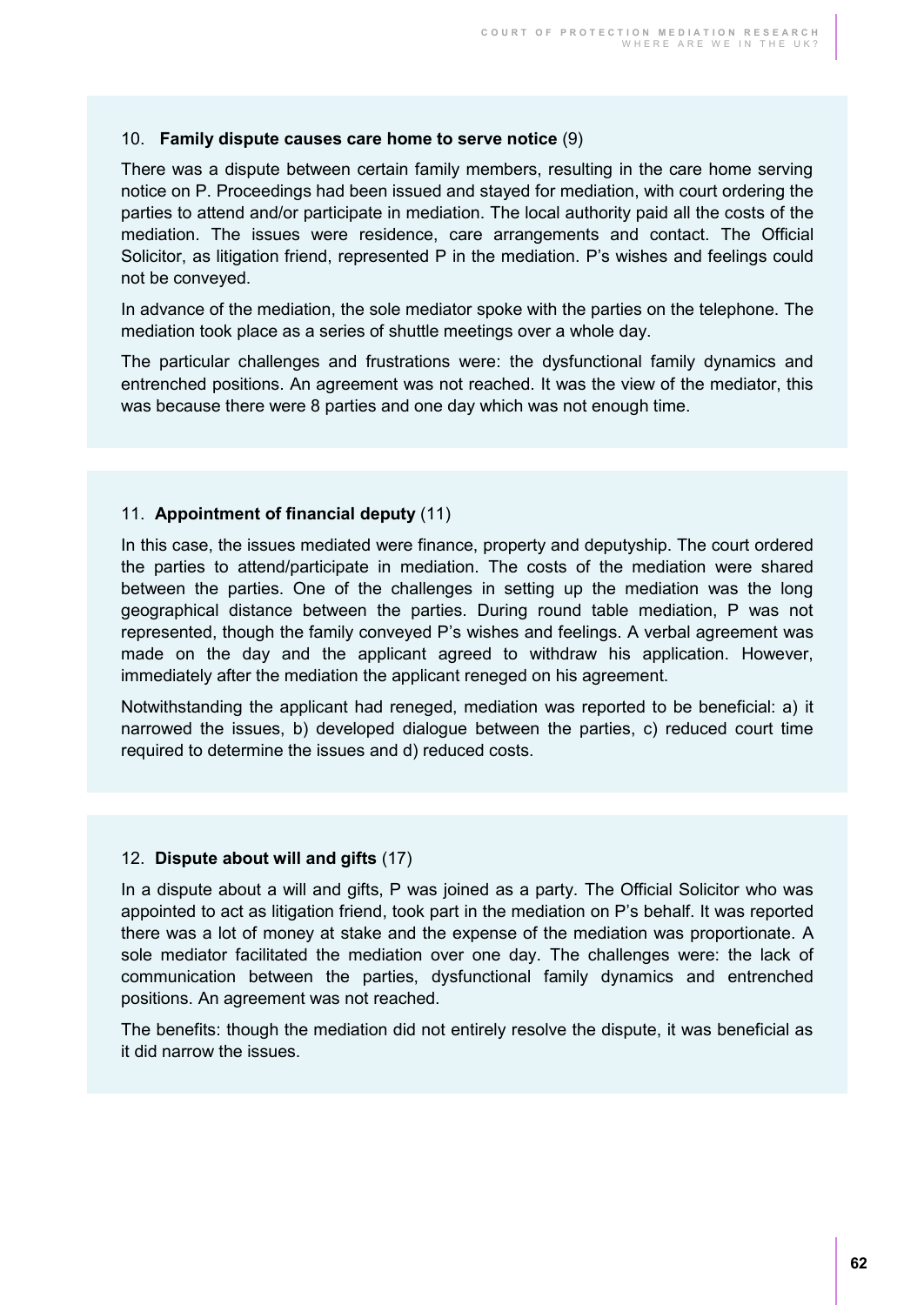#### 10. **Family dispute causes care home to serve notice** (9)

There was a dispute between certain family members, resulting in the care home serving notice on P. Proceedings had been issued and stayed for mediation, with court ordering the parties to attend and/or participate in mediation. The local authority paid all the costs of the mediation. The issues were residence, care arrangements and contact. The Official Solicitor, as litigation friend, represented P in the mediation. P's wishes and feelings could not be conveyed.

In advance of the mediation, the sole mediator spoke with the parties on the telephone. The mediation took place as a series of shuttle meetings over a whole day.

The particular challenges and frustrations were: the dysfunctional family dynamics and entrenched positions. An agreement was not reached. It was the view of the mediator, this was because there were 8 parties and one day which was not enough time.

#### 11. **Appointment of financial deputy** (11)

In this case, the issues mediated were finance, property and deputyship. The court ordered the parties to attend/participate in mediation. The costs of the mediation were shared between the parties. One of the challenges in setting up the mediation was the long geographical distance between the parties. During round table mediation, P was not represented, though the family conveyed P's wishes and feelings. A verbal agreement was made on the day and the applicant agreed to withdraw his application. However, immediately after the mediation the applicant reneged on his agreement.

Notwithstanding the applicant had reneged, mediation was reported to be beneficial: a) it narrowed the issues, b) developed dialogue between the parties, c) reduced court time required to determine the issues and d) reduced costs.

#### 12. **Dispute about will and gifts** (17)

In a dispute about a will and gifts, P was joined as a party. The Official Solicitor who was appointed to act as litigation friend, took part in the mediation on P's behalf. It was reported there was a lot of money at stake and the expense of the mediation was proportionate. A sole mediator facilitated the mediation over one day. The challenges were: the lack of communication between the parties, dysfunctional family dynamics and entrenched positions. An agreement was not reached.

The benefits: though the mediation did not entirely resolve the dispute, it was beneficial as it did narrow the issues.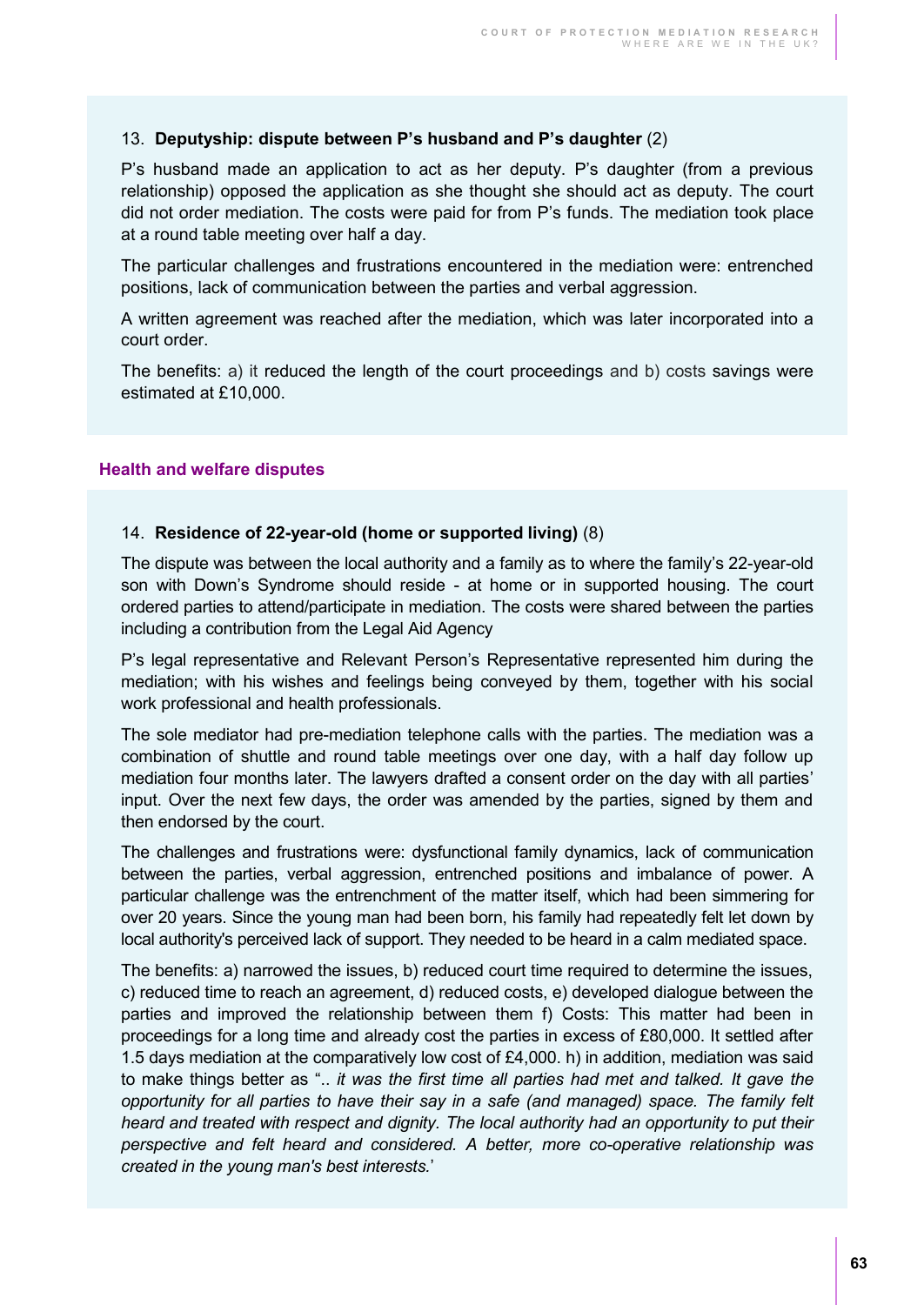#### 13. **Deputyship: dispute between P's husband and P's daughter** (2)

P's husband made an application to act as her deputy. P's daughter (from a previous relationship) opposed the application as she thought she should act as deputy. The court did not order mediation. The costs were paid for from P's funds. The mediation took place at a round table meeting over half a day.

The particular challenges and frustrations encountered in the mediation were: entrenched positions, lack of communication between the parties and verbal aggression.

A written agreement was reached after the mediation, which was later incorporated into a court order.

The benefits: a) it reduced the length of the court proceedings and b) costs savings were estimated at £10,000.

#### **Health and welfare disputes**

#### 14. **Residence of 22-year-old (home or supported living)** (8)

The dispute was between the local authority and a family as to where the family's 22-year-old son with Down's Syndrome should reside - at home or in supported housing. The court ordered parties to attend/participate in mediation. The costs were shared between the parties including a contribution from the Legal Aid Agency

P's legal representative and Relevant Person's Representative represented him during the mediation; with his wishes and feelings being conveyed by them, together with his social work professional and health professionals.

The sole mediator had pre-mediation telephone calls with the parties. The mediation was a combination of shuttle and round table meetings over one day, with a half day follow up mediation four months later. The lawyers drafted a consent order on the day with all parties' input. Over the next few days, the order was amended by the parties, signed by them and then endorsed by the court.

The challenges and frustrations were: dysfunctional family dynamics, lack of communication between the parties, verbal aggression, entrenched positions and imbalance of power. A particular challenge was the entrenchment of the matter itself, which had been simmering for over 20 years. Since the young man had been born, his family had repeatedly felt let down by local authority's perceived lack of support. They needed to be heard in a calm mediated space.

The benefits: a) narrowed the issues, b) reduced court time required to determine the issues, c) reduced time to reach an agreement, d) reduced costs, e) developed dialogue between the parties and improved the relationship between them f) Costs: This matter had been in proceedings for a long time and already cost the parties in excess of £80,000. It settled after 1.5 days mediation at the comparatively low cost of £4,000. h) in addition, mediation was said to make things better as ".. *it was the first time all parties had met and talked. It gave the opportunity for all parties to have their say in a safe (and managed) space. The family felt heard and treated with respect and dignity. The local authority had an opportunity to put their perspective and felt heard and considered. A better, more co-operative relationship was created in the young man's best interests.*'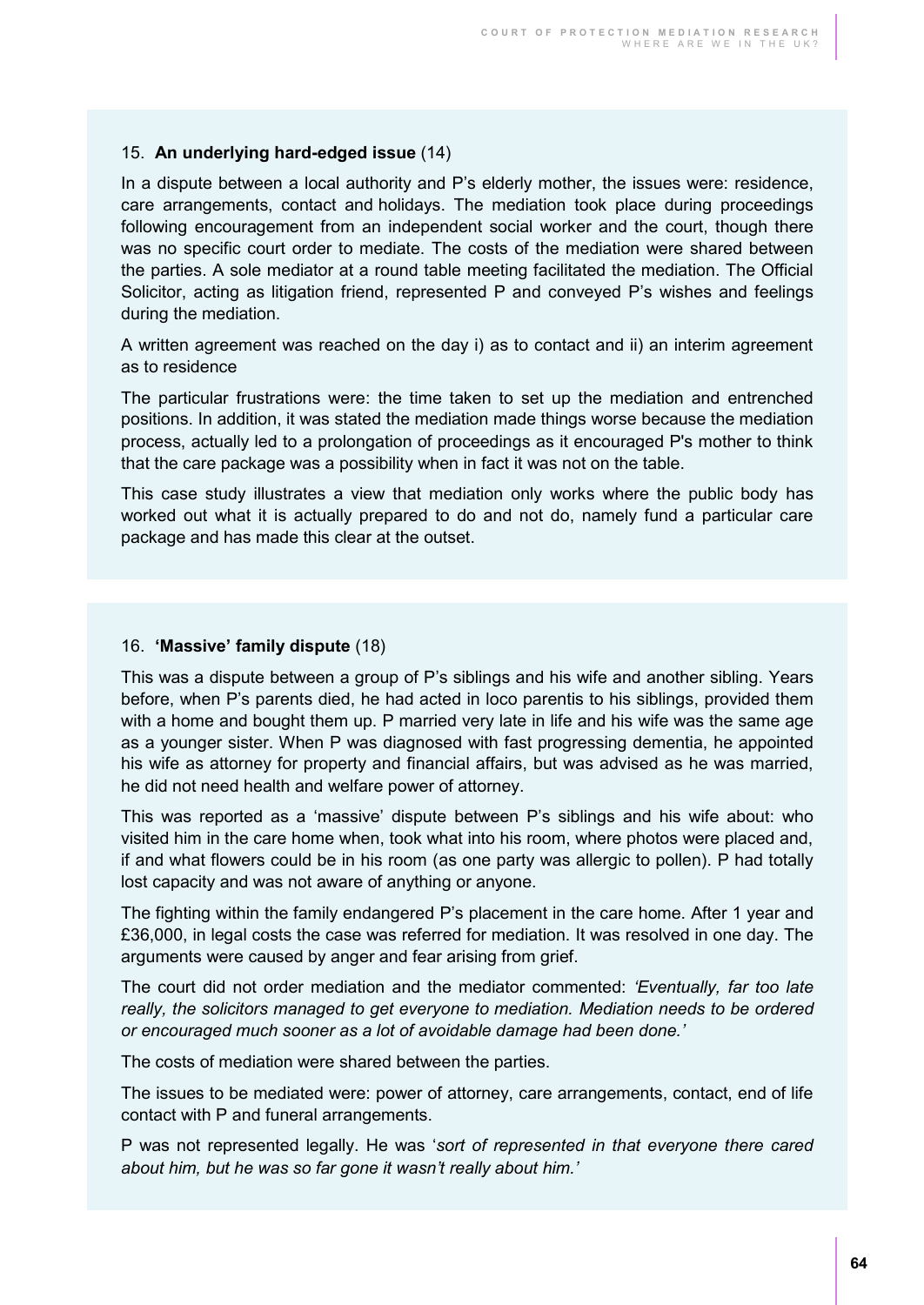#### 15. **An underlying hard-edged issue** (14)

In a dispute between a local authority and P's elderly mother, the issues were: residence, care arrangements, contact and holidays. The mediation took place during proceedings following encouragement from an independent social worker and the court, though there was no specific court order to mediate. The costs of the mediation were shared between the parties. A sole mediator at a round table meeting facilitated the mediation. The Official Solicitor, acting as litigation friend, represented P and conveyed P's wishes and feelings during the mediation.

A written agreement was reached on the day i) as to contact and ii) an interim agreement as to residence

The particular frustrations were: the time taken to set up the mediation and entrenched positions. In addition, it was stated the mediation made things worse because the mediation process, actually led to a prolongation of proceedings as it encouraged P's mother to think that the care package was a possibility when in fact it was not on the table.

This case study illustrates a view that mediation only works where the public body has worked out what it is actually prepared to do and not do, namely fund a particular care package and has made this clear at the outset.

#### 16. **'Massive' family dispute** (18)

This was a dispute between a group of P's siblings and his wife and another sibling. Years before, when P's parents died, he had acted in loco parentis to his siblings, provided them with a home and bought them up. P married very late in life and his wife was the same age as a younger sister. When P was diagnosed with fast progressing dementia, he appointed his wife as attorney for property and financial affairs, but was advised as he was married, he did not need health and welfare power of attorney.

This was reported as a 'massive' dispute between P's siblings and his wife about: who visited him in the care home when, took what into his room, where photos were placed and, if and what flowers could be in his room (as one party was allergic to pollen). P had totally lost capacity and was not aware of anything or anyone.

The fighting within the family endangered P's placement in the care home. After 1 year and £36,000, in legal costs the case was referred for mediation. It was resolved in one day. The arguments were caused by anger and fear arising from grief.

The court did not order mediation and the mediator commented: *'Eventually, far too late really, the solicitors managed to get everyone to mediation. Mediation needs to be ordered or encouraged much sooner as a lot of avoidable damage had been done.'*

The costs of mediation were shared between the parties.

The issues to be mediated were: power of attorney, care arrangements, contact, end of life contact with P and funeral arrangements.

P was not represented legally. He was '*sort of represented in that everyone there cared about him, but he was so far gone it wasn't really about him.'*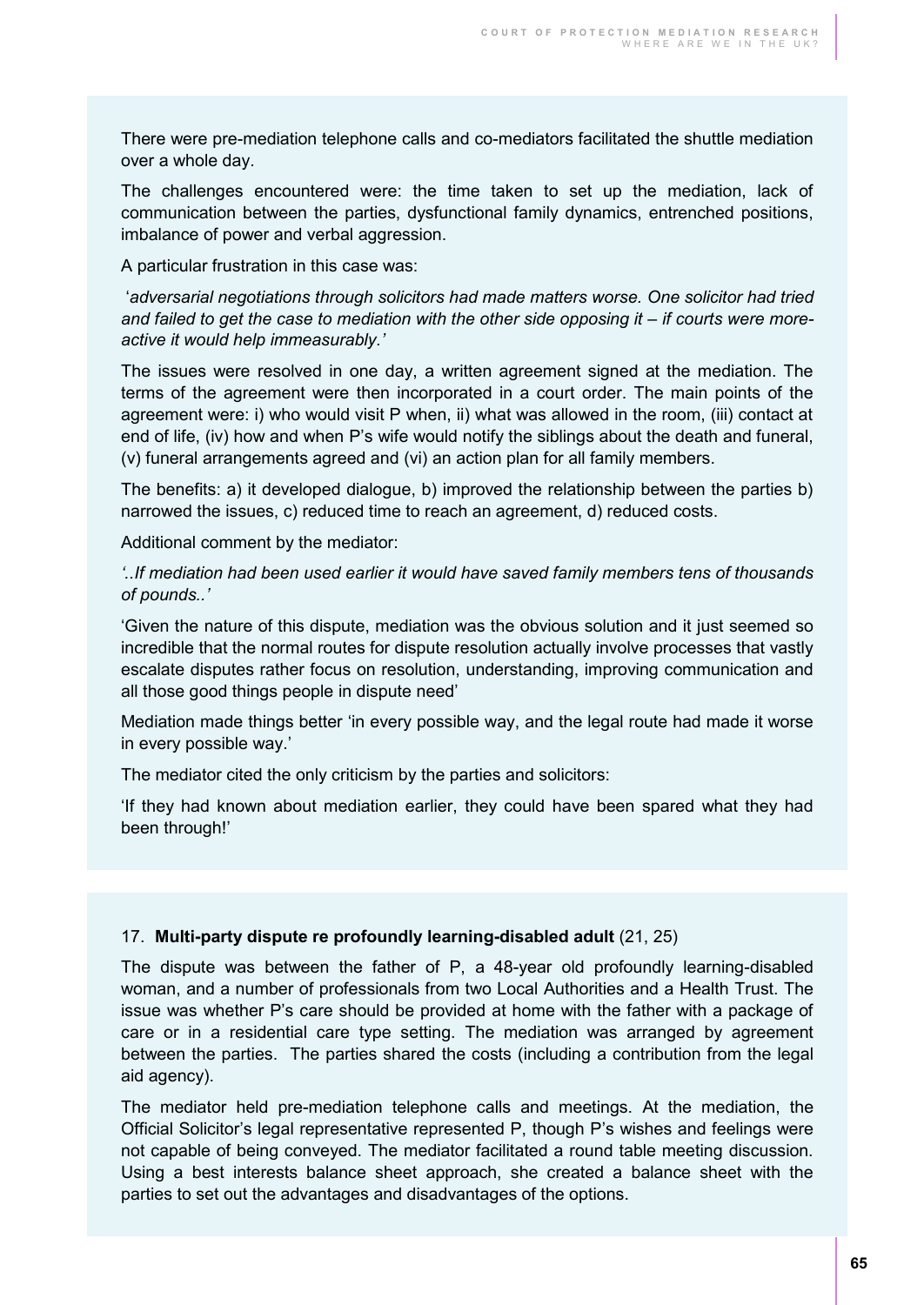There were pre-mediation telephone calls and co-mediators facilitated the shuttle mediation over a whole day.

The challenges encountered were: the time taken to set up the mediation, lack of communication between the parties, dysfunctional family dynamics, entrenched positions, imbalance of power and verbal aggression.

A particular frustration in this case was:

'*adversarial negotiations through solicitors had made matters worse. One solicitor had tried*  and failed to get the case to mediation with the other side opposing it – if courts were more*active it would help immeasurably.'* 

The issues were resolved in one day, a written agreement signed at the mediation. The terms of the agreement were then incorporated in a court order. The main points of the agreement were: i) who would visit P when, ii) what was allowed in the room, (iii) contact at end of life, (iv) how and when P's wife would notify the siblings about the death and funeral, (v) funeral arrangements agreed and (vi) an action plan for all family members.

The benefits: a) it developed dialogue, b) improved the relationship between the parties b) narrowed the issues, c) reduced time to reach an agreement, d) reduced costs.

Additional comment by the mediator:

*'..If mediation had been used earlier it would have saved family members tens of thousands of pounds..'*

'Given the nature of this dispute, mediation was the obvious solution and it just seemed so incredible that the normal routes for dispute resolution actually involve processes that vastly escalate disputes rather focus on resolution, understanding, improving communication and all those good things people in dispute need'

Mediation made things better 'in every possible way, and the legal route had made it worse in every possible way.'

The mediator cited the only criticism by the parties and solicitors:

'If they had known about mediation earlier, they could have been spared what they had been through!'

#### 17. **Multi-party dispute re profoundly learning-disabled adult** (21, 25)

The dispute was between the father of P, a 48-year old profoundly learning-disabled woman, and a number of professionals from two Local Authorities and a Health Trust. The issue was whether P's care should be provided at home with the father with a package of care or in a residential care type setting. The mediation was arranged by agreement between the parties. The parties shared the costs (including a contribution from the legal aid agency).

The mediator held pre-mediation telephone calls and meetings. At the mediation, the Official Solicitor's legal representative represented P, though P's wishes and feelings were not capable of being conveyed. The mediator facilitated a round table meeting discussion. Using a best interests balance sheet approach, she created a balance sheet with the parties to set out the advantages and disadvantages of the options.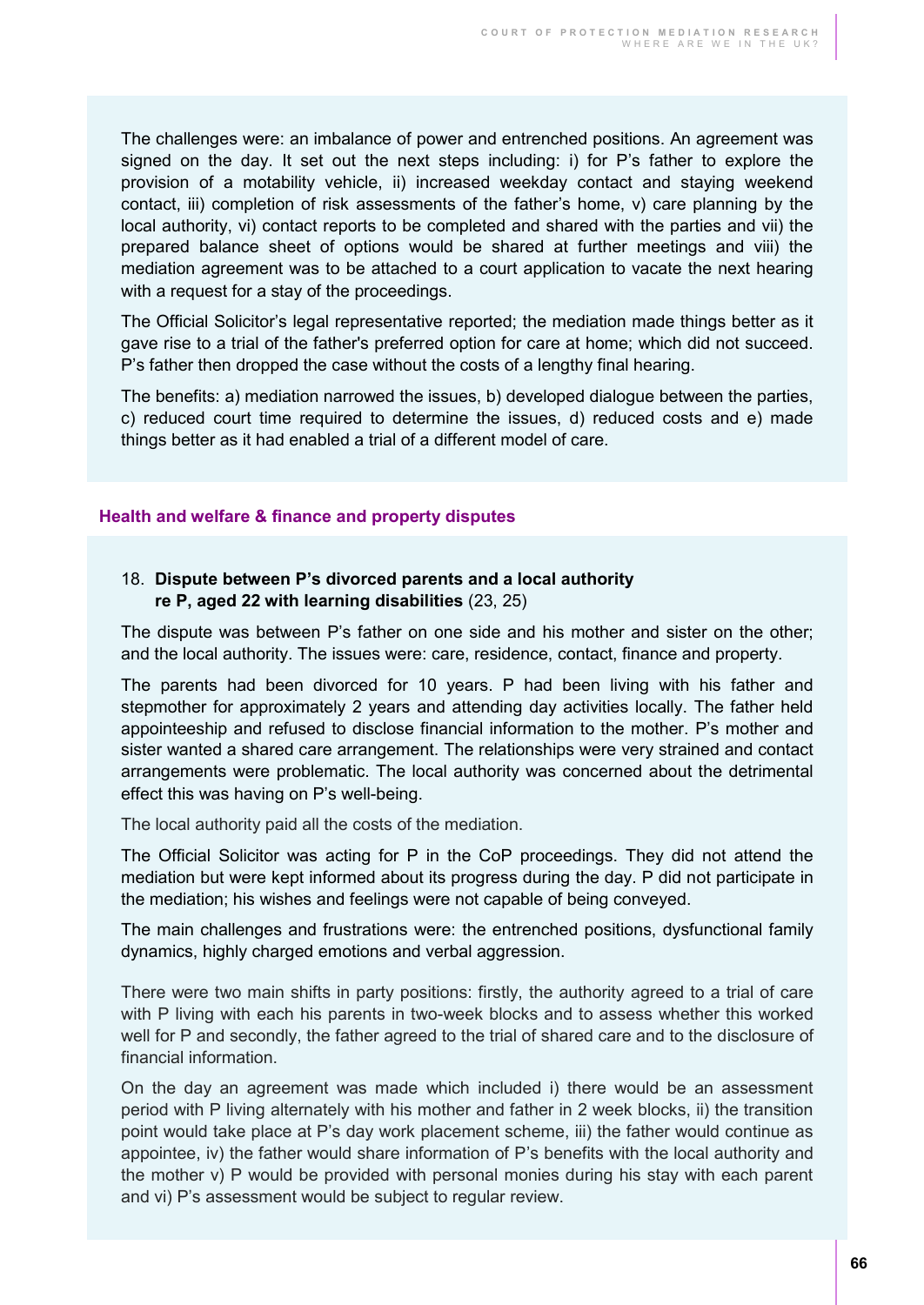The challenges were: an imbalance of power and entrenched positions. An agreement was signed on the day. It set out the next steps including: i) for P's father to explore the provision of a motability vehicle, ii) increased weekday contact and staying weekend contact, iii) completion of risk assessments of the father's home, v) care planning by the local authority, vi) contact reports to be completed and shared with the parties and vii) the prepared balance sheet of options would be shared at further meetings and viii) the mediation agreement was to be attached to a court application to vacate the next hearing with a request for a stay of the proceedings.

The Official Solicitor's legal representative reported; the mediation made things better as it gave rise to a trial of the father's preferred option for care at home; which did not succeed. P's father then dropped the case without the costs of a lengthy final hearing.

The benefits: a) mediation narrowed the issues, b) developed dialogue between the parties, c) reduced court time required to determine the issues, d) reduced costs and e) made things better as it had enabled a trial of a different model of care.

#### **Health and welfare & finance and property disputes**

#### 18. **Dispute between P's divorced parents and a local authority re P, aged 22 with learning disabilities** (23, 25)

The dispute was between P's father on one side and his mother and sister on the other; and the local authority. The issues were: care, residence, contact, finance and property.

The parents had been divorced for 10 years. P had been living with his father and stepmother for approximately 2 years and attending day activities locally. The father held appointeeship and refused to disclose financial information to the mother. P's mother and sister wanted a shared care arrangement. The relationships were very strained and contact arrangements were problematic. The local authority was concerned about the detrimental effect this was having on P's well-being.

The local authority paid all the costs of the mediation.

The Official Solicitor was acting for P in the CoP proceedings. They did not attend the mediation but were kept informed about its progress during the day. P did not participate in the mediation; his wishes and feelings were not capable of being conveyed.

The main challenges and frustrations were: the entrenched positions, dysfunctional family dynamics, highly charged emotions and verbal aggression.

There were two main shifts in party positions: firstly, the authority agreed to a trial of care with P living with each his parents in two-week blocks and to assess whether this worked well for P and secondly, the father agreed to the trial of shared care and to the disclosure of financial information.

On the day an agreement was made which included i) there would be an assessment period with P living alternately with his mother and father in 2 week blocks, ii) the transition point would take place at P's day work placement scheme, iii) the father would continue as appointee, iv) the father would share information of P's benefits with the local authority and the mother v) P would be provided with personal monies during his stay with each parent and vi) P's assessment would be subject to regular review.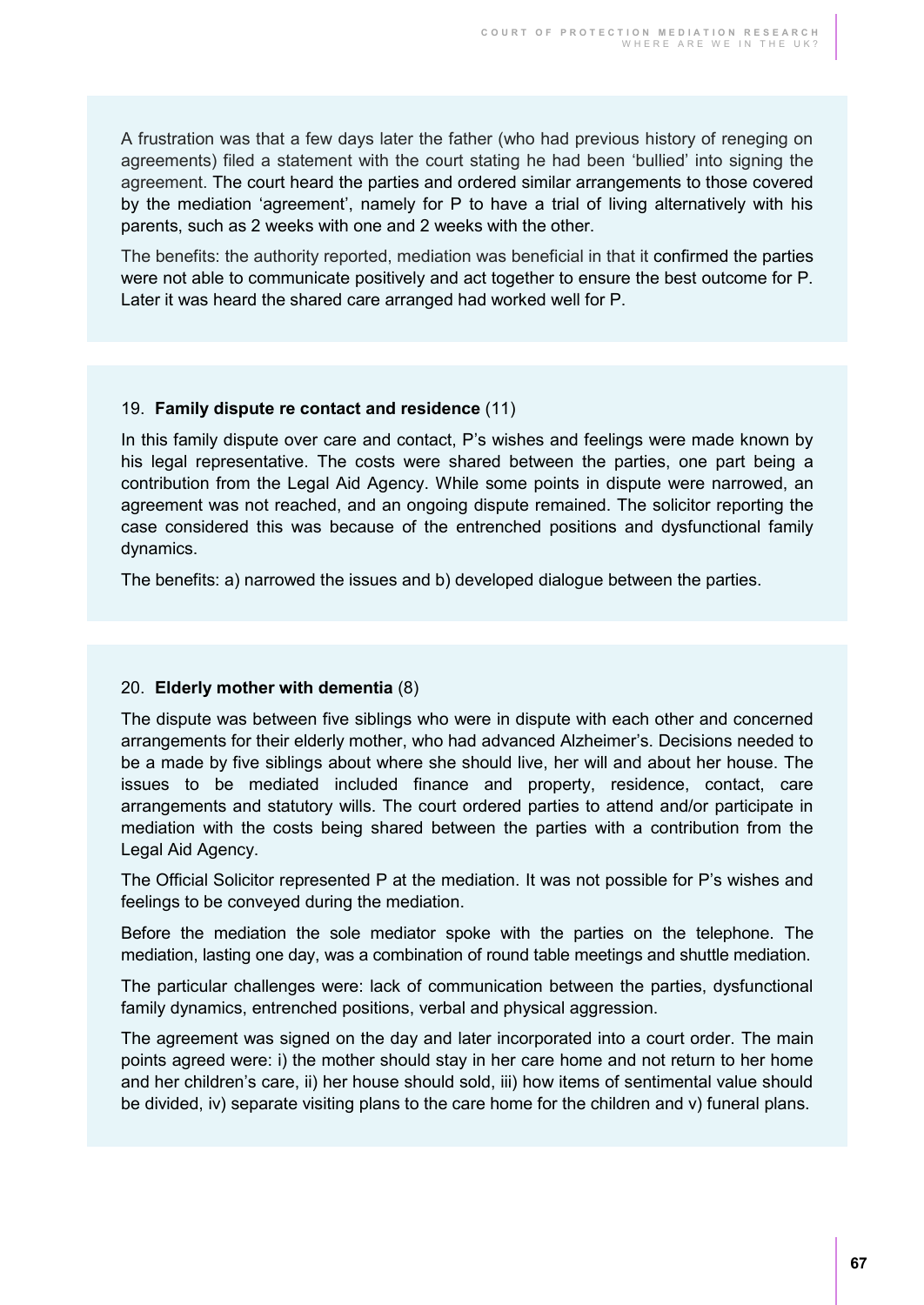A frustration was that a few days later the father (who had previous history of reneging on agreements) filed a statement with the court stating he had been 'bullied' into signing the agreement. The court heard the parties and ordered similar arrangements to those covered by the mediation 'agreement', namely for P to have a trial of living alternatively with his parents, such as 2 weeks with one and 2 weeks with the other.

The benefits: the authority reported, mediation was beneficial in that it confirmed the parties were not able to communicate positively and act together to ensure the best outcome for P. Later it was heard the shared care arranged had worked well for P.

#### 19. **Family dispute re contact and residence** (11)

In this family dispute over care and contact, P's wishes and feelings were made known by his legal representative. The costs were shared between the parties, one part being a contribution from the Legal Aid Agency. While some points in dispute were narrowed, an agreement was not reached, and an ongoing dispute remained. The solicitor reporting the case considered this was because of the entrenched positions and dysfunctional family dynamics.

The benefits: a) narrowed the issues and b) developed dialogue between the parties.

#### 20. **Elderly mother with dementia** (8)

The dispute was between five siblings who were in dispute with each other and concerned arrangements for their elderly mother, who had advanced Alzheimer's. Decisions needed to be a made by five siblings about where she should live, her will and about her house. The issues to be mediated included finance and property, residence, contact, care arrangements and statutory wills. The court ordered parties to attend and/or participate in mediation with the costs being shared between the parties with a contribution from the Legal Aid Agency.

The Official Solicitor represented P at the mediation. It was not possible for P's wishes and feelings to be conveyed during the mediation.

Before the mediation the sole mediator spoke with the parties on the telephone. The mediation, lasting one day, was a combination of round table meetings and shuttle mediation.

The particular challenges were: lack of communication between the parties, dysfunctional family dynamics, entrenched positions, verbal and physical aggression.

The agreement was signed on the day and later incorporated into a court order. The main points agreed were: i) the mother should stay in her care home and not return to her home and her children's care, ii) her house should sold, iii) how items of sentimental value should be divided, iv) separate visiting plans to the care home for the children and v) funeral plans.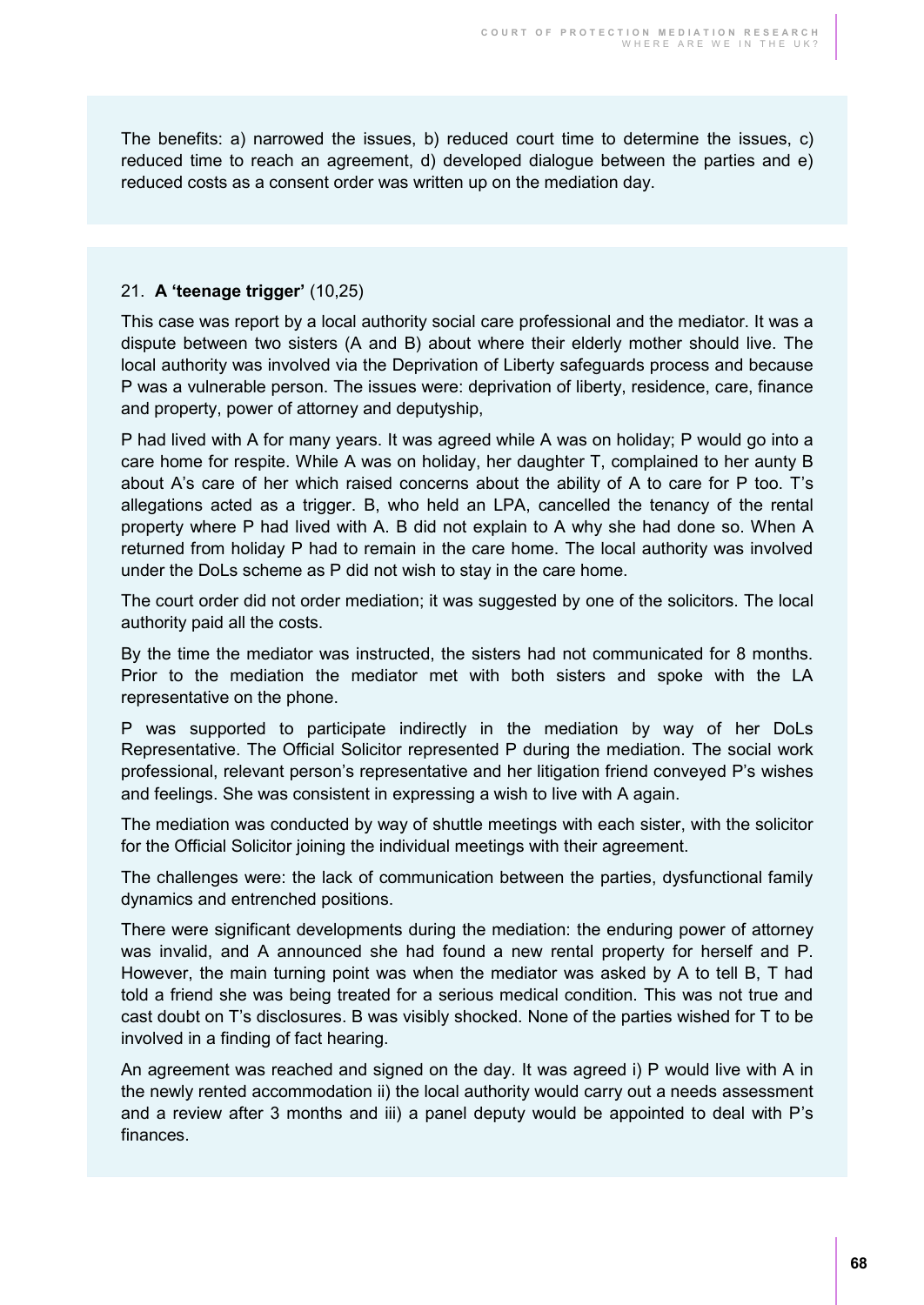The benefits: a) narrowed the issues, b) reduced court time to determine the issues, c) reduced time to reach an agreement, d) developed dialogue between the parties and e) reduced costs as a consent order was written up on the mediation day.

#### 21. **A 'teenage trigger'** (10,25)

This case was report by a local authority social care professional and the mediator. It was a dispute between two sisters (A and B) about where their elderly mother should live. The local authority was involved via the Deprivation of Liberty safeguards process and because P was a vulnerable person. The issues were: deprivation of liberty, residence, care, finance and property, power of attorney and deputyship,

P had lived with A for many years. It was agreed while A was on holiday; P would go into a care home for respite. While A was on holiday, her daughter T, complained to her aunty B about A's care of her which raised concerns about the ability of A to care for P too. T's allegations acted as a trigger. B, who held an LPA, cancelled the tenancy of the rental property where P had lived with A. B did not explain to A why she had done so. When A returned from holiday P had to remain in the care home. The local authority was involved under the DoLs scheme as P did not wish to stay in the care home.

The court order did not order mediation; it was suggested by one of the solicitors. The local authority paid all the costs.

By the time the mediator was instructed, the sisters had not communicated for 8 months. Prior to the mediation the mediator met with both sisters and spoke with the LA representative on the phone.

P was supported to participate indirectly in the mediation by way of her DoLs Representative. The Official Solicitor represented P during the mediation. The social work professional, relevant person's representative and her litigation friend conveyed P's wishes and feelings. She was consistent in expressing a wish to live with A again.

The mediation was conducted by way of shuttle meetings with each sister, with the solicitor for the Official Solicitor joining the individual meetings with their agreement.

The challenges were: the lack of communication between the parties, dysfunctional family dynamics and entrenched positions.

There were significant developments during the mediation: the enduring power of attorney was invalid, and A announced she had found a new rental property for herself and P. However, the main turning point was when the mediator was asked by A to tell B, T had told a friend she was being treated for a serious medical condition. This was not true and cast doubt on T's disclosures. B was visibly shocked. None of the parties wished for T to be involved in a finding of fact hearing.

An agreement was reached and signed on the day. It was agreed i) P would live with A in the newly rented accommodation ii) the local authority would carry out a needs assessment and a review after 3 months and iii) a panel deputy would be appointed to deal with P's finances.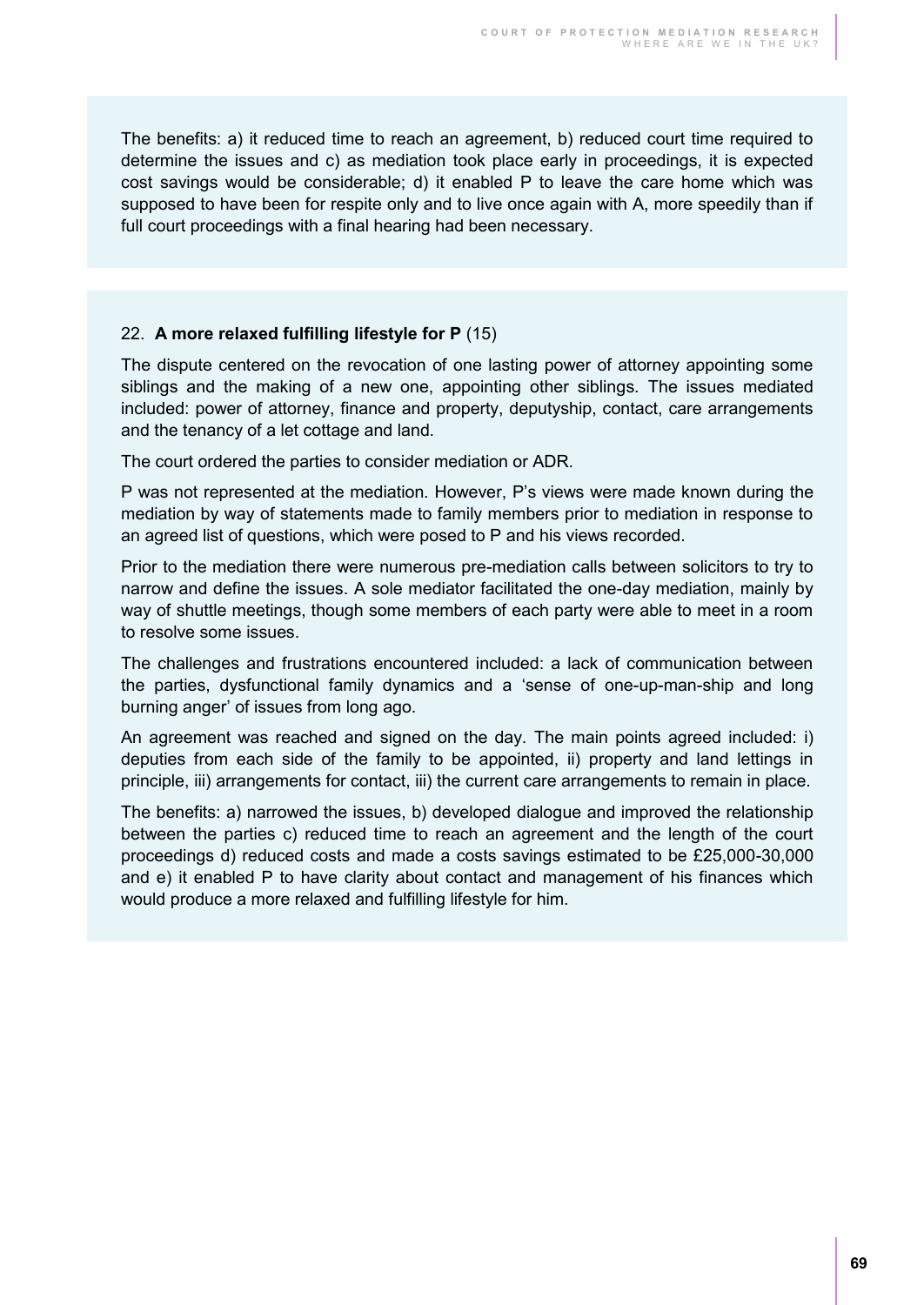The benefits: a) it reduced time to reach an agreement, b) reduced court time required to determine the issues and c) as mediation took place early in proceedings, it is expected cost savings would be considerable; d) it enabled P to leave the care home which was supposed to have been for respite only and to live once again with A, more speedily than if full court proceedings with a final hearing had been necessary.

#### 22. **A more relaxed fulfilling lifestyle for P** (15)

The dispute centered on the revocation of one lasting power of attorney appointing some siblings and the making of a new one, appointing other siblings. The issues mediated included: power of attorney, finance and property, deputyship, contact, care arrangements and the tenancy of a let cottage and land.

The court ordered the parties to consider mediation or ADR.

P was not represented at the mediation. However, P's views were made known during the mediation by way of statements made to family members prior to mediation in response to an agreed list of questions, which were posed to P and his views recorded.

Prior to the mediation there were numerous pre-mediation calls between solicitors to try to narrow and define the issues. A sole mediator facilitated the one-day mediation, mainly by way of shuttle meetings, though some members of each party were able to meet in a room to resolve some issues.

The challenges and frustrations encountered included: a lack of communication between the parties, dysfunctional family dynamics and a 'sense of one-up-man-ship and long burning anger' of issues from long ago.

An agreement was reached and signed on the day. The main points agreed included: i) deputies from each side of the family to be appointed, ii) property and land lettings in principle, iii) arrangements for contact, iii) the current care arrangements to remain in place.

The benefits: a) narrowed the issues, b) developed dialogue and improved the relationship between the parties c) reduced time to reach an agreement and the length of the court proceedings d) reduced costs and made a costs savings estimated to be £25,000-30,000 and e) it enabled P to have clarity about contact and management of his finances which would produce a more relaxed and fulfilling lifestyle for him.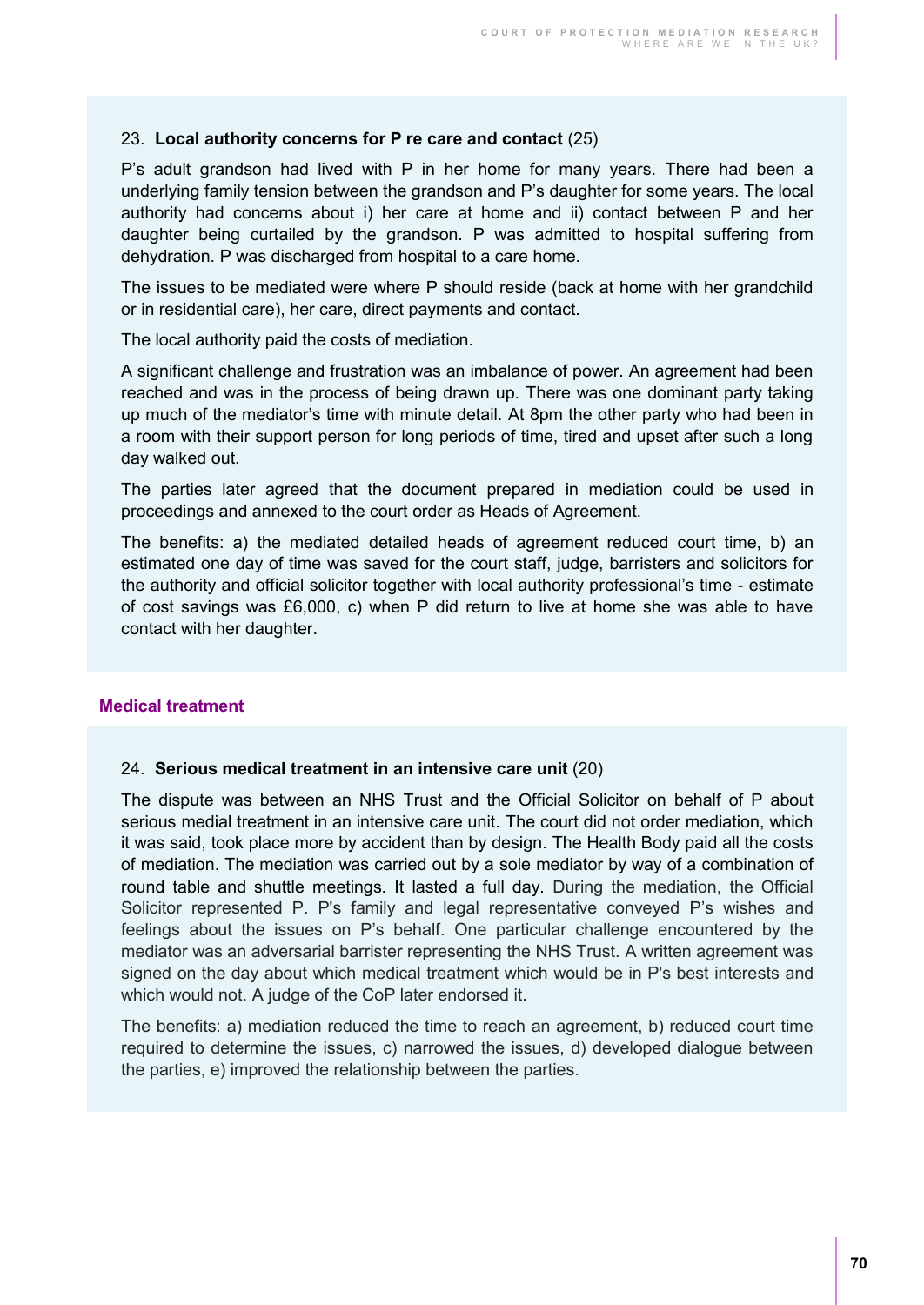#### 23. **Local authority concerns for P re care and contact** (25)

P's adult grandson had lived with P in her home for many years. There had been a underlying family tension between the grandson and P's daughter for some years. The local authority had concerns about i) her care at home and ii) contact between P and her daughter being curtailed by the grandson. P was admitted to hospital suffering from dehydration. P was discharged from hospital to a care home.

The issues to be mediated were where P should reside (back at home with her grandchild or in residential care), her care, direct payments and contact.

The local authority paid the costs of mediation.

A significant challenge and frustration was an imbalance of power. An agreement had been reached and was in the process of being drawn up. There was one dominant party taking up much of the mediator's time with minute detail. At 8pm the other party who had been in a room with their support person for long periods of time, tired and upset after such a long day walked out.

The parties later agreed that the document prepared in mediation could be used in proceedings and annexed to the court order as Heads of Agreement.

The benefits: a) the mediated detailed heads of agreement reduced court time, b) an estimated one day of time was saved for the court staff, judge, barristers and solicitors for the authority and official solicitor together with local authority professional's time - estimate of cost savings was £6,000, c) when P did return to live at home she was able to have contact with her daughter.

#### **Medical treatment**

#### 24. **Serious medical treatment in an intensive care unit** (20)

The dispute was between an NHS Trust and the Official Solicitor on behalf of P about serious medial treatment in an intensive care unit. The court did not order mediation, which it was said, took place more by accident than by design. The Health Body paid all the costs of mediation. The mediation was carried out by a sole mediator by way of a combination of round table and shuttle meetings. It lasted a full day. During the mediation, the Official Solicitor represented P. P's family and legal representative conveyed P's wishes and feelings about the issues on P's behalf. One particular challenge encountered by the mediator was an adversarial barrister representing the NHS Trust. A written agreement was signed on the day about which medical treatment which would be in P's best interests and which would not. A judge of the CoP later endorsed it.

The benefits: a) mediation reduced the time to reach an agreement, b) reduced court time required to determine the issues, c) narrowed the issues, d) developed dialogue between the parties, e) improved the relationship between the parties.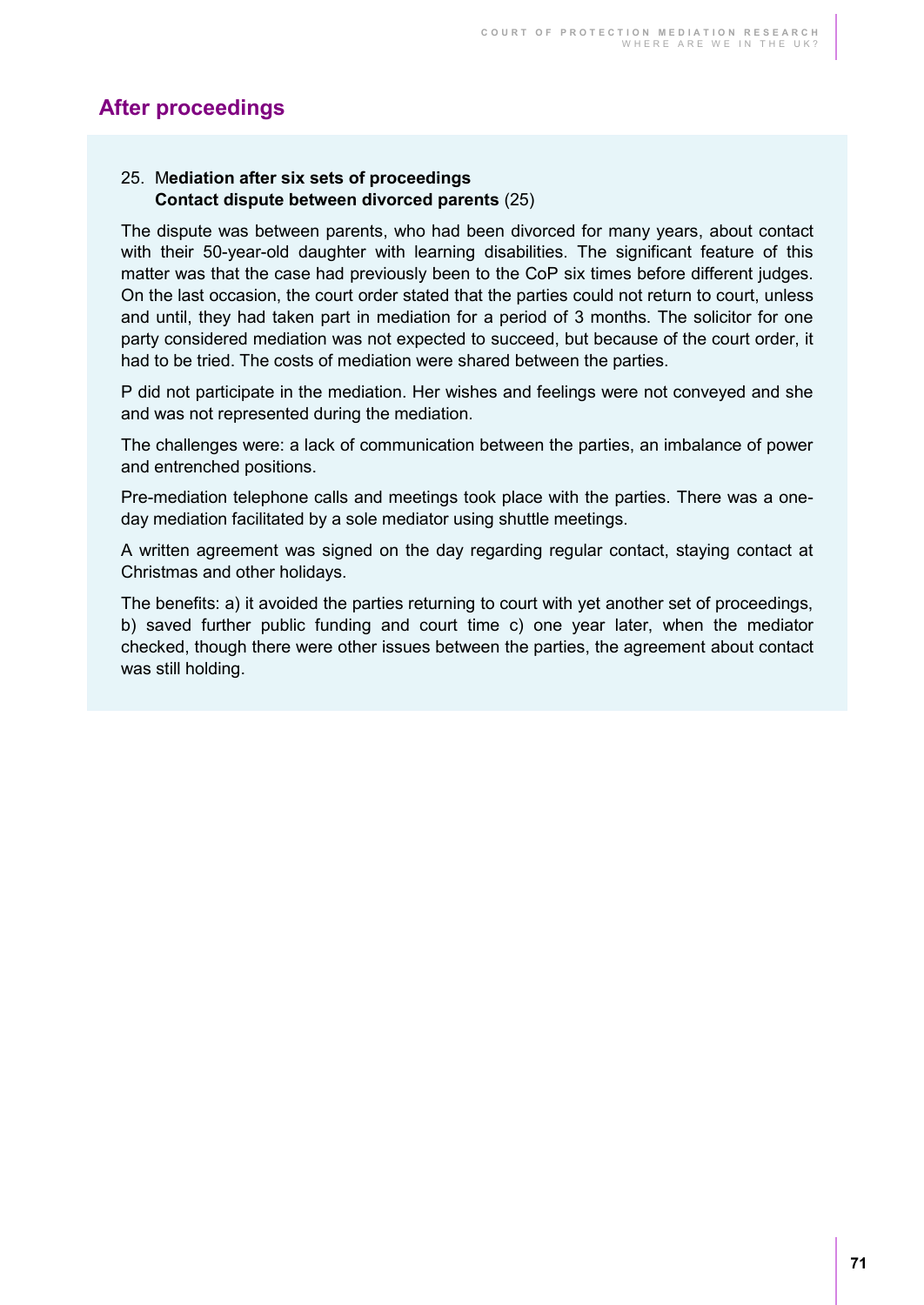### **After proceedings**

#### 25. M**ediation after six sets of proceedings Contact dispute between divorced parents** (25)

The dispute was between parents, who had been divorced for many years, about contact with their 50-year-old daughter with learning disabilities. The significant feature of this matter was that the case had previously been to the CoP six times before different judges. On the last occasion, the court order stated that the parties could not return to court, unless and until, they had taken part in mediation for a period of 3 months. The solicitor for one party considered mediation was not expected to succeed, but because of the court order, it had to be tried. The costs of mediation were shared between the parties.

P did not participate in the mediation. Her wishes and feelings were not conveyed and she and was not represented during the mediation.

The challenges were: a lack of communication between the parties, an imbalance of power and entrenched positions.

Pre-mediation telephone calls and meetings took place with the parties. There was a oneday mediation facilitated by a sole mediator using shuttle meetings.

A written agreement was signed on the day regarding regular contact, staying contact at Christmas and other holidays.

The benefits: a) it avoided the parties returning to court with yet another set of proceedings, b) saved further public funding and court time c) one year later, when the mediator checked, though there were other issues between the parties, the agreement about contact was still holding.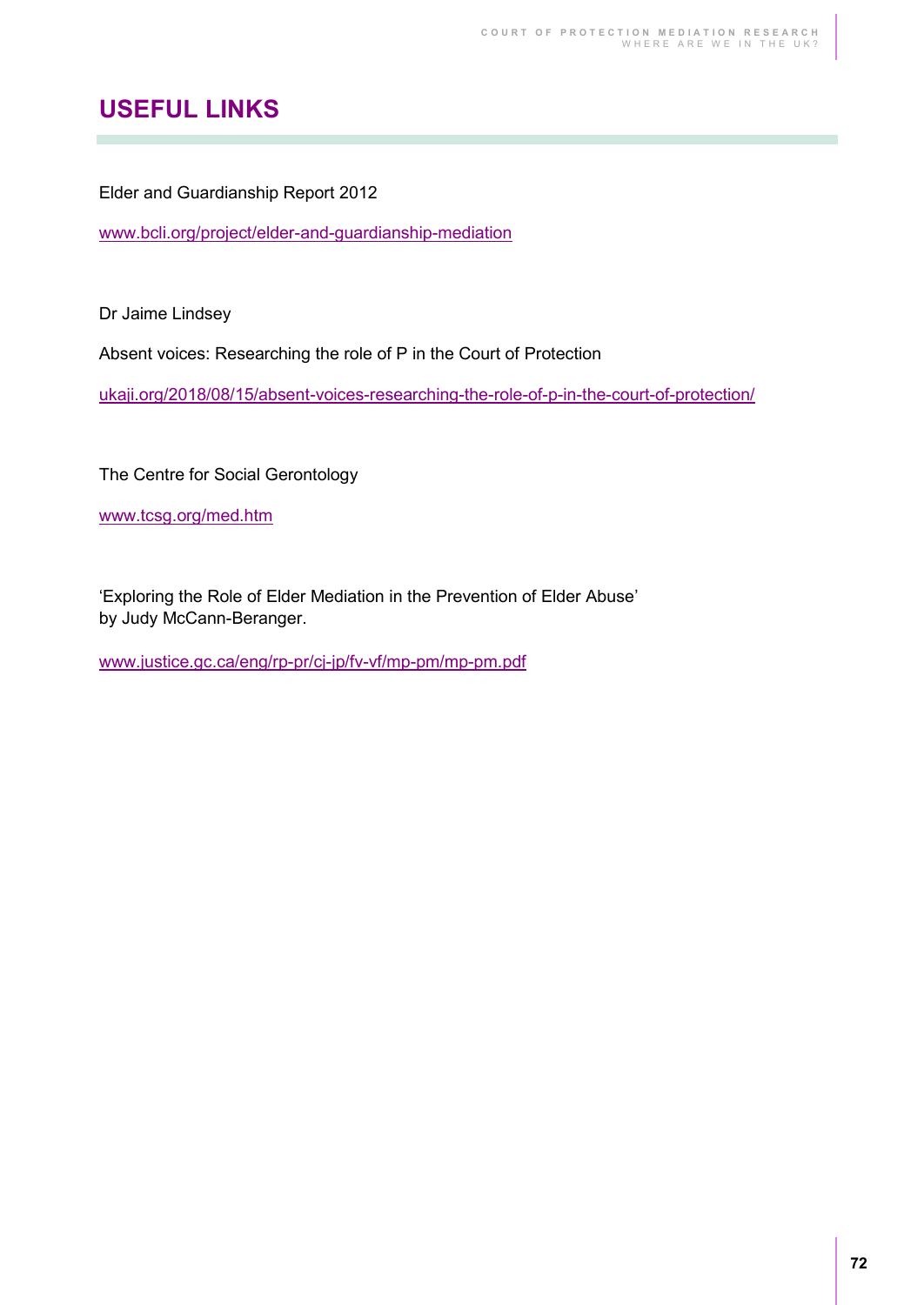# **USEFUL LINKS**

Elder and Guardianship Report 2012

[www.bcli.org/project/elder-and-guardianship-mediation](https://www.bcli.org/project/elder-and-guardianship-mediation) 

Dr Jaime Lindsey

Absent voices: Researching the role of P in the Court of Protection

[ukaji.org/2018/08/15/absent-voices-researching-the-role-of-p-in-the-court-of-protection/](https://ukaji.org/2018/08/15/absent-voices-researching-the-role-of-p-in-the-court-of-protection/) 

The Centre for Social Gerontology

[www.tcsg.org/med.htm](http://www.tcsg.org/med.htm) 

'Exploring the Role of Elder Mediation in the Prevention of Elder Abuse' by Judy McCann-Beranger.

[www.justice.gc.ca/eng/rp-pr/cj-jp/fv-vf/mp-pm/mp-pm.pdf](http://www.justice.gc.ca/eng/rp-pr/cj-jp/fv-vf/mp-pm/mp-pm.pdf)